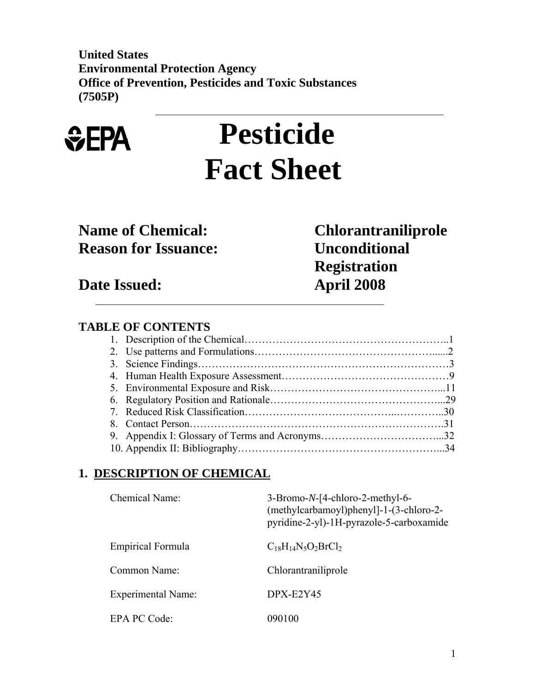**United States Environmental Protection Agency Office of Prevention, Pesticides and Toxic Substances (7505P)**   $\mathcal{L}_\text{max}$  , and the contribution of the contribution of the contribution of the contribution of the contribution of the contribution of the contribution of the contribution of the contribution of the contribution of t



# **Pesticide Fact Sheet**

# **Reason for Issuance: Unconditional**

**Name of Chemical: Chlorantraniliprole Registration**   $\mathcal{L}_\text{max}$  , and the contribution of the contribution of the contribution of the contribution of the contribution of the contribution of the contribution of the contribution of the contribution of the contribution of t

**Date Issued: April 2008** 

## **TABLE OF CONTENTS**

## **1. DESCRIPTION OF CHEMICAL**

| Chemical Name:     | 3-Bromo-N-[4-chloro-2-methyl-6-<br>(methylcarbamoyl)phenyl]-1-(3-chloro-2-<br>pyridine-2-yl)-1H-pyrazole-5-carboxamide |
|--------------------|------------------------------------------------------------------------------------------------------------------------|
| Empirical Formula  | $C_{18}H_{14}N_5O_2BrCl_2$                                                                                             |
| Common Name:       | Chlorantraniliprole                                                                                                    |
| Experimental Name: | $DPX-E2Y45$                                                                                                            |
| EPA PC Code:       | 090100                                                                                                                 |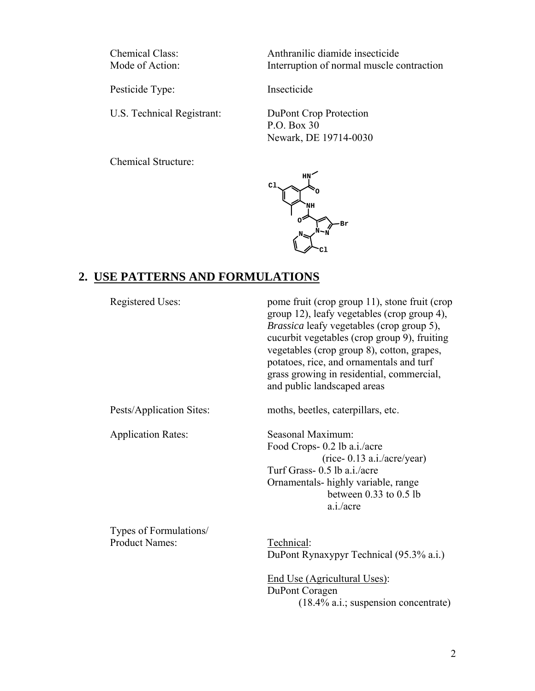Chemical Class: Anthranilic diamide insecticide<br>Mode of Action: Interruption of normal muscle co Interruption of normal muscle contraction

Pesticide Type: Insecticide

U.S. Technical Registrant: DuPont Crop Protection

 P.O. Box 30 Newark, DE 19714-0030

Chemical Structure:



# **2. USE PATTERNS AND FORMULATIONS**

| Registered Uses:                                | pome fruit (crop group 11), stone fruit (crop<br>group 12), leafy vegetables (crop group 4),<br><i>Brassica</i> leafy vegetables (crop group 5),<br>cucurbit vegetables (crop group 9), fruiting<br>vegetables (crop group 8), cotton, grapes,<br>potatoes, rice, and ornamentals and turf<br>grass growing in residential, commercial,<br>and public landscaped areas |
|-------------------------------------------------|------------------------------------------------------------------------------------------------------------------------------------------------------------------------------------------------------------------------------------------------------------------------------------------------------------------------------------------------------------------------|
| Pests/Application Sites:                        | moths, beetles, caterpillars, etc.                                                                                                                                                                                                                                                                                                                                     |
| <b>Application Rates:</b>                       | Seasonal Maximum:<br>Food Crops- 0.2 lb a.i./acre<br>$(rice-0.13 \text{ a.}i/acre/year)$<br>Turf Grass- 0.5 lb a.i./acre<br>Ornamentals-highly variable, range<br>between $0.33$ to $0.5$ lb<br>a.i./acre                                                                                                                                                              |
| Types of Formulations/<br><b>Product Names:</b> | Technical:<br>DuPont Rynaxypyr Technical (95.3% a.i.)<br>End Use (Agricultural Uses):                                                                                                                                                                                                                                                                                  |

 DuPont Coragen (18.4% a.i.; suspension concentrate)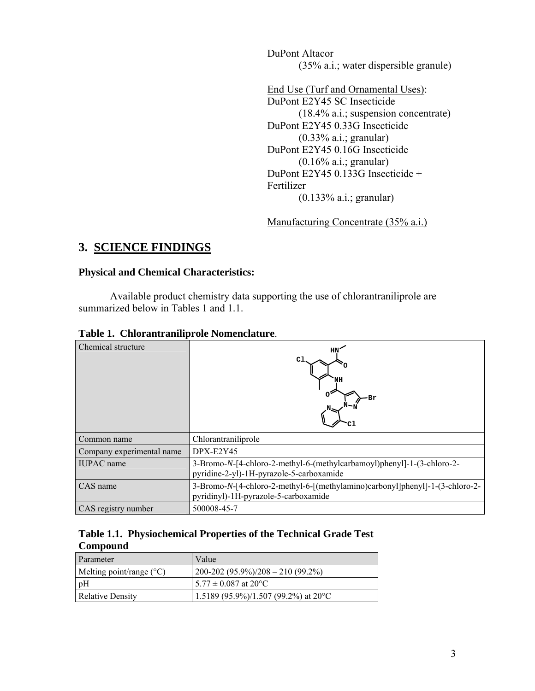DuPont Altacor (35% a.i.; water dispersible granule)

 End Use (Turf and Ornamental Uses): DuPont E2Y45 SC Insecticide (18.4% a.i.; suspension concentrate) DuPont E2Y45 0.33G Insecticide (0.33% a.i.; granular) DuPont E2Y45 0.16G Insecticide (0.16% a.i.; granular) DuPont E2Y45 0.133G Insecticide + Fertilizer (0.133% a.i.; granular)

Manufacturing Concentrate (35% a.i.)

## **3. SCIENCE FINDINGS**

## **Physical and Chemical Characteristics:**

Available product chemistry data supporting the use of chlorantraniliprole are summarized below in Tables 1 and 1.1.

|  | Table 1. Chlorantraniliprole Nomenclature. |
|--|--------------------------------------------|
|  |                                            |

| Chemical structure        | NH<br>Br                                                                                                             |
|---------------------------|----------------------------------------------------------------------------------------------------------------------|
| Common name               | Chlorantraniliprole                                                                                                  |
| Company experimental name | $DPX-E2Y45$                                                                                                          |
| <b>IUPAC</b> name         | 3-Bromo-N-[4-chloro-2-methyl-6-(methylcarbamoyl)phenyl]-1-(3-chloro-2-<br>pyridine-2-yl)-1H-pyrazole-5-carboxamide   |
| CAS name                  | 3-Bromo-N-[4-chloro-2-methyl-6-[(methylamino)carbonyl]phenyl]-1-(3-chloro-2-<br>pyridinyl)-1H-pyrazole-5-carboxamide |
| CAS registry number       | 500008-45-7                                                                                                          |

|          | Table 1.1. Physiochemical Properties of the Technical Grade Test |  |
|----------|------------------------------------------------------------------|--|
| Compound |                                                                  |  |

| Parameter                         | Value                                                             |
|-----------------------------------|-------------------------------------------------------------------|
| Melting point/range $(^{\circ}C)$ | $\left( \frac{200-202}{95.9\%} \right) \times 208 - 210 (99.2\%)$ |
| pH                                | $15.77 \pm 0.087$ at 20 °C                                        |
| Relative Density                  | 1.5189 (95.9%)/1.507 (99.2%) at 20 °C                             |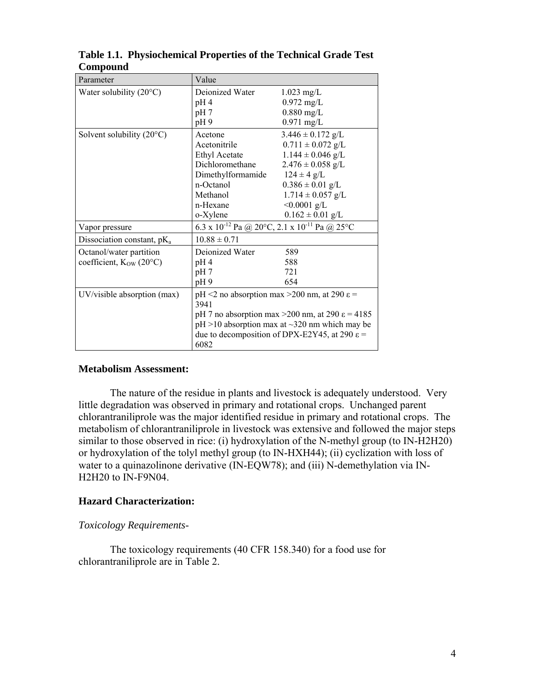| Parameter                                                          | Value                                                                                                                                                                                                                                         |                                                                                                                                                                                                                |
|--------------------------------------------------------------------|-----------------------------------------------------------------------------------------------------------------------------------------------------------------------------------------------------------------------------------------------|----------------------------------------------------------------------------------------------------------------------------------------------------------------------------------------------------------------|
| Water solubility $(20^{\circ}C)$                                   | Deionized Water<br>pH <sub>4</sub><br>pH 7<br>pH9                                                                                                                                                                                             | $1.023$ mg/L<br>$0.972$ mg/L<br>$0.880$ mg/L<br>$0.971$ mg/L                                                                                                                                                   |
| Solvent solubility $(20^{\circ}C)$                                 | Acetone<br>Acetonitrile<br>Ethyl Acetate<br>Dichloromethane<br>Dimethylformamide<br>n-Octanol<br>Methanol<br>n-Hexane<br>o-Xylene                                                                                                             | $3.446 \pm 0.172$ g/L<br>$0.711 \pm 0.072$ g/L<br>$1.144 \pm 0.046$ g/L<br>$2.476 \pm 0.058$ g/L<br>$124 \pm 4$ g/L<br>$0.386 \pm 0.01$ g/L<br>$1.714 \pm 0.057$ g/L<br>$< 0.0001$ g/L<br>$0.162 \pm 0.01$ g/L |
| Vapor pressure                                                     | 6.3 x 10 <sup>-12</sup> Pa @ 20°C, 2.1 x 10 <sup>-11</sup> Pa @ 25°C                                                                                                                                                                          |                                                                                                                                                                                                                |
| Dissociation constant, $pK_a$                                      | $10.88 \pm 0.71$                                                                                                                                                                                                                              |                                                                                                                                                                                                                |
| Octanol/water partition<br>coefficient, $K_{OW}$ (20 $^{\circ}$ C) | Deionized Water<br>pH <sub>4</sub><br>pH 7<br>pH9                                                                                                                                                                                             | 589<br>588<br>721<br>654                                                                                                                                                                                       |
| UV/visible absorption (max)                                        | pH <2 no absorption max > 200 nm, at 290 $\varepsilon$ =<br>3941<br>pH 7 no absorption max > 200 nm, at 290 $\varepsilon$ = 4185<br>$pH > 10$ absorption max at ~320 nm which may be<br>due to decomposition of DPX-E2Y45, at 290 ε =<br>6082 |                                                                                                                                                                                                                |

**Table 1.1. Physiochemical Properties of the Technical Grade Test Compound** 

#### **Metabolism Assessment:**

 The nature of the residue in plants and livestock is adequately understood. Very little degradation was observed in primary and rotational crops. Unchanged parent chlorantraniliprole was the major identified residue in primary and rotational crops. The metabolism of chlorantraniliprole in livestock was extensive and followed the major steps similar to those observed in rice: (i) hydroxylation of the N-methyl group (to IN-H2H20) or hydroxylation of the tolyl methyl group (to IN-HXH44); (ii) cyclization with loss of water to a quinazolinone derivative (IN-EQW78); and (iii) N-demethylation via IN-H2H20 to IN-F9N04.

#### **Hazard Characterization:**

#### *Toxicology Requirements*-

The toxicology requirements (40 CFR 158.340) for a food use for chlorantraniliprole are in Table 2.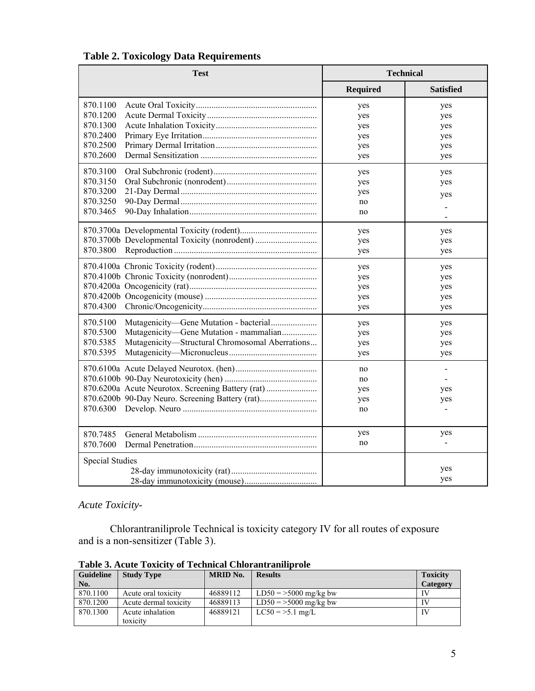| <b>Test</b>                                                                                                                                                                         | <b>Technical</b>                       |                                               |
|-------------------------------------------------------------------------------------------------------------------------------------------------------------------------------------|----------------------------------------|-----------------------------------------------|
|                                                                                                                                                                                     | <b>Required</b>                        | <b>Satisfied</b>                              |
| 870.1100<br>870.1200<br>870.1300<br>870.2400<br>870.2500<br>870.2600                                                                                                                | yes<br>yes<br>yes<br>yes<br>yes<br>yes | yes<br>yes<br>yes<br>yes<br>yes<br>yes        |
| 870.3100<br>870.3150<br>870.3200<br>870.3250<br>870.3465                                                                                                                            | yes<br>yes<br>yes<br>no<br>no          | yes<br>yes<br>yes<br>$\overline{\phantom{a}}$ |
| 870.3800                                                                                                                                                                            | yes<br>yes<br>yes                      | yes<br>yes<br>yes                             |
| 870.4300                                                                                                                                                                            | yes<br>yes<br>yes<br>yes<br>yes        | yes<br>yes<br>yes<br>yes<br>yes               |
| 870.5100<br>Mutagenicity-Gene Mutation - bacterial<br>870.5300<br>Mutagenicity-Gene Mutation - mammalian<br>870.5385<br>Mutagenicity-Structural Chromosomal Aberrations<br>870.5395 | yes<br>yes<br>yes<br>yes               | yes<br>yes<br>yes<br>yes                      |
| 870.6200a Acute Neurotox. Screening Battery (rat)<br>870.6200b 90-Day Neuro. Screening Battery (rat)<br>870.6300                                                                    | no<br>no<br>yes<br>yes<br>no           | $\blacksquare$<br>yes<br>yes<br>$\frac{1}{2}$ |
| 870.7485<br>870.7600                                                                                                                                                                | yes<br>no                              | yes                                           |
| Special Studies                                                                                                                                                                     |                                        | yes<br>yes                                    |

## **Table 2. Toxicology Data Requirements**

*Acute Toxicity*-

 Chlorantraniliprole Technical is toxicity category IV for all routes of exposure and is a non-sensitizer (Table 3).

| <b>Guideline</b><br>No. | <b>Study Type</b>     | <b>MRID No.</b> | <b>Results</b>          | <b>Toxicity</b><br>Category |
|-------------------------|-----------------------|-----------------|-------------------------|-----------------------------|
| 870.1100                | Acute oral toxicity   | 46889112        | $LD50 = 5000$ mg/kg bw  | IV                          |
| 870.1200                | Acute dermal toxicity | 46889113        | $LD50 = >5000$ mg/kg bw |                             |
| 870.1300                | Acute inhalation      | 46889121        | $LC50 = >5.1$ mg/L      | $\mathbf{I}$                |
|                         | toxicity              |                 |                         |                             |

**Table 3. Acute Toxicity of Technical Chlorantraniliprole**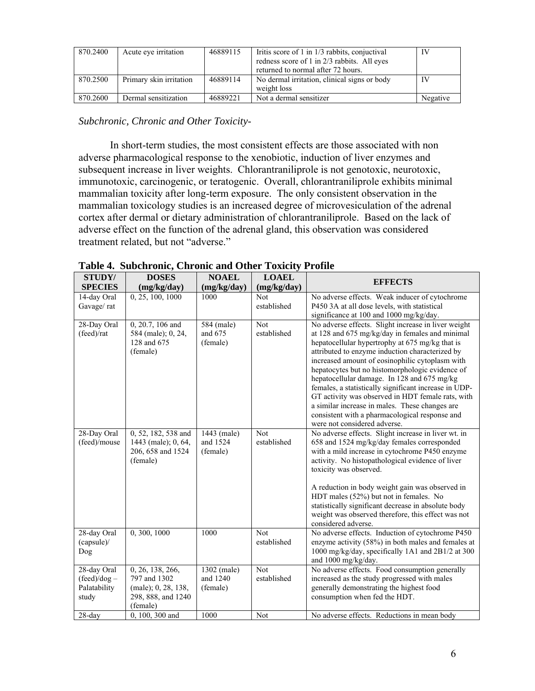| 870.2400 | Acute eye irritation    | 46889115 | Iritis score of 1 in 1/3 rabbits, conjuctival<br>redness score of 1 in 2/3 rabbits. All eyes<br>returned to normal after 72 hours. | IV       |
|----------|-------------------------|----------|------------------------------------------------------------------------------------------------------------------------------------|----------|
| 870.2500 | Primary skin irritation | 46889114 | No dermal irritation, clinical signs or body<br>weight loss                                                                        | IV       |
| 870.2600 | Dermal sensitization    | 46889221 | Not a dermal sensitizer                                                                                                            | Negative |

*Subchronic, Chronic and Other Toxicity*-

In short-term studies, the most consistent effects are those associated with non adverse pharmacological response to the xenobiotic, induction of liver enzymes and subsequent increase in liver weights. Chlorantraniliprole is not genotoxic, neurotoxic, immunotoxic, carcinogenic, or teratogenic. Overall, chlorantraniliprole exhibits minimal mammalian toxicity after long-term exposure. The only consistent observation in the mammalian toxicology studies is an increased degree of microvesiculation of the adrenal cortex after dermal or dietary administration of chlorantraniliprole. Based on the lack of adverse effect on the function of the adrenal gland, this observation was considered treatment related, but not "adverse."

| STUDY/                       | <b>DOSES</b>                | <b>NOAEL</b> | <b>LOAEL</b>              | <b>EFFECTS</b>                                                                                 |
|------------------------------|-----------------------------|--------------|---------------------------|------------------------------------------------------------------------------------------------|
| <b>SPECIES</b>               | (mg/kg/day)                 | (mg/kg/day)  | (mg/kg/day)<br><b>Not</b> |                                                                                                |
| 14-day Oral<br>Gavage/rat    | 0, 25, 100, 1000            | 1000         | established               | No adverse effects. Weak inducer of cytochrome                                                 |
|                              |                             |              |                           | P450 3A at all dose levels, with statistical                                                   |
| 28-Day Oral                  | $0, 20.7, 106$ and          | 584 (male)   | Not                       | significance at 100 and 1000 mg/kg/day.<br>No adverse effects. Slight increase in liver weight |
| (feed)/rat                   | 584 (male); 0, 24,          | and 675      | established               | at 128 and 675 mg/kg/day in females and minimal                                                |
|                              | 128 and 675                 | (female)     |                           | hepatocellular hypertrophy at 675 mg/kg that is                                                |
|                              | (female)                    |              |                           | attributed to enzyme induction characterized by                                                |
|                              |                             |              |                           | increased amount of eosinophilic cytoplasm with                                                |
|                              |                             |              |                           | hepatocytes but no histomorphologic evidence of                                                |
|                              |                             |              |                           | hepatocellular damage. In 128 and 675 mg/kg                                                    |
|                              |                             |              |                           | females, a statistically significant increase in UDP-                                          |
|                              |                             |              |                           | GT activity was observed in HDT female rats, with                                              |
|                              |                             |              |                           | a similar increase in males. These changes are                                                 |
|                              |                             |              |                           | consistent with a pharmacological response and                                                 |
|                              |                             |              |                           | were not considered adverse.                                                                   |
| 28-Day Oral                  | 0, 52, 182, 538 and         | 1443 (male)  | <b>Not</b>                | No adverse effects. Slight increase in liver wt. in                                            |
| (feed)/mouse                 | 1443 (male); 0, 64,         | and 1524     | established               | 658 and 1524 mg/kg/day females corresponded                                                    |
|                              | 206, 658 and 1524           | (female)     |                           | with a mild increase in cytochrome P450 enzyme                                                 |
|                              | (female)                    |              |                           | activity. No histopathological evidence of liver                                               |
|                              |                             |              |                           | toxicity was observed.                                                                         |
|                              |                             |              |                           | A reduction in body weight gain was observed in                                                |
|                              |                             |              |                           | HDT males (52%) but not in females. No                                                         |
|                              |                             |              |                           | statistically significant decrease in absolute body                                            |
|                              |                             |              |                           | weight was observed therefore, this effect was not                                             |
|                              |                             |              |                           | considered adverse.                                                                            |
| 28-day Oral                  | 0, 300, 1000                | 1000         | Not                       | No adverse effects. Induction of cytochrome P450                                               |
| (capsule)/                   |                             |              | established               | enzyme activity (58%) in both males and females at                                             |
| Dog                          |                             |              |                           | 1000 mg/kg/day, specifically 1A1 and 2B1/2 at 300                                              |
|                              |                             |              |                           | and 1000 mg/kg/day.                                                                            |
| 28-day Oral                  | 0, 26, 138, 266,            | 1302 (male)  | Not                       | No adverse effects. Food consumption generally                                                 |
| $(\text{feed})/\text{dog}$ – | 797 and 1302                | and 1240     | established               | increased as the study progressed with males                                                   |
| Palatability                 | (male); 0, 28, 138,         | (female)     |                           | generally demonstrating the highest food                                                       |
| study                        | 298, 888, and 1240          |              |                           | consumption when fed the HDT.                                                                  |
| $28$ -day                    | (female)<br>0, 100, 300 and | 1000         | Not                       | No adverse effects. Reductions in mean body                                                    |
|                              |                             |              |                           |                                                                                                |

| Table 4. Subchronic, Chronic and Other Toxicity Profile |  |  |
|---------------------------------------------------------|--|--|
|                                                         |  |  |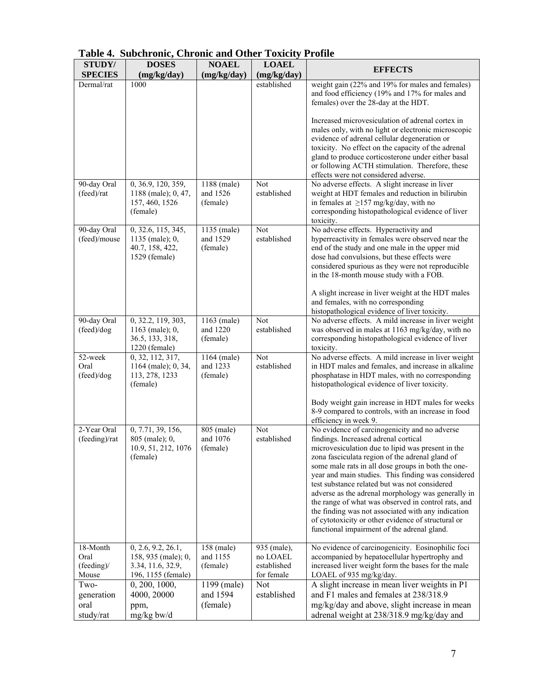| <b>STUDY/</b>                                    | <b>DOSES</b>                                                                         | <b>NOAEL</b>                        | <b>LOAEL</b>                                         |                                                                                                                                                                                                                                                                                                                                                                                                                                                                                                                                                                                                                                    |
|--------------------------------------------------|--------------------------------------------------------------------------------------|-------------------------------------|------------------------------------------------------|------------------------------------------------------------------------------------------------------------------------------------------------------------------------------------------------------------------------------------------------------------------------------------------------------------------------------------------------------------------------------------------------------------------------------------------------------------------------------------------------------------------------------------------------------------------------------------------------------------------------------------|
| <b>SPECIES</b>                                   | (mg/kg/day)                                                                          | (mg/kg/day)                         | (mg/kg/day)                                          | <b>EFFECTS</b>                                                                                                                                                                                                                                                                                                                                                                                                                                                                                                                                                                                                                     |
| Dermal/rat                                       | 1000                                                                                 |                                     | established                                          | weight gain (22% and 19% for males and females)<br>and food efficiency (19% and 17% for males and<br>females) over the 28-day at the HDT.<br>Increased microvesiculation of adrenal cortex in                                                                                                                                                                                                                                                                                                                                                                                                                                      |
|                                                  |                                                                                      |                                     |                                                      | males only, with no light or electronic microscopic<br>evidence of adrenal cellular degeneration or<br>toxicity. No effect on the capacity of the adrenal<br>gland to produce corticosterone under either basal<br>or following ACTH stimulation. Therefore, these<br>effects were not considered adverse.                                                                                                                                                                                                                                                                                                                         |
| 90-day Oral<br>(feed)/rat                        | 0, 36.9, 120, 359,<br>1188 (male); 0, 47,<br>157, 460, 1526<br>(female)              | 1188 (male)<br>and 1526<br>(female) | Not<br>established                                   | No adverse effects. A slight increase in liver<br>weight at HDT females and reduction in bilirubin<br>in females at $\geq$ 157 mg/kg/day, with no<br>corresponding histopathological evidence of liver<br>toxicity.                                                                                                                                                                                                                                                                                                                                                                                                                |
| 90-day Oral<br>(feed)/mouse                      | 0, 32.6, 115, 345,<br>1135 (male); 0,<br>40.7, 158, 422,<br>1529 (female)            | 1135 (male)<br>and 1529<br>(female) | Not<br>established                                   | No adverse effects. Hyperactivity and<br>hyperreactivity in females were observed near the<br>end of the study and one male in the upper mid<br>dose had convulsions, but these effects were<br>considered spurious as they were not reproducible<br>in the 18-month mouse study with a FOB.<br>A slight increase in liver weight at the HDT males<br>and females, with no corresponding<br>histopathological evidence of liver toxicity.                                                                                                                                                                                          |
| 90-day Oral<br>(feed)/dog                        | 0, 32.2, 119, 303,<br>1163 (male); 0,<br>36.5, 133, 318,<br>1220 (female)            | 1163 (male)<br>and 1220<br>(female) | Not<br>established                                   | No adverse effects. A mild increase in liver weight<br>was observed in males at 1163 mg/kg/day, with no<br>corresponding histopathological evidence of liver<br>toxicity.                                                                                                                                                                                                                                                                                                                                                                                                                                                          |
| 52-week<br>Oral<br>(feed)/dog                    | 0, 32, 112, 317,<br>1164 (male); 0, 34,<br>113, 278, 1233<br>(female)                | 1164 (male)<br>and 1233<br>(female) | Not<br>established                                   | No adverse effects. A mild increase in liver weight<br>in HDT males and females, and increase in alkaline<br>phosphatase in HDT males, with no corresponding<br>histopathological evidence of liver toxicity.<br>Body weight gain increase in HDT males for weeks<br>8-9 compared to controls, with an increase in food<br>efficiency in week 9.                                                                                                                                                                                                                                                                                   |
| 2-Year Oral<br>(feeding)/rat                     | 0, 7.71, 39, 156,<br>805 (male); 0,<br>10.9, 51, 212, 1076<br>(female)               | 805 (male)<br>and 1076<br>(female)  | Not<br>established                                   | No evidence of carcinogenicity and no adverse<br>findings. Increased adrenal cortical<br>microvesiculation due to lipid was present in the<br>zona fasciculata region of the adrenal gland of<br>some male rats in all dose groups in both the one-<br>year and main studies. This finding was considered<br>test substance related but was not considered<br>adverse as the adrenal morphology was generally in<br>the range of what was observed in control rats, and<br>the finding was not associated with any indication<br>of cytotoxicity or other evidence of structural or<br>functional impairment of the adrenal gland. |
| 18-Month<br>Oral<br>$(\text{feedback})$<br>Mouse | 0, 2.6, 9.2, 26.1,<br>158, 935 (male); 0,<br>3.34, 11.6, 32.9,<br>196, 1155 (female) | 158 (male)<br>and 1155<br>(female)  | 935 (male),<br>no LOAEL<br>established<br>for female | No evidence of carcinogenicity. Eosinophilic foci<br>accompanied by hepatocellular hypertrophy and<br>increased liver weight form the bases for the male<br>LOAEL of 935 mg/kg/day.                                                                                                                                                                                                                                                                                                                                                                                                                                                |
| Two-<br>generation<br>oral<br>study/rat          | 0, 200, 1000,<br>4000, 20000<br>ppm,<br>mg/kg bw/d                                   | 1199 (male)<br>and 1594<br>(female) | Not<br>established                                   | A slight increase in mean liver weights in P1<br>and F1 males and females at 238/318.9<br>mg/kg/day and above, slight increase in mean<br>adrenal weight at 238/318.9 mg/kg/day and                                                                                                                                                                                                                                                                                                                                                                                                                                                |

|  | Table 4. Subchronic, Chronic and Other Toxicity Profile |  |  |
|--|---------------------------------------------------------|--|--|
|  |                                                         |  |  |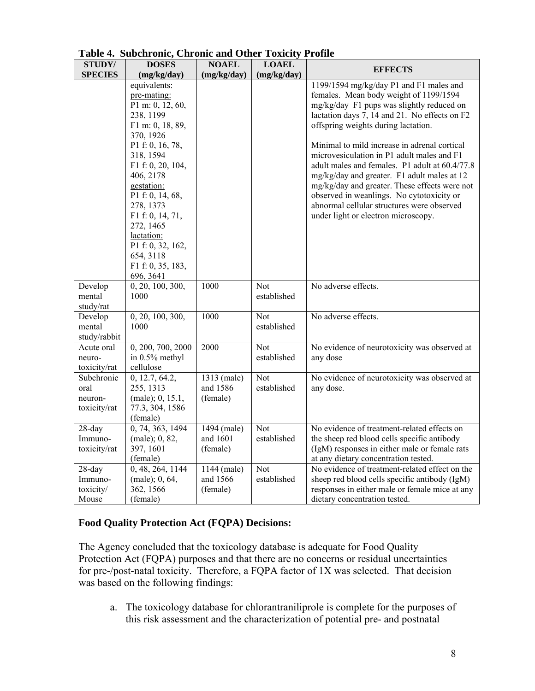| STUDY/                                        | <b>DOSES</b>                                                                                                                                                                                                                                                                                                                       | <b>NOAEL</b>                        | $\sim$<br><b>LOAEL</b>    | $\sim$ $\sim$                                                                                                                                                                                                                                                                                                                                                                                                                                                                                                                                                                                            |
|-----------------------------------------------|------------------------------------------------------------------------------------------------------------------------------------------------------------------------------------------------------------------------------------------------------------------------------------------------------------------------------------|-------------------------------------|---------------------------|----------------------------------------------------------------------------------------------------------------------------------------------------------------------------------------------------------------------------------------------------------------------------------------------------------------------------------------------------------------------------------------------------------------------------------------------------------------------------------------------------------------------------------------------------------------------------------------------------------|
| <b>SPECIES</b>                                | (mg/kg/day)                                                                                                                                                                                                                                                                                                                        | (mg/kg/day)                         | (mg/kg/day)               | <b>EFFECTS</b>                                                                                                                                                                                                                                                                                                                                                                                                                                                                                                                                                                                           |
|                                               | equivalents:<br>pre-mating:<br>P1 m: 0, 12, 60,<br>238, 1199<br>F1 m: 0, 18, 89,<br>370, 1926<br>P1 f: 0, 16, 78,<br>318, 1594<br>F1 f: 0, 20, 104,<br>406, 2178<br>gestation:<br>P1 f: 0, 14, 68,<br>278, 1373<br>F1 f: 0, 14, 71,<br>272, 1465<br>lactation:<br>P1 f: 0, 32, 162,<br>654, 3118<br>F1 f: 0, 35, 183,<br>696, 3641 |                                     |                           | 1199/1594 mg/kg/day P1 and F1 males and<br>females. Mean body weight of 1199/1594<br>mg/kg/day F1 pups was slightly reduced on<br>lactation days 7, 14 and 21. No effects on F2<br>offspring weights during lactation.<br>Minimal to mild increase in adrenal cortical<br>microvesiculation in P1 adult males and F1<br>adult males and females. P1 adult at 60.4/77.8<br>mg/kg/day and greater. F1 adult males at 12<br>mg/kg/day and greater. These effects were not<br>observed in weanlings. No cytotoxicity or<br>abnormal cellular structures were observed<br>under light or electron microscopy. |
| Develop<br>mental<br>study/rat                | 0, 20, 100, 300,<br>1000                                                                                                                                                                                                                                                                                                           | 1000                                | <b>Not</b><br>established | No adverse effects.                                                                                                                                                                                                                                                                                                                                                                                                                                                                                                                                                                                      |
| Develop<br>mental<br>study/rabbit             | 0, 20, 100, 300,<br>1000                                                                                                                                                                                                                                                                                                           | 1000                                | Not<br>established        | No adverse effects.                                                                                                                                                                                                                                                                                                                                                                                                                                                                                                                                                                                      |
| Acute oral<br>neuro-<br>toxicity/rat          | 0, 200, 700, 2000<br>in 0.5% methyl<br>cellulose                                                                                                                                                                                                                                                                                   | 2000                                | <b>Not</b><br>established | No evidence of neurotoxicity was observed at<br>any dose                                                                                                                                                                                                                                                                                                                                                                                                                                                                                                                                                 |
| Subchronic<br>oral<br>neuron-<br>toxicity/rat | 0, 12.7, 64.2,<br>255, 1313<br>(male); 0, 15.1,<br>77.3, 304, 1586<br>(female)                                                                                                                                                                                                                                                     | 1313 (male)<br>and 1586<br>(female) | Not<br>established        | No evidence of neurotoxicity was observed at<br>any dose.                                                                                                                                                                                                                                                                                                                                                                                                                                                                                                                                                |
| $28$ -day<br>Immuno-<br>toxicity/rat          | 0, 74, 363, 1494<br>$(male)$ ; 0, 82,<br>397, 1601<br>(female)                                                                                                                                                                                                                                                                     | 1494 (male)<br>and 1601<br>(female) | Not<br>established        | No evidence of treatment-related effects on<br>the sheep red blood cells specific antibody<br>(IgM) responses in either male or female rats<br>at any dietary concentration tested.                                                                                                                                                                                                                                                                                                                                                                                                                      |
| $28$ -day<br>Immuno-<br>toxicity/<br>Mouse    | 0, 48, 264, 1144<br>$(male)$ ; 0, 64,<br>362, 1566<br>(female)                                                                                                                                                                                                                                                                     | 1144 (male)<br>and 1566<br>(female) | <b>Not</b><br>established | No evidence of treatment-related effect on the<br>sheep red blood cells specific antibody (IgM)<br>responses in either male or female mice at any<br>dietary concentration tested.                                                                                                                                                                                                                                                                                                                                                                                                                       |

**Table 4. Subchronic, Chronic and Other Toxicity Profile**

## **Food Quality Protection Act (FQPA) Decisions:**

The Agency concluded that the toxicology database is adequate for Food Quality Protection Act (FQPA) purposes and that there are no concerns or residual uncertainties for pre-/post-natal toxicity. Therefore, a FQPA factor of 1X was selected. That decision was based on the following findings:

a. The toxicology database for chlorantraniliprole is complete for the purposes of this risk assessment and the characterization of potential pre- and postnatal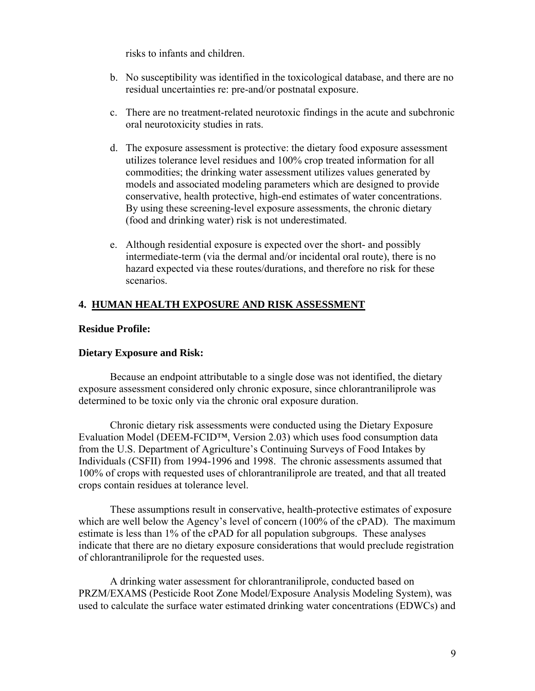risks to infants and children.

- b. No susceptibility was identified in the toxicological database, and there are no residual uncertainties re: pre-and/or postnatal exposure.
- c. There are no treatment-related neurotoxic findings in the acute and subchronic oral neurotoxicity studies in rats.
- d. The exposure assessment is protective: the dietary food exposure assessment utilizes tolerance level residues and 100% crop treated information for all commodities; the drinking water assessment utilizes values generated by models and associated modeling parameters which are designed to provide conservative, health protective, high-end estimates of water concentrations. By using these screening-level exposure assessments, the chronic dietary (food and drinking water) risk is not underestimated.
- e. Although residential exposure is expected over the short- and possibly intermediate-term (via the dermal and/or incidental oral route), there is no hazard expected via these routes/durations, and therefore no risk for these scenarios.

## **4. HUMAN HEALTH EXPOSURE AND RISK ASSESSMENT**

#### **Residue Profile:**

#### **Dietary Exposure and Risk:**

Because an endpoint attributable to a single dose was not identified, the dietary exposure assessment considered only chronic exposure, since chlorantraniliprole was determined to be toxic only via the chronic oral exposure duration.

Chronic dietary risk assessments were conducted using the Dietary Exposure Evaluation Model (DEEM-FCID™, Version 2.03) which uses food consumption data from the U.S. Department of Agriculture's Continuing Surveys of Food Intakes by Individuals (CSFII) from 1994-1996 and 1998. The chronic assessments assumed that 100% of crops with requested uses of chlorantraniliprole are treated, and that all treated crops contain residues at tolerance level.

These assumptions result in conservative, health-protective estimates of exposure which are well below the Agency's level of concern (100% of the cPAD). The maximum estimate is less than 1% of the cPAD for all population subgroups. These analyses indicate that there are no dietary exposure considerations that would preclude registration of chlorantraniliprole for the requested uses.

A drinking water assessment for chlorantraniliprole, conducted based on PRZM/EXAMS (Pesticide Root Zone Model/Exposure Analysis Modeling System), was used to calculate the surface water estimated drinking water concentrations (EDWCs) and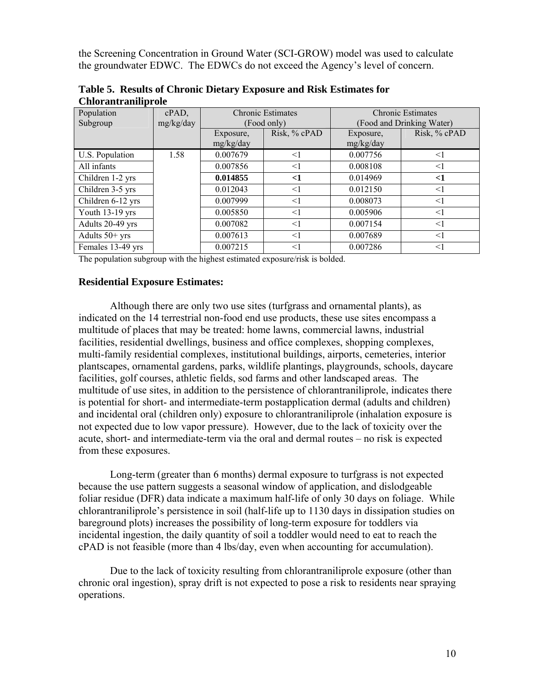the Screening Concentration in Ground Water (SCI-GROW) model was used to calculate the groundwater EDWC. The EDWCs do not exceed the Agency's level of concern.

| Population<br>Subgroup | $cPAD$ ,<br>mg/kg/day |                        | <b>Chronic Estimates</b><br>(Food only) | <b>Chronic Estimates</b><br>(Food and Drinking Water) |              |  |
|------------------------|-----------------------|------------------------|-----------------------------------------|-------------------------------------------------------|--------------|--|
|                        |                       | Exposure,<br>mg/kg/day | Risk, % cPAD                            | Exposure,<br>mg/kg/day                                | Risk, % cPAD |  |
| U.S. Population        | 1.58                  | 0.007679               | $\leq$ 1                                | 0.007756                                              | <1           |  |
| All infants            |                       | 0.007856               | $\leq$ 1                                | 0.008108                                              | $\leq$ 1     |  |
| Children 1-2 yrs       |                       | 0.014855               | $<$ 1                                   | 0.014969                                              | $<$ 1        |  |
| Children 3-5 yrs       |                       | 0.012043               | $\leq$ 1                                | 0.012150                                              | $\leq$ 1     |  |
| Children 6-12 yrs      |                       | 0.007999               | <1                                      | 0.008073                                              | <1           |  |
| Youth 13-19 yrs        |                       | 0.005850               | $\leq$ 1                                | 0.005906                                              | $\leq$ 1     |  |
| Adults 20-49 yrs       |                       | 0.007082               | <1                                      | 0.007154                                              | $\leq$ 1     |  |
| Adults $50+$ yrs       |                       | 0.007613               | <1                                      | 0.007689                                              | $\leq$ 1     |  |
| Females 13-49 yrs      |                       | 0.007215               | $\leq$                                  | 0.007286                                              | $\leq$ 1     |  |

**Table 5. Results of Chronic Dietary Exposure and Risk Estimates for Chlorantraniliprole**

The population subgroup with the highest estimated exposure/risk is bolded.

#### **Residential Exposure Estimates:**

Although there are only two use sites (turfgrass and ornamental plants), as indicated on the 14 terrestrial non-food end use products, these use sites encompass a multitude of places that may be treated: home lawns, commercial lawns, industrial facilities, residential dwellings, business and office complexes, shopping complexes, multi-family residential complexes, institutional buildings, airports, cemeteries, interior plantscapes, ornamental gardens, parks, wildlife plantings, playgrounds, schools, daycare facilities, golf courses, athletic fields, sod farms and other landscaped areas. The multitude of use sites, in addition to the persistence of chlorantraniliprole, indicates there is potential for short- and intermediate-term postapplication dermal (adults and children) and incidental oral (children only) exposure to chlorantraniliprole (inhalation exposure is not expected due to low vapor pressure). However, due to the lack of toxicity over the acute, short- and intermediate-term via the oral and dermal routes – no risk is expected from these exposures.

Long-term (greater than 6 months) dermal exposure to turfgrass is not expected because the use pattern suggests a seasonal window of application, and dislodgeable foliar residue (DFR) data indicate a maximum half-life of only 30 days on foliage. While chlorantraniliprole's persistence in soil (half-life up to 1130 days in dissipation studies on bareground plots) increases the possibility of long-term exposure for toddlers via incidental ingestion, the daily quantity of soil a toddler would need to eat to reach the cPAD is not feasible (more than 4 lbs/day, even when accounting for accumulation).

Due to the lack of toxicity resulting from chlorantraniliprole exposure (other than chronic oral ingestion), spray drift is not expected to pose a risk to residents near spraying operations.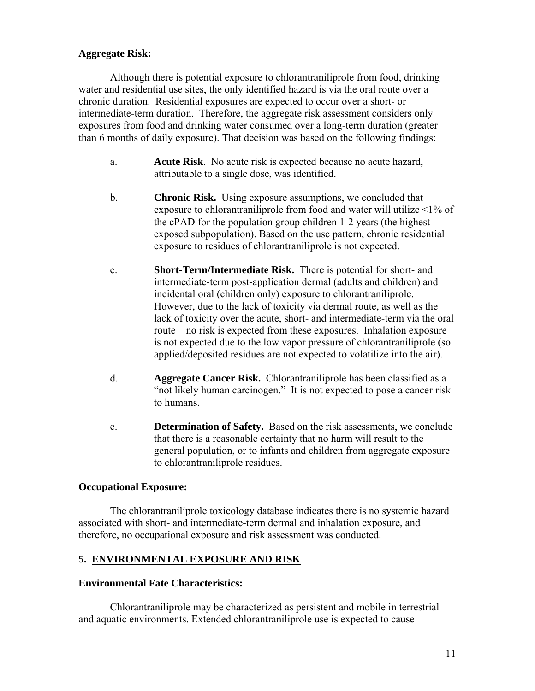## **Aggregate Risk:**

Although there is potential exposure to chlorantraniliprole from food, drinking water and residential use sites, the only identified hazard is via the oral route over a chronic duration. Residential exposures are expected to occur over a short- or intermediate-term duration. Therefore, the aggregate risk assessment considers only exposures from food and drinking water consumed over a long-term duration (greater than 6 months of daily exposure). That decision was based on the following findings:

- a. **Acute Risk**. No acute risk is expected because no acute hazard, attributable to a single dose, was identified.
- b. **Chronic Risk.** Using exposure assumptions, we concluded that exposure to chlorantraniliprole from food and water will utilize <1% of the cPAD for the population group children 1-2 years (the highest exposed subpopulation). Based on the use pattern, chronic residential exposure to residues of chlorantraniliprole is not expected.
- c. **Short-Term/Intermediate Risk.** There is potential for short- and intermediate-term post-application dermal (adults and children) and incidental oral (children only) exposure to chlorantraniliprole. However, due to the lack of toxicity via dermal route, as well as the lack of toxicity over the acute, short- and intermediate-term via the oral route – no risk is expected from these exposures. Inhalation exposure is not expected due to the low vapor pressure of chlorantraniliprole (so applied/deposited residues are not expected to volatilize into the air).
- d. **Aggregate Cancer Risk.** Chlorantraniliprole has been classified as a "not likely human carcinogen." It is not expected to pose a cancer risk to humans.
- e. **Determination of Safety.** Based on the risk assessments, we conclude that there is a reasonable certainty that no harm will result to the general population, or to infants and children from aggregate exposure to chlorantraniliprole residues.

#### **Occupational Exposure:**

The chlorantraniliprole toxicology database indicates there is no systemic hazard associated with short- and intermediate-term dermal and inhalation exposure, and therefore, no occupational exposure and risk assessment was conducted.

## **5. ENVIRONMENTAL EXPOSURE AND RISK**

#### **Environmental Fate Characteristics:**

 Chlorantraniliprole may be characterized as persistent and mobile in terrestrial and aquatic environments. Extended chlorantraniliprole use is expected to cause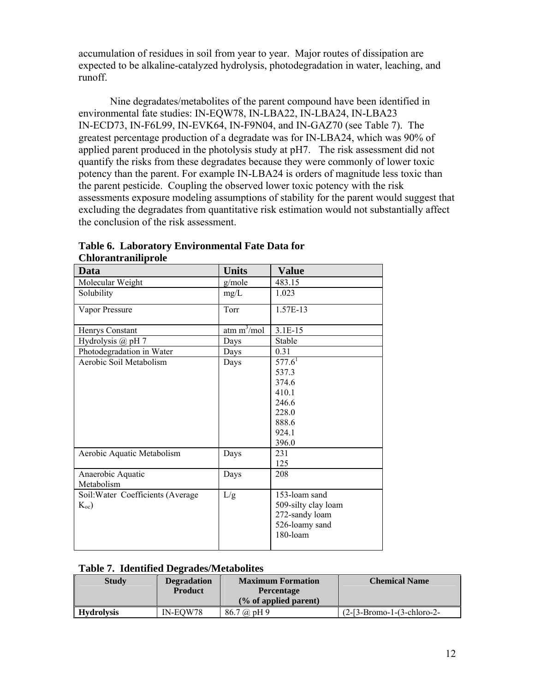accumulation of residues in soil from year to year. Major routes of dissipation are expected to be alkaline-catalyzed hydrolysis, photodegradation in water, leaching, and runoff.

Nine degradates/metabolites of the parent compound have been identified in environmental fate studies: IN-EQW78, IN-LBA22, IN-LBA24, IN-LBA23 IN-ECD73, IN-F6L99, IN-EVK64, IN-F9N04, and IN-GAZ70 (see Table 7). The greatest percentage production of a degradate was for IN-LBA24, which was 90% of applied parent produced in the photolysis study at pH7. The risk assessment did not quantify the risks from these degradates because they were commonly of lower toxic potency than the parent. For example IN-LBA24 is orders of magnitude less toxic than the parent pesticide. Coupling the observed lower toxic potency with the risk assessments exposure modeling assumptions of stability for the parent would suggest that excluding the degradates from quantitative risk estimation would not substantially affect the conclusion of the risk assessment.

| Data                              | <b>Units</b>            | <b>Value</b>        |
|-----------------------------------|-------------------------|---------------------|
| Molecular Weight                  | g/mole                  | 483.15              |
| Solubility                        | mg/L                    | 1.023               |
| Vapor Pressure                    | Torr                    | 1.57E-13            |
| Henrys Constant                   | atm m <sup>3</sup> /mol | $3.1E-15$           |
| Hydrolysis $(a)$ pH 7             | Days                    | Stable              |
| Photodegradation in Water         | Days                    | 0.31                |
| Aerobic Soil Metabolism           | Days                    | $577.6^{1}$         |
|                                   |                         | 537.3               |
|                                   |                         | 374.6               |
|                                   |                         | 410.1               |
|                                   |                         | 246.6               |
|                                   |                         | 228.0               |
|                                   |                         | 888.6               |
|                                   |                         | 924.1               |
|                                   |                         | 396.0               |
| Aerobic Aquatic Metabolism        | Days                    | 231                 |
|                                   |                         | 125                 |
| Anaerobic Aquatic                 | Days                    | 208                 |
| Metabolism                        |                         |                     |
| Soil: Water Coefficients (Average | L/g                     | 153-loam sand       |
| $K_{oc}$                          |                         | 509-silty clay loam |
|                                   |                         | 272-sandy loam      |
|                                   |                         | 526-loamy sand      |
|                                   |                         | 180-loam            |
|                                   |                         |                     |

## **Table 6. Laboratory Environmental Fate Data for Chlorantraniliprole**

#### **Table 7. Identified Degrades/Metabolites**

| <b>Study</b> | <b>Degradation</b> | <b>Maximum Formation</b> | <b>Chemical Name</b>         |
|--------------|--------------------|--------------------------|------------------------------|
|              | <b>Product</b>     | <b>Percentage</b>        |                              |
|              |                    | $(\%$ of applied parent) |                              |
| Hvdrolvsis   | IN-EOW78           | $86.7 \omega$ pH 9       | $(2-[3-Bromo-1-(3-chloro-2-$ |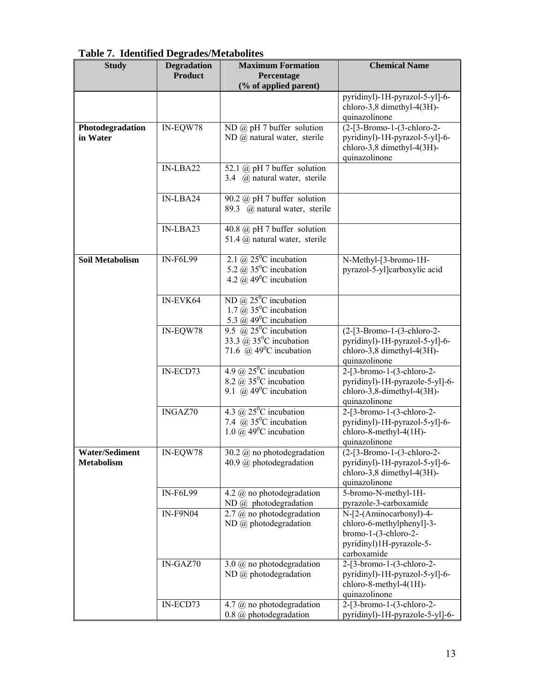| <b>Study</b>                               | <b>Degradation</b><br><b>Product</b> | <b>Maximum Formation</b><br>Percentage                                                                                          | <b>Chemical Name</b>                                                                                                       |  |  |
|--------------------------------------------|--------------------------------------|---------------------------------------------------------------------------------------------------------------------------------|----------------------------------------------------------------------------------------------------------------------------|--|--|
|                                            |                                      | (% of applied parent)                                                                                                           |                                                                                                                            |  |  |
|                                            |                                      |                                                                                                                                 | pyridinyl)-1H-pyrazol-5-yll-6-<br>chloro-3,8 dimethyl-4(3H)-<br>quinazolinone                                              |  |  |
| Photodegradation<br>in Water               | IN-EQW78                             | ND $(a)$ pH 7 buffer solution<br>ND @ natural water, sterile                                                                    | (2-[3-Bromo-1-(3-chloro-2-<br>pyridinyl)-1H-pyrazol-5-yl]-6-<br>chloro-3,8 dimethyl-4(3H)-<br>quinazolinone                |  |  |
|                                            | IN-LBA22                             | 52.1 $(a)$ pH 7 buffer solution<br>3.4 @ natural water, sterile                                                                 |                                                                                                                            |  |  |
|                                            | IN-LBA24                             | 90.2 $\omega$ pH 7 buffer solution<br>89.3 @ natural water, sterile                                                             |                                                                                                                            |  |  |
|                                            | IN-LBA23                             | 40.8 $\omega$ pH 7 buffer solution<br>51.4 @ natural water, sterile                                                             |                                                                                                                            |  |  |
| <b>Soil Metabolism</b>                     | <b>IN-F6L99</b>                      | 2.1 @ $25^{\circ}$ C incubation<br>5.2 $\omega$ 35 <sup>o</sup> C incubation<br>4.2 $\overline{a}$ 49 <sup>o</sup> C incubation | N-Methyl-[3-bromo-1H-<br>pyrazol-5-yl]carboxylic acid                                                                      |  |  |
|                                            | IN-EVK64                             | ND @ $25^{\circ}$ C incubation<br>1.7 $\bar{a}$ 35 <sup>o</sup> C incubation<br>5.3 @ $49^{\circ}$ C incubation                 |                                                                                                                            |  |  |
|                                            | IN-EQW78                             | 9.5 @ $25^{\circ}$ C incubation<br>33.3 @ 35 <sup>o</sup> C incubation<br>71.6 @ $49^{\circ}$ C incubation                      | $(2-[3-Bromo-1-(3-chloro-2-$<br>pyridinyl)-1H-pyrazol-5-yl]-6-<br>chloro-3,8 dimethyl-4(3H)-<br>quinazolinone              |  |  |
|                                            | IN-ECD73                             | 4.9 @ $25^{\circ}$ C incubation<br>8.2 $\overline{a}$ 35 <sup>0</sup> C incubation<br>9.1 @ $49^{\circ}$ C incubation           | $2-[3-bromo-1-(3-chloro-2-$<br>pyridinyl)-1H-pyrazole-5-yl]-6-<br>chloro-3,8-dimethyl-4(3H)-<br>quinazolinone              |  |  |
|                                            | INGAZ70                              | 4.3 @ $25^{\circ}$ C incubation<br>7.4 $\bar{\omega}$ 35 <sup>0</sup> C incubation<br>1.0 $\omega$ 49 <sup>0</sup> C incubation | $2-[3-bromo-1-(3-chloro-2-$<br>pyridinyl)-1H-pyrazol-5-yl]-6-<br>chloro-8-methyl-4(1H)-<br>quinazolinone                   |  |  |
| <b>Water/Sediment</b><br><b>Metabolism</b> | IN-EQW78                             | 30.2 $\omega$ no photodegradation<br>40.9 $\omega$ photodegradation                                                             | (2-[3-Bromo-1-(3-chloro-2-<br>pyridinyl)-1H-pyrazol-5-yl]-6-<br>chloro-3,8 dimethyl-4(3H)-<br>quinazolinone                |  |  |
|                                            | <b>IN-F6L99</b>                      | 4.2 $\omega$ no photodegradation<br>$ND$ @ photodegradation                                                                     | 5-bromo-N-methyl-1H-<br>pyrazole-3-carboxamide                                                                             |  |  |
|                                            | <b>IN-F9N04</b>                      | $2.7$ @ no photodegradation<br>$ND$ @ photodegradation                                                                          | N-[2-(Aminocarbonyl)-4-<br>chloro-6-methylphenyl]-3-<br>$b$ romo-1-(3-chloro-2-<br>pyridinyl)1H-pyrazole-5-<br>carboxamide |  |  |
|                                            | IN-GAZ70                             | 3.0 $@$ no photodegradation<br>$ND$ @ photodegradation                                                                          | 2-[3-bromo-1-(3-chloro-2-<br>pyridinyl)-1H-pyrazol-5-yl]-6-<br>chloro-8-methyl-4(1H)-<br>quinazolinone                     |  |  |
|                                            | IN-ECD73                             | 4.7 @ no photodegradation<br>$0.8$ @ photodegradation                                                                           | 2-[3-bromo-1-(3-chloro-2-<br>pyridinyl)-1H-pyrazole-5-yl]-6-                                                               |  |  |

**Table 7. Identified Degrades/Metabolites**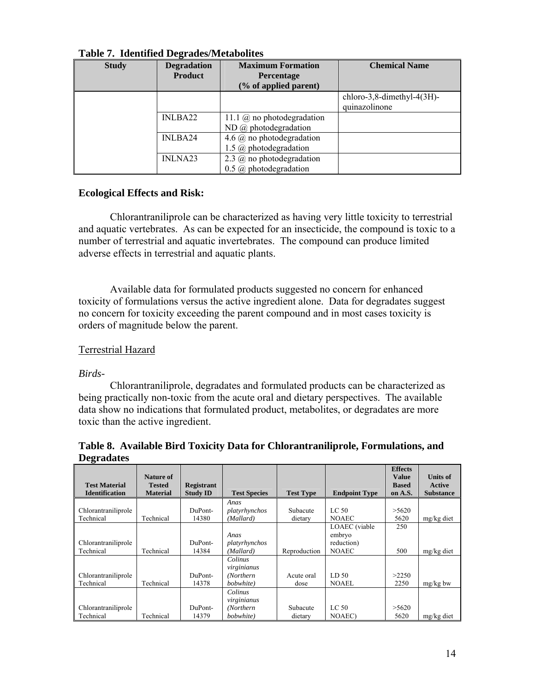| <b>Study</b> | <b>Degradation</b>  | <b>Maximum Formation</b>          | <b>Chemical Name</b>       |
|--------------|---------------------|-----------------------------------|----------------------------|
|              | <b>Product</b>      | <b>Percentage</b>                 |                            |
|              |                     | (% of applied parent)             |                            |
|              |                     |                                   | chloro-3,8-dimethyl-4(3H)- |
|              |                     |                                   | quinazolinone              |
|              | INLBA22             | 11.1 $\omega$ no photodegradation |                            |
|              |                     | $ND$ @ photodegradation           |                            |
|              | INLBA24             | 4.6 $(a)$ no photodegradation     |                            |
|              |                     | 1.5 $@$ photodegradation          |                            |
|              | INLNA <sub>23</sub> | 2.3 $(a)$ no photodegradation     |                            |
|              |                     | $0.5$ @ photodegradation          |                            |

## **Table 7. Identified Degrades/Metabolites**

#### **Ecological Effects and Risk:**

Chlorantraniliprole can be characterized as having very little toxicity to terrestrial and aquatic vertebrates. As can be expected for an insecticide, the compound is toxic to a number of terrestrial and aquatic invertebrates. The compound can produce limited adverse effects in terrestrial and aquatic plants.

Available data for formulated products suggested no concern for enhanced toxicity of formulations versus the active ingredient alone. Data for degradates suggest no concern for toxicity exceeding the parent compound and in most cases toxicity is orders of magnitude below the parent.

## Terrestrial Hazard

#### *Birds-*

Chlorantraniliprole, degradates and formulated products can be characterized as being practically non-toxic from the acute oral and dietary perspectives. The available data show no indications that formulated product, metabolites, or degradates are more toxic than the active ingredient.

#### **Table 8. Available Bird Toxicity Data for Chlorantraniliprole, Formulations, and Degradates**

|                       | Nature of       |                   |                     |                  |                      | <b>Effects</b><br><b>Value</b> | <b>Units of</b>  |
|-----------------------|-----------------|-------------------|---------------------|------------------|----------------------|--------------------------------|------------------|
| <b>Test Material</b>  | <b>Tested</b>   | <b>Registrant</b> |                     |                  |                      | <b>Based</b>                   | Active           |
| <b>Identification</b> | <b>Material</b> | <b>Study ID</b>   | <b>Test Species</b> | <b>Test Type</b> | <b>Endpoint Type</b> | on A.S.                        | <b>Substance</b> |
|                       |                 |                   | Anas                |                  |                      |                                |                  |
| Chlorantraniliprole   |                 | DuPont-           | platyrhynchos       | Subacute         | LC 50                | >5620                          |                  |
| Technical             | Technical       | 14380             | (Mallard)           | dietary          | <b>NOAEC</b>         | 5620                           | mg/kg diet       |
|                       |                 |                   |                     |                  | LOAEC (viable        | 250                            |                  |
|                       |                 |                   | Anas                |                  | embryo               |                                |                  |
| Chlorantraniliprole   |                 | DuPont-           | platyrhynchos       |                  | reduction)           |                                |                  |
| Technical             | Technical       | 14384             | (Mallard)           | Reproduction     | <b>NOAEC</b>         | 500                            | mg/kg diet       |
|                       |                 |                   | Colinus             |                  |                      |                                |                  |
|                       |                 |                   | virginianus         |                  |                      |                                |                  |
| Chlorantraniliprole   |                 | DuPont-           | (Northern)          | Acute oral       | LD 50                | >2250                          |                  |
| Technical             | Technical       | 14378             | bobwhite)           | dose             | <b>NOAEL</b>         | 2250                           | $mg/kg$ bw       |
|                       |                 |                   | Colinus             |                  |                      |                                |                  |
|                       |                 |                   | virginianus         |                  |                      |                                |                  |
| Chlorantraniliprole   |                 | DuPont-           | (Northern           | Subacute         | LC <sub>50</sub>     | >5620                          |                  |
| Technical             | Technical       | 14379             | bobwhite)           | dietary          | <b>NOAEC</b> )       | 5620                           | mg/kg diet       |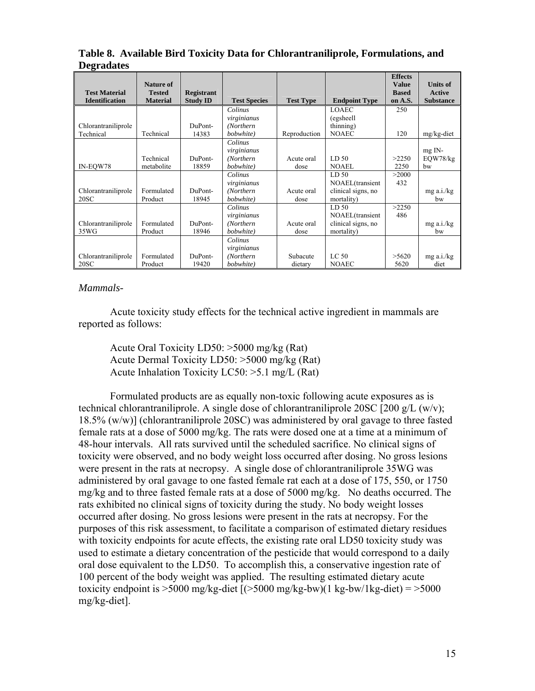|                       |                 |                   |                     |                  |                      | <b>Effects</b> |                  |
|-----------------------|-----------------|-------------------|---------------------|------------------|----------------------|----------------|------------------|
|                       | Nature of       |                   |                     |                  |                      | <b>Value</b>   | <b>Units of</b>  |
| <b>Test Material</b>  | <b>Tested</b>   | <b>Registrant</b> |                     |                  |                      | <b>Based</b>   | <b>Active</b>    |
| <b>Identification</b> | <b>Material</b> | <b>Study ID</b>   | <b>Test Species</b> | <b>Test Type</b> | <b>Endpoint Type</b> | on A.S.        | <b>Substance</b> |
|                       |                 |                   | Colinus             |                  | <b>LOAEC</b>         | 250            |                  |
|                       |                 |                   | virginianus         |                  | (egsheell)           |                |                  |
| Chlorantraniliprole   |                 | DuPont-           | (Northern           |                  | (thinning)           |                |                  |
| Technical             | Technical       | 14383             | bobwhite)           | Reproduction     | <b>NOAEC</b>         | 120            | mg/kg-diet       |
|                       |                 |                   | Colinus             |                  |                      |                |                  |
|                       |                 |                   | virginianus         |                  |                      |                | $mg$ IN-         |
|                       | Technical       | DuPont-           | (Northern           | Acute oral       | LD <sub>50</sub>     | >2250          | EQW78/kg         |
| IN-EOW78              | metabolite      | 18859             | bobwhite)           | dose             | <b>NOAEL</b>         | 2250           | bw               |
|                       |                 |                   | Colinus             |                  | LD <sub>50</sub>     | >2000          |                  |
|                       |                 |                   | virginianus         |                  | NOAEL(transient      | 432            |                  |
| Chlorantraniliprole   | Formulated      | DuPont-           | (Northern           | Acute oral       | clinical signs, no   |                | $mg$ a.i./ $kg$  |
| 20SC                  | Product         | 18945             | bobwhite)           | dose             | mortality)           |                | bw               |
|                       |                 |                   | Colinus             |                  | LD <sub>50</sub>     | >2250          |                  |
|                       |                 |                   | virginianus         |                  | NOAEL(transient      | 486            |                  |
| Chlorantraniliprole   | Formulated      | DuPont-           | (Northern           | Acute oral       | clinical signs, no   |                | $mg$ a.i./ $kg$  |
| 35WG                  | Product         | 18946             | bobwhite)           | dose             | mortality)           |                | bw               |
|                       |                 |                   | Colinus             |                  |                      |                |                  |
|                       |                 |                   | virginianus         |                  |                      |                |                  |
| Chlorantraniliprole   | Formulated      | DuPont-           | (Northern           | Subacute         | LC <sub>50</sub>     | >5620          | $mg$ a.i./ $kg$  |
| 20SC                  | Product         | 19420             | bobwhite)           | dietary          | <b>NOAEC</b>         | 5620           | diet             |

#### **Table 8. Available Bird Toxicity Data for Chlorantraniliprole, Formulations, and Degradates**

## *Mammals-*

Acute toxicity study effects for the technical active ingredient in mammals are reported as follows:

 Acute Oral Toxicity LD50: >5000 mg/kg (Rat) Acute Dermal Toxicity LD50: >5000 mg/kg (Rat) Acute Inhalation Toxicity LC50: >5.1 mg/L (Rat)

Formulated products are as equally non-toxic following acute exposures as is technical chlorantraniliprole. A single dose of chlorantraniliprole 20SC [200 g/L (w/v); 18.5% (w/w)] (chlorantraniliprole 20SC) was administered by oral gavage to three fasted female rats at a dose of 5000 mg/kg. The rats were dosed one at a time at a minimum of 48-hour intervals. All rats survived until the scheduled sacrifice. No clinical signs of toxicity were observed, and no body weight loss occurred after dosing. No gross lesions were present in the rats at necropsy. A single dose of chlorantraniliprole 35WG was administered by oral gavage to one fasted female rat each at a dose of 175, 550, or 1750 mg/kg and to three fasted female rats at a dose of 5000 mg/kg. No deaths occurred. The rats exhibited no clinical signs of toxicity during the study. No body weight losses occurred after dosing. No gross lesions were present in the rats at necropsy. For the purposes of this risk assessment, to facilitate a comparison of estimated dietary residues with toxicity endpoints for acute effects, the existing rate oral LD50 toxicity study was used to estimate a dietary concentration of the pesticide that would correspond to a daily oral dose equivalent to the LD50. To accomplish this, a conservative ingestion rate of 100 percent of the body weight was applied. The resulting estimated dietary acute toxicity endpoint is  $>5000$  mg/kg-diet  $\left[\frac{5000 \text{ mg}}{kg}$ -bw $\right]$  kg-bw/1kg-diet) =  $>5000$ mg/kg-diet].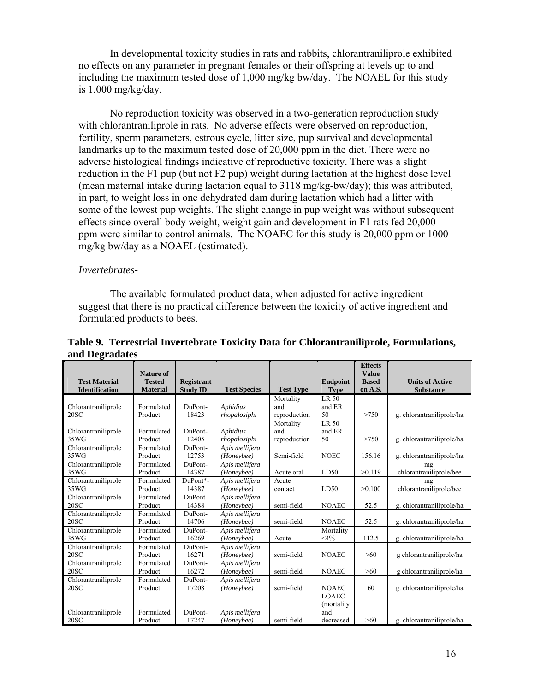In developmental toxicity studies in rats and rabbits, chlorantraniliprole exhibited no effects on any parameter in pregnant females or their offspring at levels up to and including the maximum tested dose of 1,000 mg/kg bw/day. The NOAEL for this study is  $1,000 \text{ mg/kg/day}$ .

No reproduction toxicity was observed in a two-generation reproduction study with chlorantraniliprole in rats. No adverse effects were observed on reproduction, fertility, sperm parameters, estrous cycle, litter size, pup survival and developmental landmarks up to the maximum tested dose of 20,000 ppm in the diet. There were no adverse histological findings indicative of reproductive toxicity. There was a slight reduction in the F1 pup (but not F2 pup) weight during lactation at the highest dose level (mean maternal intake during lactation equal to 3118 mg/kg-bw/day); this was attributed, in part, to weight loss in one dehydrated dam during lactation which had a litter with some of the lowest pup weights. The slight change in pup weight was without subsequent effects since overall body weight, weight gain and development in F1 rats fed 20,000 ppm were similar to control animals. The NOAEC for this study is 20,000 ppm or 1000 mg/kg bw/day as a NOAEL (estimated).

#### *Invertebrates-*

The available formulated product data, when adjusted for active ingredient suggest that there is no practical difference between the toxicity of active ingredient and formulated products to bees.

|                             | <b>Nature of</b>      |                   |                              |                  |                 | <b>Effects</b><br><b>Value</b> |                           |
|-----------------------------|-----------------------|-------------------|------------------------------|------------------|-----------------|--------------------------------|---------------------------|
| <b>Test Material</b>        | <b>Tested</b>         | <b>Registrant</b> |                              |                  | <b>Endpoint</b> | <b>Based</b>                   | <b>Units of Active</b>    |
| <b>Identification</b>       | <b>Material</b>       | <b>Study ID</b>   | <b>Test Species</b>          | <b>Test Type</b> | <b>Type</b>     | on A.S.                        | <b>Substance</b>          |
|                             |                       |                   |                              | Mortality        | LR 50           |                                |                           |
| Chlorantraniliprole         | Formulated            | DuPont-           | <b>Aphidius</b>              | and              | and ER          |                                |                           |
| 20SC                        | Product               | 18423             | rhopalosiphi                 | reproduction     | 50              | >750                           | g. chlorantraniliprole/ha |
|                             |                       |                   |                              | Mortality        | LR 50           |                                |                           |
| Chlorantraniliprole         | Formulated            | DuPont-           | <b>Aphidius</b>              | and              | and ER          |                                |                           |
| 35WG                        | Product               | 12405             | rhopalosiphi                 | reproduction     | 50              | >750                           | g. chlorantraniliprole/ha |
| Chlorantraniliprole         | Formulated            | DuPont-           | Apis mellifera               |                  |                 |                                |                           |
| 35WG                        | Product               | 12753             | (Honeybee)                   | Semi-field       | <b>NOEC</b>     | 156.16                         | g. chlorantraniliprole/ha |
| Chlorantraniliprole         | Formulated            | DuPont-           | Apis mellifera               |                  |                 |                                | mg.                       |
| 35WG                        | Product               | 14387             | (Honeybee)                   | Acute oral       | LD50            | >0.119                         | chlorantraniliprole/bee   |
| Chlorantraniliprole         | Formulated            | DuPont*-          | Apis mellifera               | Acute            |                 |                                | mg.                       |
| 35WG                        | Product               | 14387             | (Honeybee)                   | contact          | LD50            | >0.100                         | chlorantraniliprole/bee   |
| Chlorantraniliprole         | Formulated            | DuPont-           | Apis mellifera               |                  |                 |                                |                           |
| 20SC                        | Product               | 14388             | (Honeybee)                   | semi-field       | <b>NOAEC</b>    | 52.5                           | g. chlorantraniliprole/ha |
| Chlorantraniliprole         | Formulated            | DuPont-           | Apis mellifera               |                  |                 |                                |                           |
| 20SC                        | Product               | 14706             | (Honeybee)                   | semi-field       | <b>NOAEC</b>    | 52.5                           | g. chlorantraniliprole/ha |
| Chlorantraniliprole<br>35WG | Formulated            | DuPont-<br>16269  | Apis mellifera               |                  | Mortality       |                                |                           |
|                             | Product<br>Formulated | DuPont-           | (Honeybee)                   | Acute            | $<\!\!4\!\%$    | 112.5                          | g. chlorantraniliprole/ha |
| Chlorantraniliprole<br>20SC | Product               | 16271             | Apis mellifera               | semi-field       | <b>NOAEC</b>    | >60                            |                           |
|                             |                       |                   | (Honeybee)                   |                  |                 |                                | g chlorantraniliprole/ha  |
| Chlorantraniliprole<br>20SC | Formulated<br>Product | DuPont-<br>16272  | Apis mellifera<br>(Honeybee) | semi-field       | <b>NOAEC</b>    | >60                            |                           |
| Chlorantraniliprole         | Formulated            | DuPont-           | Apis mellifera               |                  |                 |                                | g chlorantraniliprole/ha  |
| 20SC                        | Product               | 17208             | (Honeybee)                   | semi-field       | <b>NOAEC</b>    | 60                             | g. chlorantraniliprole/ha |
|                             |                       |                   |                              |                  | <b>LOAEC</b>    |                                |                           |
|                             |                       |                   |                              |                  | (mortality)     |                                |                           |
| Chlorantraniliprole         | Formulated            | DuPont-           | Apis mellifera               |                  | and             |                                |                           |
| 20SC                        | Product               | 17247             | (Honeybee)                   | semi-field       | decreased       | >60                            | g. chlorantraniliprole/ha |

**Table 9. Terrestrial Invertebrate Toxicity Data for Chlorantraniliprole, Formulations, and Degradates**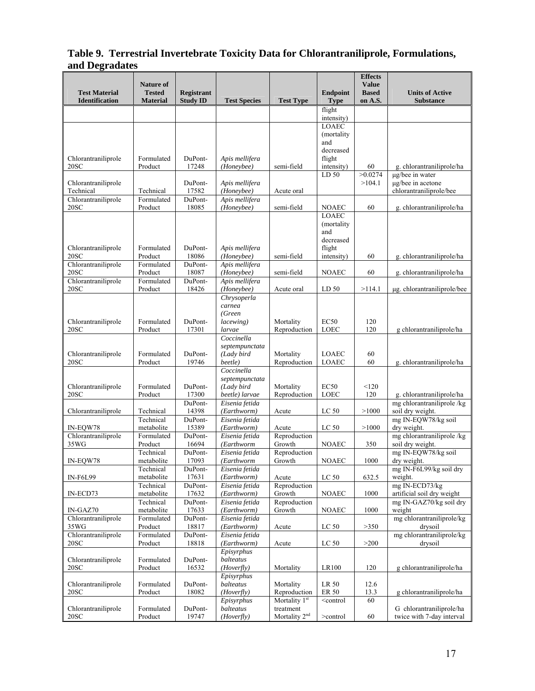#### **Table 9. Terrestrial Invertebrate Toxicity Data for Chlorantraniliprole, Formulations, and Degradates**

|                                               | <b>Nature of</b>                 |                                      |                               |                                        |                                                 | <b>Effects</b><br><b>Value</b> |                                                       |
|-----------------------------------------------|----------------------------------|--------------------------------------|-------------------------------|----------------------------------------|-------------------------------------------------|--------------------------------|-------------------------------------------------------|
| <b>Test Material</b><br><b>Identification</b> | <b>Tested</b><br><b>Material</b> | <b>Registrant</b><br><b>Study ID</b> | <b>Test Species</b>           | <b>Test Type</b>                       | <b>Endpoint</b><br><b>Type</b>                  | <b>Based</b><br>on A.S.        | <b>Units of Active</b><br><b>Substance</b>            |
|                                               |                                  |                                      |                               |                                        | flight                                          |                                |                                                       |
|                                               |                                  |                                      |                               |                                        | intensity)<br><b>LOAEC</b>                      |                                |                                                       |
|                                               |                                  |                                      |                               |                                        | (mortality)                                     |                                |                                                       |
|                                               |                                  |                                      |                               |                                        | and                                             |                                |                                                       |
| Chlorantraniliprole                           | Formulated                       | DuPont-                              | Apis mellifera                |                                        | decreased<br>flight                             |                                |                                                       |
| 20SC                                          | Product                          | 17248                                | (Honeybee)                    | semi-field                             | intensity)                                      | 60                             | g. chlorantraniliprole/ha                             |
|                                               |                                  |                                      |                               |                                        | LD 50                                           | >0.0274                        | µg/bee in water                                       |
| Chlorantraniliprole<br>Technical              | Technical                        | DuPont-<br>17582                     | Apis mellifera<br>(Honeybee)  | Acute oral                             |                                                 | >104.1                         | µg/bee in acetone<br>chlorantraniliprole/bee          |
| Chlorantraniliprole                           | Formulated                       | DuPont-                              | Apis mellifera                |                                        |                                                 |                                |                                                       |
| 20SC                                          | Product                          | 18085                                | (Honeybee)                    | semi-field                             | <b>NOAEC</b>                                    | 60                             | g. chlorantraniliprole/ha                             |
|                                               |                                  |                                      |                               |                                        | <b>LOAEC</b><br>(mortality)                     |                                |                                                       |
|                                               |                                  |                                      |                               |                                        | and                                             |                                |                                                       |
|                                               |                                  |                                      |                               |                                        | decreased                                       |                                |                                                       |
| Chlorantraniliprole<br>20SC                   | Formulated<br>Product            | DuPont-<br>18086                     | Apis mellifera<br>(Honeybee)  | semi-field                             | flight<br>intensity)                            | 60                             | g. chlorantraniliprole/ha                             |
| Chlorantraniliprole                           | Formulated                       | DuPont-                              | Apis mellifera                |                                        |                                                 |                                |                                                       |
| 20SC                                          | Product                          | 18087                                | (Honeybee)                    | semi-field                             | <b>NOAEC</b>                                    | 60                             | g. chlorantraniliprole/ha                             |
| Chlorantraniliprole<br>20SC                   | Formulated<br>Product            | DuPont-<br>18426                     | Apis mellifera<br>(Honeybee)  | Acute oral                             | LD <sub>50</sub>                                | >114.1                         | μg. chlorantraniliprole/bee                           |
|                                               |                                  |                                      | Chrysoperla                   |                                        |                                                 |                                |                                                       |
|                                               |                                  |                                      | carnea                        |                                        |                                                 |                                |                                                       |
| Chlorantraniliprole                           | Formulated                       | DuPont-                              | (Green<br>lacewing)           | Mortality                              | EC <sub>50</sub>                                | 120                            |                                                       |
| 20SC                                          | Product                          | 17301                                | larvae                        | Reproduction                           | LOEC                                            | 120                            | g chlorantraniliprole/ha                              |
|                                               |                                  |                                      | Coccinella                    |                                        |                                                 |                                |                                                       |
| Chlorantraniliprole                           | Formulated                       | DuPont-                              | septempunctata<br>(Lady bird  | Mortality                              | <b>LOAEC</b>                                    | 60                             |                                                       |
| 20SC                                          | Product                          | 19746                                | beetle)                       | Reproduction                           | LOAEC                                           | 60                             | g. chlorantraniliprole/ha                             |
|                                               |                                  |                                      | Coccinella                    |                                        |                                                 |                                |                                                       |
| Chlorantraniliprole                           | Formulated                       | DuPont-                              | septempunctata<br>(Lady bird  | Mortality                              | EC <sub>50</sub>                                | < 120                          |                                                       |
| 20SC                                          | Product                          | 17300                                | beetle) larvae                | Reproduction                           | LOEC                                            | 120                            | g. chlorantraniliprole/ha                             |
|                                               |                                  | DuPont-<br>14398                     | Eisenia fetida                |                                        |                                                 |                                | mg chlorantraniliprole/kg                             |
| Chlorantraniliprole                           | Technical<br>Technical           | DuPont-                              | (Earthworm)<br>Eisenia fetida | Acute                                  | LC 50                                           | >1000                          | soil dry weight.<br>mg IN-EQW78/kg soil               |
| IN-EOW78                                      | metabolite                       | 15389                                | (Earthworm)                   | Acute                                  | LC 50                                           | >1000                          | dry weight.                                           |
| Chlorantraniliprole                           | Formulated                       | DuPont-                              | Eisenia fetida                | Reproduction                           |                                                 |                                | mg chlorantraniliprole/kg                             |
| 35WG                                          | Product<br>Technical             | 16694<br>DuPont-                     | (Earthworm<br>Eisenia fetida  | Growth<br>Reproduction                 | <b>NOAEC</b>                                    | 350                            | soil dry weight.<br>mg IN-EQW78/kg soil               |
| IN-EQW78                                      | metabolite                       | 17093                                | (Earthworm                    | Growth                                 | <b>NOAEC</b>                                    | 1000                           | dry weight.                                           |
|                                               | Technical<br>metabolite          | DuPont-<br>17631                     | Eisenia fetida<br>(Earthworm) |                                        | LC 50                                           | 632.5                          | mg IN-F6L99/kg soil dry<br>weight.                    |
| <b>IN-F6L99</b>                               | Technical                        | DuPont-                              | Eisenia fetida                | Acute<br>Reproduction                  |                                                 |                                | mg IN-ECD73/kg                                        |
| IN-ECD73                                      | metabolite                       | 17632                                | (Earthworm)                   | Growth                                 | <b>NOAEC</b>                                    | 1000                           | artificial soil dry weight                            |
| $IN-GAZ70$                                    | Technical<br>metabolite          | DuPont-<br>17633                     | Eisenia fetida<br>(Earthworm) | Reproduction<br>Growth                 |                                                 |                                | mg IN-GAZ70/kg soil dry<br>weight                     |
| Chlorantraniliprole                           | Formulated                       | DuPont-                              | Eisenia fetida                |                                        | <b>NOAEC</b>                                    | 1000                           | mg chlorantraniliprole/kg                             |
| 35WG                                          | Product                          | 18817                                | (Earthworm)                   | Acute                                  | LC 50                                           | >350                           | drysoil                                               |
| Chlorantraniliprole                           | Formulated                       | DuPont-                              | Eisenia fetida                |                                        |                                                 |                                | mg chlorantraniliprole/kg                             |
| 20SC                                          | Product                          | 18818                                | (Earthworm)<br>Episyrphus     | Acute                                  | LC 50                                           | >200                           | drysoil                                               |
| Chlorantraniliprole                           | Formulated                       | DuPont-                              | balteatus                     |                                        |                                                 |                                |                                                       |
| 20SC                                          | Product                          | 16532                                | (Hoverfly)                    | Mortality                              | LR100                                           | 120                            | g chlorantraniliprole/ha                              |
| Chlorantraniliprole                           | Formulated                       | DuPont-                              | Episyrphus<br>balteatus       | Mortality                              | LR 50                                           | 12.6                           |                                                       |
| 20SC                                          | Product                          | 18082                                | (Hoverfly)                    | Reproduction                           | ER 50                                           | 13.3                           | g chlorantraniliprole/ha                              |
|                                               |                                  |                                      | Episyrphus                    | Mortality 1 <sup>st</sup>              | <control< td=""><td>60</td><td></td></control<> | 60                             |                                                       |
| Chlorantraniliprole<br>20SC                   | Formulated<br>Product            | DuPont-<br>19747                     | balteatus<br>(Hoverfly)       | treatment<br>Mortality 2 <sup>nd</sup> | $>$ control                                     | 60                             | G chlorantraniliprole/ha<br>twice with 7-day interval |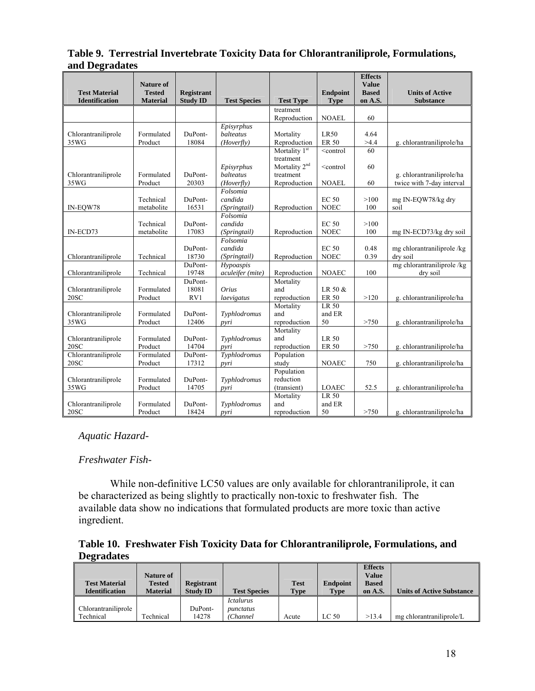#### **Table 9. Terrestrial Invertebrate Toxicity Data for Chlorantraniliprole, Formulations, and Degradates**

|                                               | <b>Nature of</b>                 |                                      |                         |                           |                                                 | <b>Effects</b><br><b>Value</b> |                                            |
|-----------------------------------------------|----------------------------------|--------------------------------------|-------------------------|---------------------------|-------------------------------------------------|--------------------------------|--------------------------------------------|
| <b>Test Material</b><br><b>Identification</b> | <b>Tested</b><br><b>Material</b> | <b>Registrant</b><br><b>Study ID</b> | <b>Test Species</b>     | <b>Test Type</b>          | <b>Endpoint</b><br><b>Type</b>                  | <b>Based</b><br>on A.S.        | <b>Units of Active</b><br><b>Substance</b> |
|                                               |                                  |                                      |                         | treatment                 |                                                 |                                |                                            |
|                                               |                                  |                                      |                         | Reproduction              | <b>NOAEL</b>                                    | 60                             |                                            |
| Chlorantraniliprole                           | Formulated                       | DuPont-                              | Episyrphus<br>balteatus | Mortality                 | <b>LR50</b>                                     | 4.64                           |                                            |
| 35WG                                          | Product                          | 18084                                | (Hoverfly)              | Reproduction              | <b>ER 50</b>                                    | >4.4                           | g. chlorantraniliprole/ha                  |
|                                               |                                  |                                      |                         | Mortality 1 <sup>st</sup> | <control< td=""><td>60</td><td></td></control<> | 60                             |                                            |
|                                               |                                  |                                      |                         | treatment                 |                                                 |                                |                                            |
|                                               |                                  |                                      | Episyrphus              | Mortality 2 <sup>nd</sup> | $\leq$ control                                  | 60                             |                                            |
| Chlorantraniliprole                           | Formulated                       | DuPont-                              | balteatus               | treatment                 |                                                 |                                | g. chlorantraniliprole/ha                  |
| 35WG                                          | Product                          | 20303                                | (Hoverfly)<br>Folsomia  | Reproduction              | <b>NOAEL</b>                                    | 60                             | twice with 7-day interval                  |
|                                               | Technical                        | DuPont-                              | candida                 |                           | <b>EC 50</b>                                    | >100                           | mg IN-EQW78/kg dry                         |
| IN-EQW78                                      | metabolite                       | 16531                                | (Springtail)            | Reproduction              | <b>NOEC</b>                                     | 100                            | soil                                       |
|                                               |                                  |                                      | Folsomia                |                           |                                                 |                                |                                            |
|                                               | Technical                        | DuPont-                              | candida                 |                           | <b>EC 50</b>                                    | >100                           |                                            |
| IN-ECD73                                      | metabolite                       | 17083                                | (Springtail)            | Reproduction              | <b>NOEC</b>                                     | 100                            | mg IN-ECD73/kg dry soil                    |
|                                               |                                  |                                      | Folsomia                |                           |                                                 |                                |                                            |
|                                               |                                  | DuPont-                              | candida                 |                           | <b>EC 50</b>                                    | 0.48                           | mg chlorantraniliprole/kg                  |
| Chlorantraniliprole                           | Technical                        | 18730                                | (Springtail)            | Reproduction              | <b>NOEC</b>                                     | 0.39                           | dry soil                                   |
|                                               |                                  | DuPont-                              | Hypoaspis               |                           |                                                 |                                | mg chlorantraniliprole/kg                  |
| Chlorantraniliprole                           | Technical                        | 19748                                | aculeifer (mite)        | Reproduction              | <b>NOAEC</b>                                    | 100                            | dry soil                                   |
|                                               |                                  | DuPont-                              |                         | Mortality                 |                                                 |                                |                                            |
| Chlorantraniliprole                           | Formulated                       | 18081                                | Orius                   | and                       | LR 50 &                                         |                                |                                            |
| 20SC                                          | Product                          | RV1                                  | laevigatus              | reproduction<br>Mortality | ER 50<br>LR 50                                  | >120                           | g. chlorantraniliprole/ha                  |
| Chlorantraniliprole                           | Formulated                       | DuPont-                              | Typhlodromus            | and                       | and ER                                          |                                |                                            |
| 35WG                                          | Product                          | 12406                                | pyri                    | reproduction              | 50                                              | >750                           | g. chlorantraniliprole/ha                  |
|                                               |                                  |                                      |                         | Mortality                 |                                                 |                                |                                            |
| Chlorantraniliprole                           | Formulated                       | DuPont-                              | Typhlodromus            | and                       | LR 50                                           |                                |                                            |
| 20SC                                          | Product                          | 14704                                | pyri                    | reproduction              | <b>ER 50</b>                                    | >750                           | g. chlorantraniliprole/ha                  |
| Chlorantraniliprole                           | Formulated                       | DuPont-                              | Typhlodromus            | Population                |                                                 |                                |                                            |
| 20SC                                          | Product                          | 17312                                | pyri                    | study                     | <b>NOAEC</b>                                    | 750                            | g. chlorantraniliprole/ha                  |
|                                               |                                  |                                      |                         | Population                |                                                 |                                |                                            |
| Chlorantraniliprole                           | Formulated                       | DuPont-                              | Typhlodromus            | reduction                 |                                                 |                                |                                            |
| 35WG                                          | Product                          | 14705                                | pyri                    | (transient)               | LOAEC                                           | 52.5                           | g. chlorantraniliprole/ha                  |
|                                               |                                  |                                      |                         | Mortality                 | LR 50                                           |                                |                                            |
| Chlorantraniliprole                           | Formulated                       | DuPont-                              | Typhlodromus            | and                       | and ER                                          |                                |                                            |
| 20SC                                          | Product                          | 18424                                | pyri                    | reproduction              | 50                                              | >750                           | g. chlorantraniliprole/ha                  |

*Aquatic Hazard-*

## *Freshwater Fish-*

 While non-definitive LC50 values are only available for chlorantraniliprole, it can be characterized as being slightly to practically non-toxic to freshwater fish. The available data show no indications that formulated products are more toxic than active ingredient.

**Table 10. Freshwater Fish Toxicity Data for Chlorantraniliprole, Formulations, and Degradates** 

|                       |                  |                   |                     |             |                  | <b>Effects</b> |                                  |
|-----------------------|------------------|-------------------|---------------------|-------------|------------------|----------------|----------------------------------|
|                       | Nature of        |                   |                     |             |                  | <b>Value</b>   |                                  |
| <b>Test Material</b>  | <b>Tested</b>    | <b>Registrant</b> |                     | <b>Test</b> | <b>Endpoint</b>  | <b>Based</b>   |                                  |
| <b>Identification</b> | <b>Material</b>  | <b>Study ID</b>   | <b>Test Species</b> | <b>Type</b> | <b>Type</b>      | on A.S.        | <b>Units of Active Substance</b> |
|                       |                  |                   | <i>Ictalurus</i>    |             |                  |                |                                  |
| Chlorantraniliprole   |                  | DuPont-           | punctatus           |             |                  |                |                                  |
| Technical             | <b>Technical</b> | 14278             | (Channel            | Acute       | LC <sub>50</sub> | >13.4          | mg chlorantraniliprole/L         |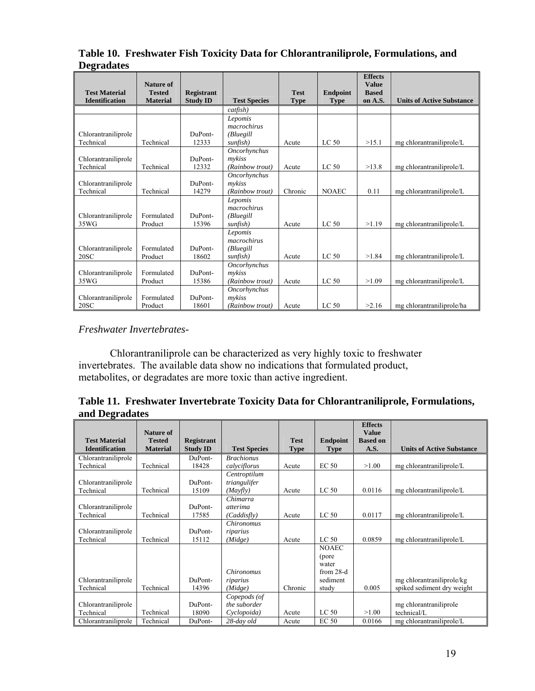|                                  | Nature of             |                   |                           |             |                  | <b>Effects</b><br><b>Value</b> |                                  |
|----------------------------------|-----------------------|-------------------|---------------------------|-------------|------------------|--------------------------------|----------------------------------|
| <b>Test Material</b>             | <b>Tested</b>         | <b>Registrant</b> |                           | <b>Test</b> | <b>Endpoint</b>  | <b>Based</b>                   |                                  |
| <b>Identification</b>            | <b>Material</b>       | <b>Study ID</b>   | <b>Test Species</b>       | <b>Type</b> | <b>Type</b>      | on A.S.                        | <b>Units of Active Substance</b> |
|                                  |                       |                   | catfish)                  |             |                  |                                |                                  |
|                                  |                       |                   | Lepomis                   |             |                  |                                |                                  |
|                                  |                       |                   | macrochirus               |             |                  |                                |                                  |
| Chlorantraniliprole              |                       | DuPont-           | (Bluegill                 |             |                  |                                |                                  |
| Technical                        | Technical             | 12333             | sunfish)                  | Acute       | LC <sub>50</sub> | >15.1                          | mg chlorantraniliprole/L         |
|                                  |                       | DuPont-           | Oncorhynchus              |             |                  |                                |                                  |
| Chlorantraniliprole<br>Technical | Technical             | 12332             | mvkiss<br>(Rainbow trout) | Acute       | LC <sub>50</sub> | >13.8                          | mg chlorantraniliprole/L         |
|                                  |                       |                   | Oncorhynchus              |             |                  |                                |                                  |
| Chlorantraniliprole              |                       | DuPont-           | mykiss                    |             |                  |                                |                                  |
| Technical                        | Technical             | 14279             | (Rainbow trout)           | Chronic     | <b>NOAEC</b>     | 0.11                           | mg chlorantraniliprole/L         |
|                                  |                       |                   | Lepomis                   |             |                  |                                |                                  |
|                                  |                       |                   | macrochirus               |             |                  |                                |                                  |
| Chlorantraniliprole              | Formulated            | DuPont-           | (Bluegill                 |             |                  |                                |                                  |
| 35WG                             | Product               | 15396             | sunfish)                  | Acute       | LC <sub>50</sub> | >1.19                          | mg chlorantraniliprole/L         |
|                                  |                       |                   | Lepomis                   |             |                  |                                |                                  |
|                                  |                       |                   | macrochirus               |             |                  |                                |                                  |
| Chlorantraniliprole<br>20SC      | Formulated<br>Product | DuPont-<br>18602  | (Bluegill                 | Acute       | LC <sub>50</sub> | >1.84                          |                                  |
|                                  |                       |                   | sunfish)<br>Oncorhynchus  |             |                  |                                | mg chlorantraniliprole/L         |
| Chlorantraniliprole              | Formulated            | DuPont-           | mykiss                    |             |                  |                                |                                  |
| 35WG                             | Product               | 15386             | (Rainbow trout)           | Acute       | LC <sub>50</sub> | >1.09                          | mg chlorantraniliprole/L         |
|                                  |                       |                   | Oncorhynchus              |             |                  |                                |                                  |
| Chlorantraniliprole              | Formulated            | DuPont-           | mykiss                    |             |                  |                                |                                  |
| 20SC                             | Product               | 18601             | (Rainbow trout)           | Acute       | LC <sub>50</sub> | >2.16                          | mg chlorantraniliprole/ha        |

## **Table 10. Freshwater Fish Toxicity Data for Chlorantraniliprole, Formulations, and Degradates**

## *Freshwater Invertebrates-*

Chlorantraniliprole can be characterized as very highly toxic to freshwater invertebrates. The available data show no indications that formulated product, metabolites, or degradates are more toxic than active ingredient.

## **Table 11. Freshwater Invertebrate Toxicity Data for Chlorantraniliprole, Formulations, and Degradates**

|                                  |                            |                   |                                             |             |                                                                    | <b>Effects</b>                  |                                                         |
|----------------------------------|----------------------------|-------------------|---------------------------------------------|-------------|--------------------------------------------------------------------|---------------------------------|---------------------------------------------------------|
| <b>Test Material</b>             | Nature of<br><b>Tested</b> | <b>Registrant</b> |                                             | <b>Test</b> | <b>Endpoint</b>                                                    | <b>Value</b><br><b>Based on</b> |                                                         |
| <b>Identification</b>            | <b>Material</b>            | <b>Study ID</b>   | <b>Test Species</b>                         | <b>Type</b> | <b>Type</b>                                                        | A.S.                            | <b>Units of Active Substance</b>                        |
| Chlorantraniliprole              |                            | DuPont-           | <b>Brachionus</b>                           |             |                                                                    |                                 |                                                         |
| Technical                        | Technical                  | 18428             | calvciflorus                                | Acute       | EC <sub>50</sub>                                                   | >1.00                           | mg chlorantraniliprole/L                                |
| Chlorantraniliprole<br>Technical | Technical                  | DuPont-<br>15109  | Centroptilum<br>triangulifer<br>(Mayfly)    | Acute       | LC <sub>50</sub>                                                   | 0.0116                          | mg chlorantraniliprole/L                                |
| Chlorantraniliprole<br>Technical | Technical                  | DuPont-<br>17585  | Chimarra<br><i>atterima</i><br>(Caddisfly)  | Acute       | LC <sub>50</sub>                                                   | 0.0117                          | mg chlorantraniliprole/L                                |
| Chlorantraniliprole<br>Technical | Technical                  | DuPont-<br>15112  | <i>Chironomus</i><br>riparius<br>(Midge)    | Acute       | LC <sub>50</sub>                                                   | 0.0859                          | mg chlorantraniliprole/L                                |
| Chlorantraniliprole<br>Technical | Technical                  | DuPont-<br>14396  | <i>Chironomus</i><br>riparius<br>(Midge)    | Chronic     | <b>NOAEC</b><br>(pore<br>water<br>from $28-d$<br>sediment<br>study | 0.005                           | mg chlorantraniliprole/kg<br>spiked sediment dry weight |
| Chlorantraniliprole<br>Technical | Technical                  | DuPont-<br>18090  | Copepods (of<br>the suborder<br>Cyclopoida) | Acute       | LC <sub>50</sub>                                                   | >1.00                           | mg chlorantraniliprole<br>technical/L                   |
| Chlorantraniliprole              | Technical                  | DuPont-           | 28-day old                                  | Acute       | <b>EC 50</b>                                                       | 0.0166                          | mg chlorantraniliprole/L                                |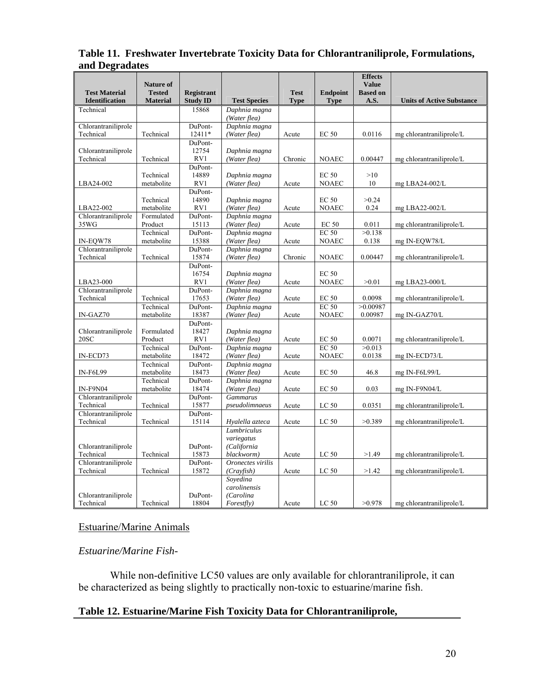## **Table 11. Freshwater Invertebrate Toxicity Data for Chlorantraniliprole, Formulations, and Degradates**

|                       | <b>Nature of</b>     |                   |                                |             |                         | <b>Effects</b><br><b>Value</b> |                                  |
|-----------------------|----------------------|-------------------|--------------------------------|-------------|-------------------------|--------------------------------|----------------------------------|
| <b>Test Material</b>  | <b>Tested</b>        | <b>Registrant</b> |                                | <b>Test</b> | <b>Endpoint</b>         | <b>Based on</b>                |                                  |
| <b>Identification</b> | <b>Material</b>      | <b>Study ID</b>   | <b>Test Species</b>            | <b>Type</b> | <b>Type</b>             | A.S.                           | <b>Units of Active Substance</b> |
| Technical             |                      | 15868             | Daphnia magna                  |             |                         |                                |                                  |
|                       |                      |                   | (Water flea)                   |             |                         |                                |                                  |
| Chlorantraniliprole   |                      | DuPont-           | Daphnia magna                  |             |                         |                                |                                  |
| Technical             | Technical            | 12411*<br>DuPont- | (Water flea)                   | Acute       | <b>EC 50</b>            | 0.0116                         | mg chlorantraniliprole/L         |
| Chlorantraniliprole   |                      | 12754             | Daphnia magna                  |             |                         |                                |                                  |
| Technical             | Technical            | RV1               | (Water flea)                   | Chronic     | <b>NOAEC</b>            | 0.00447                        | mg chlorantraniliprole/L         |
|                       |                      | DuPont-           |                                |             |                         |                                |                                  |
|                       | Technical            | 14889             | Daphnia magna                  |             | <b>EC 50</b>            | >10                            |                                  |
| LBA24-002             | metabolite           | RV1               | (Water flea)                   | Acute       | <b>NOAEC</b>            | 10                             | mg LBA24-002/L                   |
|                       |                      | DuPont-           |                                |             |                         |                                |                                  |
|                       | Technical            | 14890             | Daphnia magna                  |             | <b>EC 50</b>            | >0.24                          |                                  |
| LBA22-002             | metabolite           | RV1               | (Water flea)                   | Acute       | <b>NOAEC</b>            | 0.24                           | mg LBA22-002/L                   |
| Chlorantraniliprole   | Formulated           | DuPont-           | Daphnia magna                  |             |                         |                                |                                  |
| 35WG                  | Product<br>Technical | 15113<br>DuPont-  | (Water flea)<br>Daphnia magna  | Acute       | <b>EC 50</b><br>$EC$ 50 | 0.011<br>>0.138                | mg chlorantraniliprole/L         |
| IN-EQW78              | metabolite           | 15388             | (Water flea)                   | Acute       | <b>NOAEC</b>            | 0.138                          | mg IN-EQW78/L                    |
| Chlorantraniliprole   |                      | DuPont-           | Daphnia magna                  |             |                         |                                |                                  |
| Technical             | Technical            | 15874             | (Water flea)                   | Chronic     | <b>NOAEC</b>            | 0.00447                        | mg chlorantraniliprole/L         |
|                       |                      | DuPont-           |                                |             |                         |                                |                                  |
|                       |                      | 16754             | Daphnia magna                  |             | <b>EC 50</b>            |                                |                                  |
| LBA23-000             |                      | RV1               | (Water flea)                   | Acute       | <b>NOAEC</b>            | >0.01                          | mg $LBA23-000/L$                 |
| Chlorantraniliprole   |                      | DuPont-           | Daphnia magna                  |             |                         |                                |                                  |
| Technical             | Technical            | 17653             | (Water flea)                   | Acute       | <b>EC 50</b>            | 0.0098                         | mg chlorantraniliprole/L         |
|                       | Technical            | DuPont-           | Daphnia magna                  |             | <b>EC 50</b>            | >0.00987                       |                                  |
| $IN-GAZ70$            | metabolite           | 18387             | (Water flea)                   | Acute       | <b>NOAEC</b>            | 0.00987                        | mg IN-GAZ70/L                    |
| Chlorantraniliprole   | Formulated           | DuPont-<br>18427  |                                |             |                         |                                |                                  |
| 20SC                  | Product              | RV1               | Daphnia magna<br>(Water flea)  | Acute       | <b>EC 50</b>            | 0.0071                         | mg chlorantraniliprole/L         |
|                       | Technical            | DuPont-           | Daphnia magna                  |             | <b>EC 50</b>            | >0.013                         |                                  |
| IN-ECD73              | metabolite           | 18472             | (Water flea)                   | Acute       | <b>NOAEC</b>            | 0.0138                         | mg IN-ECD73/L                    |
|                       | Technical            | DuPont-           | Daphnia magna                  |             |                         |                                |                                  |
| <b>IN-F6L99</b>       | metabolite           | 18473             | (Water flea)                   | Acute       | EC <sub>50</sub>        | 46.8                           | mg IN-F6L99/L                    |
|                       | Technical            | DuPont-           | Daphnia magna                  |             |                         |                                |                                  |
| <b>IN-F9N04</b>       | metabolite           | 18474             | (Water flea)                   | Acute       | <b>EC 50</b>            | 0.03                           | mg IN-F9N04/L                    |
| Chlorantraniliprole   |                      | DuPont-           | <b>Gammarus</b>                |             |                         |                                |                                  |
| Technical             | Technical            | 15877             | pseudolimnaeus                 | Acute       | LC <sub>50</sub>        | 0.0351                         | mg chlorantraniliprole/L         |
| Chlorantraniliprole   |                      | DuPont-           |                                |             |                         |                                |                                  |
| Technical             | Technical            | 15114             | Hyalella azteca<br>Lumbriculus | Acute       | LC 50                   | >0.389                         | mg chlorantraniliprole/L         |
|                       |                      |                   | variegatus                     |             |                         |                                |                                  |
| Chlorantraniliprole   |                      | DuPont-           | (California                    |             |                         |                                |                                  |
| Technical             | Technical            | 15873             | blackworm)                     | Acute       | LC <sub>50</sub>        | >1.49                          | mg chlorantraniliprole/L         |
| Chlorantraniliprole   |                      | DuPont-           | Oronectes virilis              |             |                         |                                |                                  |
| Technical             | Technical            | 15872             | (Crayfish)                     | Acute       | LC 50                   | >1.42                          | mg chlorantraniliprole/L         |
|                       |                      |                   | Soyedina                       |             |                         |                                |                                  |
|                       |                      |                   | carolinensis                   |             |                         |                                |                                  |
| Chlorantraniliprole   |                      | DuPont-           | (Carolina                      |             |                         |                                |                                  |
| Technical             | Technical            | 18804             | $Forest fly$ )                 | Acute       | LC 50                   | >0.978                         | mg chlorantraniliprole/L         |

## Estuarine/Marine Animals

## *Estuarine/Marine Fish-*

While non-definitive LC50 values are only available for chlorantraniliprole, it can be characterized as being slightly to practically non-toxic to estuarine/marine fish.

## **Table 12. Estuarine/Marine Fish Toxicity Data for Chlorantraniliprole,**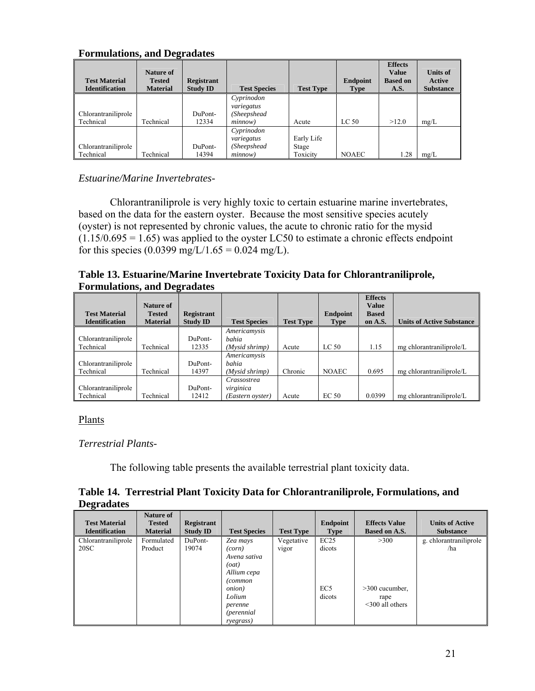| <b>Test Material</b><br><b>Identification</b> | Nature of<br><b>Tested</b><br><b>Material</b> | <b>Registrant</b><br><b>Study ID</b> | <b>Test Species</b>      | <b>Test Type</b> | Endpoint<br>Type | <b>Effects</b><br><b>Value</b><br><b>Based on</b><br>A.S. | <b>Units of</b><br>Active<br><b>Substance</b> |
|-----------------------------------------------|-----------------------------------------------|--------------------------------------|--------------------------|------------------|------------------|-----------------------------------------------------------|-----------------------------------------------|
|                                               |                                               |                                      | Cyprinodon<br>variegatus |                  |                  |                                                           |                                               |
| Chlorantraniliprole                           |                                               | DuPont-                              | (Sheepshead              |                  |                  |                                                           |                                               |
| Technical                                     | Technical                                     | 12334                                | minnow)                  | Acute            | LC <sub>50</sub> | >12.0                                                     | mg/L                                          |
|                                               |                                               |                                      | Cyprinodon               |                  |                  |                                                           |                                               |
|                                               |                                               |                                      | variegatus               | Early Life       |                  |                                                           |                                               |
| Chlorantraniliprole                           |                                               | DuPont-                              | (Sheepshead              | Stage            |                  |                                                           |                                               |
| Technical                                     | Technical                                     | 14394                                | minnow)                  | Toxicity         | <b>NOAEC</b>     | 1.28                                                      | mg/L                                          |

#### **Formulations, and Degradates**

*Estuarine/Marine Invertebrates-*

Chlorantraniliprole is very highly toxic to certain estuarine marine invertebrates, based on the data for the eastern oyster. Because the most sensitive species acutely (oyster) is not represented by chronic values, the acute to chronic ratio for the mysid  $(1.15/0.695 = 1.65)$  was applied to the oyster LC50 to estimate a chronic effects endpoint for this species (0.0399 mg/L/1.65 = 0.024 mg/L).

#### **Table 13. Estuarine/Marine Invertebrate Toxicity Data for Chlorantraniliprole, Formulations, and Degradates**

|                                               | Nature of                        |                                      |                                                |                  |                  | <b>Effects</b><br><b>Value</b> |                                  |
|-----------------------------------------------|----------------------------------|--------------------------------------|------------------------------------------------|------------------|------------------|--------------------------------|----------------------------------|
| <b>Test Material</b><br><b>Identification</b> | <b>Tested</b><br><b>Material</b> | <b>Registrant</b><br><b>Study ID</b> | <b>Test Species</b>                            | <b>Test Type</b> | Endpoint<br>Type | <b>Based</b><br>on A.S.        | <b>Units of Active Substance</b> |
| Chlorantraniliprole                           |                                  | DuPont-                              | Americamysis<br><i>bahia</i>                   |                  |                  |                                |                                  |
| Technical                                     | Technical                        | 12335                                | (Mysid shrimp)                                 | Acute            | LC 50            | 1.15                           | mg chlorantraniliprole/L         |
| Chlorantraniliprole<br>Technical              | Technical                        | DuPont-<br>14397                     | Americamysis<br><b>bahia</b><br>(Mysid shrimp) | Chronic          | <b>NOAEC</b>     | 0.695                          | mg chlorantraniliprole/L         |
| Chlorantraniliprole<br>Technical              | Technical                        | DuPont-<br>12412                     | Crassostrea<br>virginica<br>(Eastern oyster)   | Acute            | EC <sub>50</sub> | 0.0399                         | mg chlorantraniliprole/L         |

## Plants

*Terrestrial Plants-*

The following table presents the available terrestrial plant toxicity data.

## **Table 14. Terrestrial Plant Toxicity Data for Chlorantraniliprole, Formulations, and Degradates**

| <b>Test Material</b><br><b>Identification</b> | <b>Nature of</b><br><b>Tested</b><br><b>Material</b> | Registrant<br><b>Study ID</b> | <b>Test Species</b> | <b>Test Type</b> | Endpoint<br><b>Type</b> | <b>Effects Value</b><br><b>Based on A.S.</b> | <b>Units of Active</b><br><b>Substance</b> |
|-----------------------------------------------|------------------------------------------------------|-------------------------------|---------------------|------------------|-------------------------|----------------------------------------------|--------------------------------------------|
| Chlorantraniliprole                           | Formulated                                           | DuPont-                       | Zea mays            | Vegetative       | EC25                    | >300                                         | g. chlorantraniliprole                     |
| 20SC                                          | Product                                              | 19074                         | (corn)              | <b>VIgor</b>     | dicots                  |                                              | /ha                                        |
|                                               |                                                      |                               | Avena sativa        |                  |                         |                                              |                                            |
|                                               |                                                      |                               | (oat)               |                  |                         |                                              |                                            |
|                                               |                                                      |                               | Allium cepa         |                  |                         |                                              |                                            |
|                                               |                                                      |                               | (common             |                  |                         |                                              |                                            |
|                                               |                                                      |                               | <i>onion</i> )      |                  | EC <sub>5</sub>         | $>300$ cucumber.                             |                                            |
|                                               |                                                      |                               | Lolium              |                  | dicots                  | rape                                         |                                            |
|                                               |                                                      |                               | perenne             |                  |                         | $\leq$ 300 all others                        |                                            |
|                                               |                                                      |                               | <i>(perennial)</i>  |                  |                         |                                              |                                            |
|                                               |                                                      |                               | ryegrass)           |                  |                         |                                              |                                            |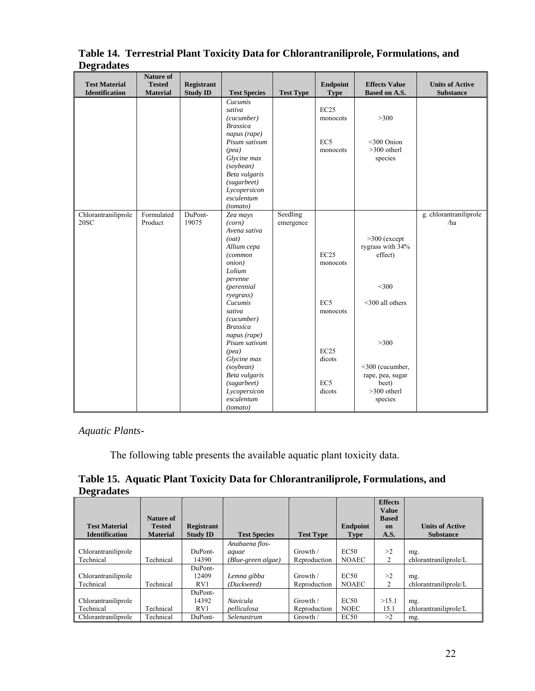|                       | Nature of       |                 |                      |                  |                 |                      |                        |
|-----------------------|-----------------|-----------------|----------------------|------------------|-----------------|----------------------|------------------------|
| <b>Test Material</b>  | <b>Tested</b>   | Registrant      |                      |                  | <b>Endpoint</b> | <b>Effects Value</b> | <b>Units of Active</b> |
| <b>Identification</b> | <b>Material</b> | <b>Study ID</b> | <b>Test Species</b>  | <b>Test Type</b> | <b>Type</b>     | <b>Based on A.S.</b> | <b>Substance</b>       |
|                       |                 |                 | Cucumis              |                  |                 |                      |                        |
|                       |                 |                 | sativa               |                  | EC25            |                      |                        |
|                       |                 |                 | (cucumber)           |                  | monocots        | $>300$               |                        |
|                       |                 |                 | <b>Brassica</b>      |                  |                 |                      |                        |
|                       |                 |                 | napus (rape)         |                  |                 |                      |                        |
|                       |                 |                 | Pisum sativum        |                  | EC <sub>5</sub> | <300 Onion           |                        |
|                       |                 |                 | (pea)                |                  | monocots        | $>300$ otherl        |                        |
|                       |                 |                 | Glycine max          |                  |                 | species              |                        |
|                       |                 |                 | (sovbean)            |                  |                 |                      |                        |
|                       |                 |                 | Beta vulgaris        |                  |                 |                      |                        |
|                       |                 |                 | (sugarbeet)          |                  |                 |                      |                        |
|                       |                 |                 | Lycopersicon         |                  |                 |                      |                        |
|                       |                 |                 | esculentum           |                  |                 |                      |                        |
|                       |                 |                 | (tomato)             |                  |                 |                      |                        |
| Chlorantraniliprole   | Formulated      | DuPont-         | Zea mays             | Seedling         |                 |                      | g. chlorantraniliprole |
| 20SC                  | Product         | 19075           | (corn)               | emergence        |                 |                      | /ha                    |
|                       |                 |                 | Avena sativa         |                  |                 |                      |                        |
|                       |                 |                 | (oat)                |                  |                 | $>300$ (except       |                        |
|                       |                 |                 | Allium cepa          |                  |                 | rygrass with 34%     |                        |
|                       |                 |                 | (common              |                  | EC25            | effect)              |                        |
|                       |                 |                 | onion)               |                  | monocots        |                      |                        |
|                       |                 |                 | Lolium               |                  |                 |                      |                        |
|                       |                 |                 | perenne              |                  |                 | $<$ 300              |                        |
|                       |                 |                 | <i>(perennial</i>    |                  |                 |                      |                        |
|                       |                 |                 | ryegrass)<br>Cucumis |                  | EC <sub>5</sub> | $<$ 300 all others   |                        |
|                       |                 |                 | sativa               |                  | monocots        |                      |                        |
|                       |                 |                 | (cucumber)           |                  |                 |                      |                        |
|                       |                 |                 | <b>Brassica</b>      |                  |                 |                      |                        |
|                       |                 |                 | napus (rape)         |                  |                 |                      |                        |
|                       |                 |                 | Pisum sativum        |                  |                 | >300                 |                        |
|                       |                 |                 | (pea)                |                  | EC25            |                      |                        |
|                       |                 |                 | Glycine max          |                  | dicots          |                      |                        |
|                       |                 |                 | (sovbean)            |                  |                 | <300 (cucumber,      |                        |
|                       |                 |                 | Beta vulgaris        |                  |                 | rape, pea, sugar     |                        |
|                       |                 |                 | (sugarbeet)          |                  | EC <sub>5</sub> | beet)                |                        |
|                       |                 |                 | Lycopersicon         |                  | dicots          | >300 otherl          |                        |
|                       |                 |                 | esculentum           |                  |                 | species              |                        |
|                       |                 |                 | (tomato)             |                  |                 |                      |                        |

**Table 14. Terrestrial Plant Toxicity Data for Chlorantraniliprole, Formulations, and Degradates** 

*Aquatic Plants-*

The following table presents the available aquatic plant toxicity data.

|                   | Table 15. Aquatic Plant Toxicity Data for Chlorantraniliprole, Formulations, and |  |  |
|-------------------|----------------------------------------------------------------------------------|--|--|
| <b>Degradates</b> |                                                                                  |  |  |

|                       |                  |                   |                     |                  |                 | <b>Effects</b><br><b>Value</b> |                        |
|-----------------------|------------------|-------------------|---------------------|------------------|-----------------|--------------------------------|------------------------|
|                       | Nature of        |                   |                     |                  |                 | <b>Based</b>                   |                        |
| <b>Test Material</b>  | <b>Tested</b>    | <b>Registrant</b> |                     |                  | <b>Endpoint</b> | on                             | <b>Units of Active</b> |
| <b>Identification</b> | <b>Material</b>  | <b>Study ID</b>   | <b>Test Species</b> | <b>Test Type</b> | <b>Type</b>     | A.S.                           | <b>Substance</b>       |
|                       |                  |                   | Anabaena flos-      |                  |                 |                                |                        |
| Chlorantraniliprole   |                  | DuPont-           | aquae               | Growth /         | EC50            | >2                             | mg.                    |
| Technical             | Technical        | 14390             | (Blue-green algae)  | Reproduction     | <b>NOAEC</b>    | 2                              | chlorantraniliprole/L  |
|                       |                  | DuPont-           |                     |                  |                 |                                |                        |
| Chlorantraniliprole   |                  | 12409             | Lemna gibba         | Growth /         | EC50            | >2                             | mg.                    |
| Technical             | Technical        | RV1               | (Duckweed)          | Reproduction     | <b>NOAEC</b>    | 2                              | chlorantraniliprole/L  |
|                       |                  | DuPont-           |                     |                  |                 |                                |                        |
| Chlorantraniliprole   |                  | 14392             | <b>Navicula</b>     | Growth /         | EC50            | >15.1                          | mg.                    |
| Technical             | Technical        | RV1               | pelliculosa         | Reproduction     | <b>NOEC</b>     | 15.1                           | chlorantraniliprole/L  |
| Chlorantraniliprole   | <b>Technical</b> | DuPont-           | Selenastrum         | Growth /         | EC50            | >2                             | mg.                    |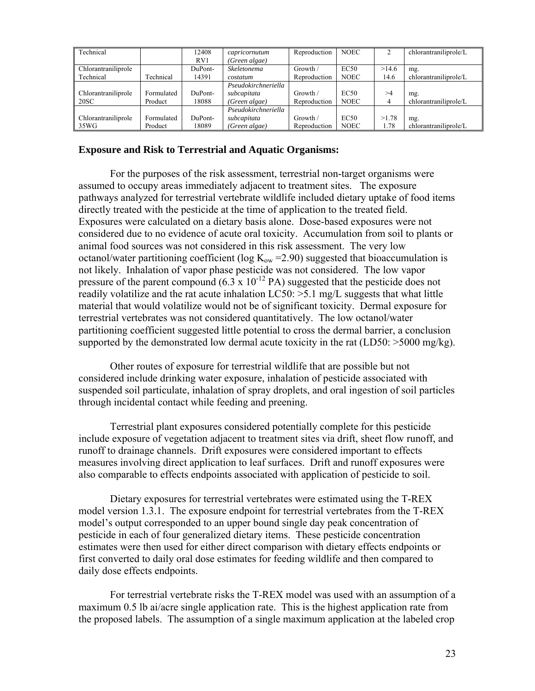| Technical           |            | 12408   | capricornutum       | Reproduction | <b>NOEC</b> |       | chlorantraniliprole/L |
|---------------------|------------|---------|---------------------|--------------|-------------|-------|-----------------------|
|                     |            | RV1     | (Green algae)       |              |             |       |                       |
| Chlorantraniliprole |            | DuPont- | Skeletonema         | Growth /     | EC50        | >14.6 | mg.                   |
| Technical           | Technical  | 14391   | costatum            | Reproduction | <b>NOEC</b> | 14.6  | chlorantraniliprole/L |
|                     |            |         | Pseudokirchneriella |              |             |       |                       |
| Chlorantraniliprole | Formulated | DuPont- | subcapitata         | Growth /     | EC50        | >1    | mg.                   |
| 20SC                | Product    | 18088   | (Green algae)       | Reproduction | <b>NOEC</b> | 4     | chlorantraniliprole/L |
|                     |            |         | Pseudokirchneriella |              |             |       |                       |
| Chlorantraniliprole | Formulated | DuPont- | subcapitata         | Growth /     | EC50        | >1.78 | mg.                   |
| 35WG                | Product    | 18089   | (Green algae)       | Reproduction | <b>NOEC</b> | 1.78  | chlorantraniliprole/L |

#### **Exposure and Risk to Terrestrial and Aquatic Organisms:**

For the purposes of the risk assessment, terrestrial non-target organisms were assumed to occupy areas immediately adjacent to treatment sites. The exposure pathways analyzed for terrestrial vertebrate wildlife included dietary uptake of food items directly treated with the pesticide at the time of application to the treated field. Exposures were calculated on a dietary basis alone. Dose-based exposures were not considered due to no evidence of acute oral toxicity. Accumulation from soil to plants or animal food sources was not considered in this risk assessment. The very low octanol/water partitioning coefficient (log  $K_{ow}$  =2.90) suggested that bioaccumulation is not likely. Inhalation of vapor phase pesticide was not considered. The low vapor pressure of the parent compound  $(6.3 \times 10^{-12} \text{ PA})$  suggested that the pesticide does not readily volatilize and the rat acute inhalation LC50: >5.1 mg/L suggests that what little material that would volatilize would not be of significant toxicity. Dermal exposure for terrestrial vertebrates was not considered quantitatively. The low octanol/water partitioning coefficient suggested little potential to cross the dermal barrier, a conclusion supported by the demonstrated low dermal acute toxicity in the rat  $(LD50: >5000 \text{ mg/kg})$ .

Other routes of exposure for terrestrial wildlife that are possible but not considered include drinking water exposure, inhalation of pesticide associated with suspended soil particulate, inhalation of spray droplets, and oral ingestion of soil particles through incidental contact while feeding and preening.

Terrestrial plant exposures considered potentially complete for this pesticide include exposure of vegetation adjacent to treatment sites via drift, sheet flow runoff, and runoff to drainage channels. Drift exposures were considered important to effects measures involving direct application to leaf surfaces. Drift and runoff exposures were also comparable to effects endpoints associated with application of pesticide to soil.

Dietary exposures for terrestrial vertebrates were estimated using the T-REX model version 1.3.1. The exposure endpoint for terrestrial vertebrates from the T-REX model's output corresponded to an upper bound single day peak concentration of pesticide in each of four generalized dietary items. These pesticide concentration estimates were then used for either direct comparison with dietary effects endpoints or first converted to daily oral dose estimates for feeding wildlife and then compared to daily dose effects endpoints.

For terrestrial vertebrate risks the T-REX model was used with an assumption of a maximum 0.5 lb ai/acre single application rate. This is the highest application rate from the proposed labels. The assumption of a single maximum application at the labeled crop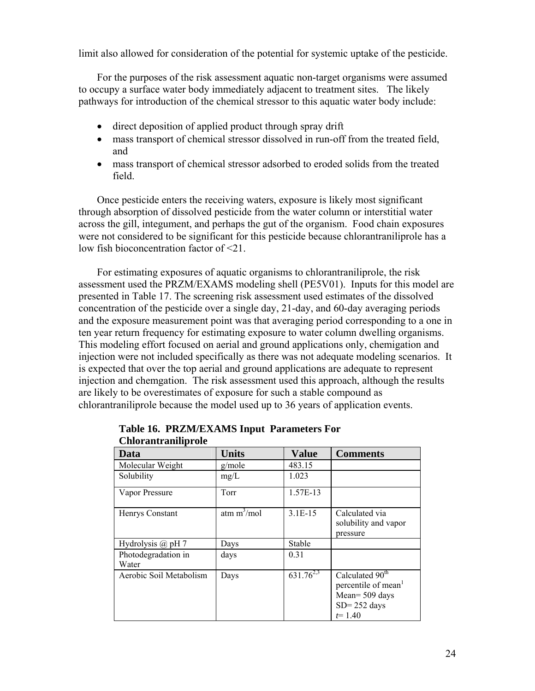limit also allowed for consideration of the potential for systemic uptake of the pesticide.

For the purposes of the risk assessment aquatic non-target organisms were assumed to occupy a surface water body immediately adjacent to treatment sites. The likely pathways for introduction of the chemical stressor to this aquatic water body include:

- direct deposition of applied product through spray drift
- mass transport of chemical stressor dissolved in run-off from the treated field, and
- mass transport of chemical stressor adsorbed to eroded solids from the treated field.

Once pesticide enters the receiving waters, exposure is likely most significant through absorption of dissolved pesticide from the water column or interstitial water across the gill, integument, and perhaps the gut of the organism. Food chain exposures were not considered to be significant for this pesticide because chlorantraniliprole has a low fish bioconcentration factor of <21.

For estimating exposures of aquatic organisms to chlorantraniliprole, the risk assessment used the PRZM/EXAMS modeling shell (PE5V01). Inputs for this model are presented in Table 17. The screening risk assessment used estimates of the dissolved concentration of the pesticide over a single day, 21-day, and 60-day averaging periods and the exposure measurement point was that averaging period corresponding to a one in ten year return frequency for estimating exposure to water column dwelling organisms. This modeling effort focused on aerial and ground applications only, chemigation and injection were not included specifically as there was not adequate modeling scenarios. It is expected that over the top aerial and ground applications are adequate to represent injection and chemgation. The risk assessment used this approach, although the results are likely to be overestimates of exposure for such a stable compound as chlorantraniliprole because the model used up to 36 years of application events.

| UMUI AMU AMMPI VIU           |                |                           |                                                                                                                   |
|------------------------------|----------------|---------------------------|-------------------------------------------------------------------------------------------------------------------|
| Data                         | <b>Units</b>   | <b>Value</b>              | <b>Comments</b>                                                                                                   |
| Molecular Weight             | g/mole         | 483.15                    |                                                                                                                   |
| Solubility                   | mg/L           | 1.023                     |                                                                                                                   |
| Vapor Pressure               | Torr           | 1.57E-13                  |                                                                                                                   |
| Henrys Constant              | atm $m^3$ /mol | $3.1E-15$                 | Calculated via<br>solubility and vapor<br>pressure                                                                |
| Hydrolysis $(a)$ pH 7        | Days           | Stable                    |                                                                                                                   |
| Photodegradation in<br>Water | days           | 0.31                      |                                                                                                                   |
| Aerobic Soil Metabolism      | Days           | $631.\overline{76^{2,3}}$ | Calculated 90 <sup>th</sup><br>percentile of mean <sup>1</sup><br>Mean= 509 days<br>$SD = 252$ days<br>$t = 1.40$ |

|                            | Table 16. PRZM/EXAMS Input Parameters For |
|----------------------------|-------------------------------------------|
| <b>Chlorantraniliprole</b> |                                           |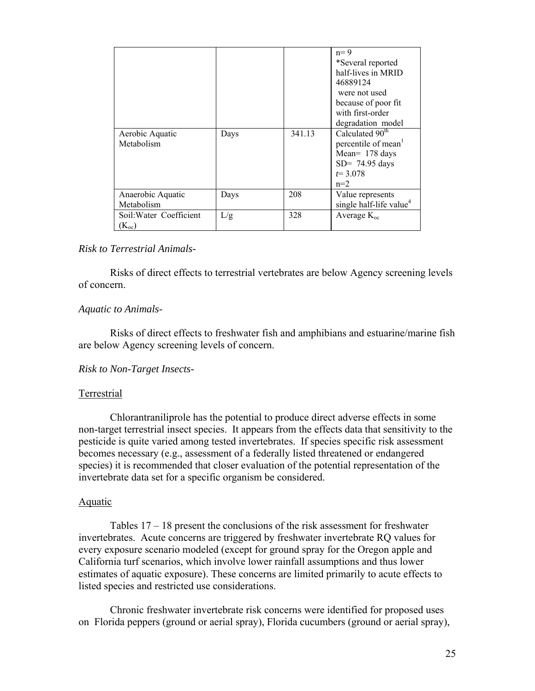|                         |      |        | $n=9$<br>*Several reported<br>half-lives in MRID<br>46889124<br>were not used<br>because of poor fit<br>with first-order<br>degradation model |
|-------------------------|------|--------|-----------------------------------------------------------------------------------------------------------------------------------------------|
| Aerobic Aquatic         | Days | 341.13 | Calculated 90 <sup>th</sup>                                                                                                                   |
| Metabolism              |      |        | percentile of mean <sup>1</sup>                                                                                                               |
|                         |      |        | Mean= 178 days<br>$SD = 74.95$ days                                                                                                           |
|                         |      |        | $t = 3.078$                                                                                                                                   |
|                         |      |        | $n=2$                                                                                                                                         |
| Anaerobic Aquatic       | Days | 208    | Value represents                                                                                                                              |
| Metabolism              |      |        | single half-life value <sup>4</sup>                                                                                                           |
| Soil: Water Coefficient | L/g  | 328    | Average $K_{\rm oc}$                                                                                                                          |
| $(K_{oc})$              |      |        |                                                                                                                                               |

#### *Risk to Terrestrial Animals-*

Risks of direct effects to terrestrial vertebrates are below Agency screening levels of concern.

#### *Aquatic to Animals-*

Risks of direct effects to freshwater fish and amphibians and estuarine/marine fish are below Agency screening levels of concern.

#### *Risk to Non-Target Insects-*

#### Terrestrial

Chlorantraniliprole has the potential to produce direct adverse effects in some non-target terrestrial insect species. It appears from the effects data that sensitivity to the pesticide is quite varied among tested invertebrates. If species specific risk assessment becomes necessary (e.g., assessment of a federally listed threatened or endangered species) it is recommended that closer evaluation of the potential representation of the invertebrate data set for a specific organism be considered.

#### Aquatic

Tables 17 – 18 present the conclusions of the risk assessment for freshwater invertebrates. Acute concerns are triggered by freshwater invertebrate RQ values for every exposure scenario modeled (except for ground spray for the Oregon apple and California turf scenarios, which involve lower rainfall assumptions and thus lower estimates of aquatic exposure). These concerns are limited primarily to acute effects to listed species and restricted use considerations.

Chronic freshwater invertebrate risk concerns were identified for proposed uses on Florida peppers (ground or aerial spray), Florida cucumbers (ground or aerial spray),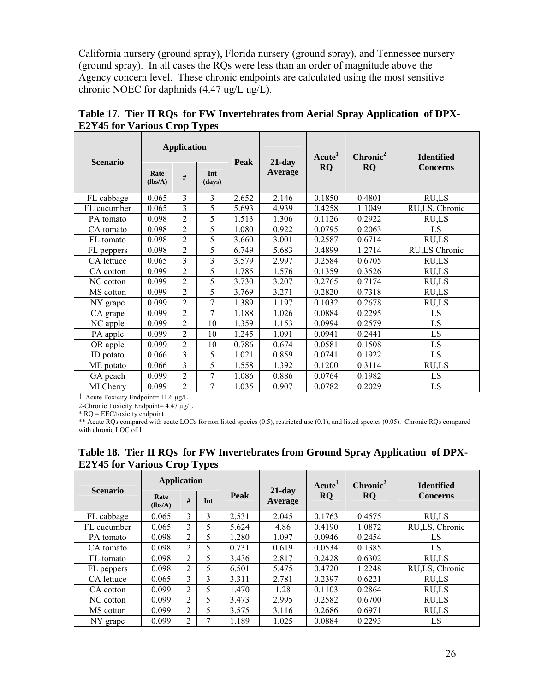California nursery (ground spray), Florida nursery (ground spray), and Tennessee nursery (ground spray). In all cases the RQs were less than an order of magnitude above the Agency concern level. These chronic endpoints are calculated using the most sensitive chronic NOEC for daphnids (4.47 ug/L ug/L).

| <b>Scenario</b> |                 | <b>Application</b> |               | <b>Peak</b> | $21$ -day      | Acute <sup>1</sup> | Chronic <sup>2</sup> | <b>Identified</b> |  |
|-----------------|-----------------|--------------------|---------------|-------------|----------------|--------------------|----------------------|-------------------|--|
|                 | Rate<br>(lbs/A) | #                  | Int<br>(days) |             | <b>Average</b> | <b>RO</b>          | <b>RQ</b>            | <b>Concerns</b>   |  |
| FL cabbage      | 0.065           | 3                  | 3             | 2.652       | 2.146          | 0.1850             | 0.4801               | RU,LS             |  |
| FL cucumber     | 0.065           | 3                  | 5             | 5.693       | 4.939          | 0.4258             | 1.1049               | RU,LS, Chronic    |  |
| PA tomato       | 0.098           | 2                  | 5             | 1.513       | 1.306          | 0.1126             | 0.2922               | RU,LS             |  |
| CA tomato       | 0.098           | $\overline{2}$     | 5             | 1.080       | 0.922          | 0.0795             | 0.2063               | LS                |  |
| FL tomato       | 0.098           | $\overline{2}$     | 5             | 3.660       | 3.001          | 0.2587             | 0.6714               | RU,LS             |  |
| FL peppers      | 0.098           | $\overline{2}$     | 5             | 6.749       | 5.683          | 0.4899             | 1.2714               | RU,LS Chronic     |  |
| CA lettuce      | 0.065           | 3                  | 3             | 3.579       | 2.997          | 0.2584             | 0.6705               | RU,LS             |  |
| CA cotton       | 0.099           | 2                  | 5             | 1.785       | 1.576          | 0.1359             | 0.3526               | RU,LS             |  |
| NC cotton       | 0.099           | $\overline{2}$     | 5             | 3.730       | 3.207          | 0.2765             | 0.7174               | RU,LS             |  |
| MS cotton       | 0.099           | $\overline{2}$     | 5             | 3.769       | 3.271          | 0.2820             | 0.7318               | RU,LS             |  |
| NY grape        | 0.099           | $\overline{2}$     | 7             | 1.389       | 1.197          | 0.1032             | 0.2678               | RU,LS             |  |
| CA grape        | 0.099           | $\overline{2}$     | 7             | 1.188       | 1.026          | 0.0884             | 0.2295               | LS                |  |
| NC apple        | 0.099           | $\overline{2}$     | 10            | 1.359       | 1.153          | 0.0994             | 0.2579               | LS                |  |
| PA apple        | 0.099           | 2                  | 10            | 1.245       | 1.091          | 0.0941             | 0.2441               | LS                |  |
| OR apple        | 0.099           | $\overline{2}$     | 10            | 0.786       | 0.674          | 0.0581             | 0.1508               | LS                |  |
| ID potato       | 0.066           | $\overline{3}$     | 5             | 1.021       | 0.859          | 0.0741             | 0.1922               | LS                |  |
| ME potato       | 0.066           | 3                  | 5             | 1.558       | 1.392          | 0.1200             | 0.3114               | RU,LS             |  |
| GA peach        | 0.099           | $\overline{2}$     | 7             | 1.086       | 0.886          | 0.0764             | 0.1982               | LS                |  |
| MI Cherry       | 0.099           | $\overline{2}$     | 7             | 1.035       | 0.907          | 0.0782             | 0.2029               | LS                |  |

**Table 17. Tier II RQs for FW Invertebrates from Aerial Spray Application of DPX-E2Y45 for Various Crop Types** 

1-Acute Toxicity Endpoint= 11.6 µg/L

2-Chronic Toxicity Endpoint= 4.47 µg/L

\* RQ = EEC/toxicity endpoint

\*\* Acute RQs compared with acute LOCs for non listed species (0.5), restricted use (0.1), and listed species (0.05). Chronic RQs compared with chronic LOC of 1.

|                 | <b>Application</b> |                |     |       |                      | Acute <sup>1</sup> | Chronic <sup>2</sup> | <b>Identified</b> |  |
|-----------------|--------------------|----------------|-----|-------|----------------------|--------------------|----------------------|-------------------|--|
| <b>Scenario</b> | Rate<br>(lbs/A)    | #              | Int | Peak  | $21$ -day<br>Average | <b>RQ</b>          | RQ                   | <b>Concerns</b>   |  |
| FL cabbage      | 0.065              | 3              | 3   | 2.531 | 2.045                | 0.1763             | 0.4575               | RU,LS             |  |
| FL cucumber     | 0.065              | 3              | 5   | 5.624 | 4.86                 | 0.4190             | 1.0872               | RU,LS, Chronic    |  |
| PA tomato       | 0.098              | $\overline{2}$ | 5   | 1.280 | 1.097                | 0.0946             | 0.2454               | LS                |  |
| CA tomato       | 0.098              | 2              | 5   | 0.731 | 0.619                | 0.0534             | 0.1385               | LS                |  |
| FL tomato       | 0.098              | 2              | 5   | 3.436 | 2.817                | 0.2428             | 0.6302               | RU,LS             |  |
| FL peppers      | 0.098              | $\overline{2}$ | 5   | 6.501 | 5.475                | 0.4720             | 1.2248               | RU,LS, Chronic    |  |
| CA lettuce      | 0.065              | 3              | 3   | 3.311 | 2.781                | 0.2397             | 0.6221               | RU,LS             |  |
| CA cotton       | 0.099              | 2              | 5   | 1.470 | 1.28                 | 0.1103             | 0.2864               | RU,LS             |  |
| NC cotton       | 0.099              | 2              | 5   | 3.473 | 2.995                | 0.2582             | 0.6700               | RU,LS             |  |
| MS cotton       | 0.099              | $\overline{c}$ | 5   | 3.575 | 3.116                | 0.2686             | 0.6971               | RU,LS             |  |
| NY grape        | 0.099              | 2              |     | 1.189 | 1.025                | 0.0884             | 0.2293               | LS                |  |

#### **Table 18. Tier II RQs for FW Invertebrates from Ground Spray Application of DPX-E2Y45 for Various Crop Types**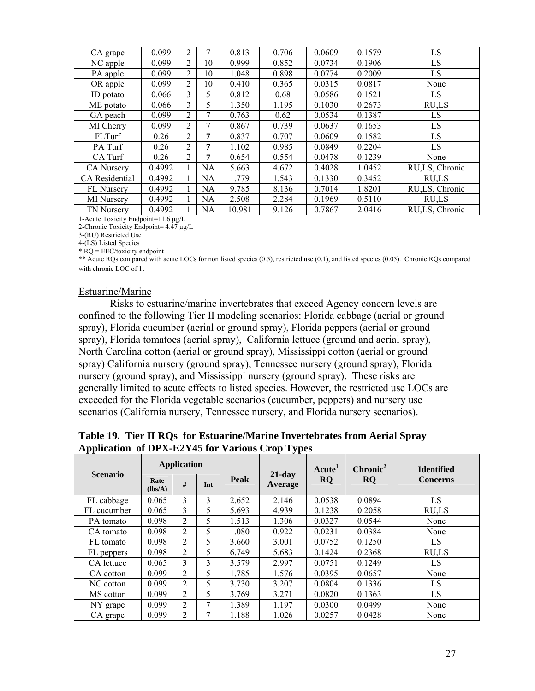| CA grape              | 0.099  | 2              |           | 0.813  | 0.706 | 0.0609 | 0.1579 | LS             |
|-----------------------|--------|----------------|-----------|--------|-------|--------|--------|----------------|
| NC apple              | 0.099  | 2              | 10        | 0.999  | 0.852 | 0.0734 | 0.1906 | LS             |
| PA apple              | 0.099  | 2              | 10        | 1.048  | 0.898 | 0.0774 | 0.2009 | LS             |
| OR apple              | 0.099  | 2              | 10        | 0.410  | 0.365 | 0.0315 | 0.0817 | None           |
| ID potato             | 0.066  | 3              | 5         | 0.812  | 0.68  | 0.0586 | 0.1521 | LS             |
| ME potato             | 0.066  | 3              | 5         | 1.350  | 1.195 | 0.1030 | 0.2673 | RU,LS          |
| GA peach              | 0.099  | 2              | 7         | 0.763  | 0.62  | 0.0534 | 0.1387 | LS             |
| MI Cherry             | 0.099  | 2              |           | 0.867  | 0.739 | 0.0637 | 0.1653 | LS             |
| FLTurf                | 0.26   | 2              | 7         | 0.837  | 0.707 | 0.0609 | 0.1582 | LS             |
| PA Turf               | 0.26   | 2              | 7         | 1.102  | 0.985 | 0.0849 | 0.2204 | LS             |
| CA Turf               | 0.26   | $\overline{c}$ | 7         | 0.654  | 0.554 | 0.0478 | 0.1239 | None           |
| <b>CA Nursery</b>     | 0.4992 | 1              | <b>NA</b> | 5.663  | 4.672 | 0.4028 | 1.0452 | RU,LS, Chronic |
| <b>CA</b> Residential | 0.4992 |                | <b>NA</b> | 1.779  | 1.543 | 0.1330 | 0.3452 | RU,LS          |
| <b>FL</b> Nursery     | 0.4992 | 1              | <b>NA</b> | 9.785  | 8.136 | 0.7014 | 1.8201 | RU,LS, Chronic |
| MI Nursery            | 0.4992 |                | NA        | 2.508  | 2.284 | 0.1969 | 0.5110 | RU,LS          |
| <b>TN Nursery</b>     | 0.4992 |                | <b>NA</b> | 10.981 | 9.126 | 0.7867 | 2.0416 | RU,LS, Chronic |

1-Acute Toxicity Endpoint=11.6 µg/L

2-Chronic Toxicity Endpoint= 4.47 µg/L

3-(RU) Restricted Use 4-(LS) Listed Species

\* RQ = EEC/toxicity endpoint

\*\* Acute RQs compared with acute LOCs for non listed species (0.5), restricted use (0.1), and listed species (0.05). Chronic RQs compared with chronic LOC of 1.

#### Estuarine/Marine

Risks to estuarine/marine invertebrates that exceed Agency concern levels are confined to the following Tier II modeling scenarios: Florida cabbage (aerial or ground spray), Florida cucumber (aerial or ground spray), Florida peppers (aerial or ground spray), Florida tomatoes (aerial spray), California lettuce (ground and aerial spray), North Carolina cotton (aerial or ground spray), Mississippi cotton (aerial or ground spray) California nursery (ground spray), Tennessee nursery (ground spray), Florida nursery (ground spray), and Mississippi nursery (ground spray). These risks are generally limited to acute effects to listed species. However, the restricted use LOCs are exceeded for the Florida vegetable scenarios (cucumber, peppers) and nursery use scenarios (California nursery, Tennessee nursery, and Florida nursery scenarios).

| Application of DPX-E2Y45 for Various Crop Types | Table 19. Tier II RQs for Estuarine/Marine Invertebrates from Aerial Spray |
|-------------------------------------------------|----------------------------------------------------------------------------|
|                                                 |                                                                            |

|                 | <b>Application</b> |                |               |       |                      | Acute <sup>1</sup> | Chronic <sup>2</sup> | <b>Identified</b> |
|-----------------|--------------------|----------------|---------------|-------|----------------------|--------------------|----------------------|-------------------|
| <b>Scenario</b> | Rate<br>(lbs/A)    | #              | Int           | Peak  | $21$ -day<br>Average | <b>RQ</b>          | <b>RQ</b>            | <b>Concerns</b>   |
| FL cabbage      | 0.065              | 3              | $\mathcal{E}$ | 2.652 | 2.146                | 0.0538             | 0.0894               | LS                |
| FL cucumber     | 0.065              | 3              | 5             | 5.693 | 4.939                | 0.1238             | 0.2058               | RU,LS             |
| PA tomato       | 0.098              | $\overline{2}$ | 5             | 1.513 | 1.306                | 0.0327             | 0.0544               | None              |
| CA tomato       | 0.098              | $\overline{2}$ | 5             | 1.080 | 0.922                | 0.0231             | 0.0384               | None              |
| FL tomato       | 0.098              | 2              | 5             | 3.660 | 3.001                | 0.0752             | 0.1250               | LS                |
| FL peppers      | 0.098              | 2              | 5             | 6.749 | 5.683                | 0.1424             | 0.2368               | RU,LS             |
| CA lettuce      | 0.065              | 3              | 3             | 3.579 | 2.997                | 0.0751             | 0.1249               | LS                |
| CA cotton       | 0.099              | $\overline{2}$ | 5             | 1.785 | 1.576                | 0.0395             | 0.0657               | None              |
| NC cotton       | 0.099              | 2              | 5             | 3.730 | 3.207                | 0.0804             | 0.1336               | LS                |
| MS cotton       | 0.099              | 2              | 5             | 3.769 | 3.271                | 0.0820             | 0.1363               | LS                |
| NY grape        | 0.099              | $\overline{2}$ | 7             | 1.389 | 1.197                | 0.0300             | 0.0499               | None              |
| CA grape        | 0.099              | $\overline{c}$ | 7             | 1.188 | 1.026                | 0.0257             | 0.0428               | None              |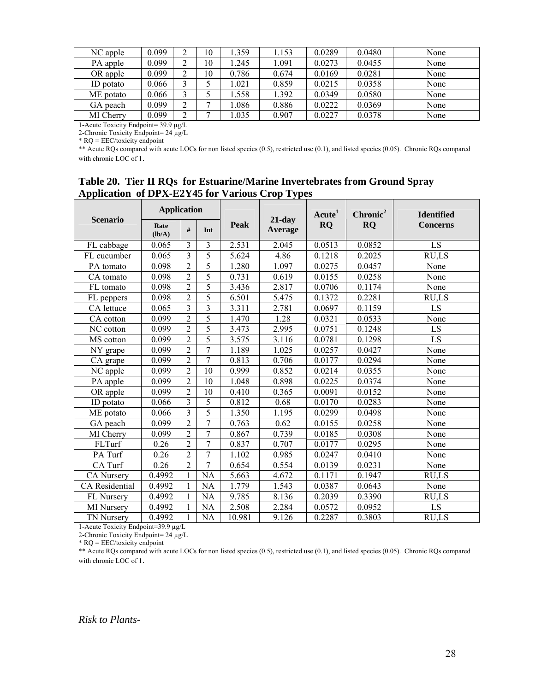| NC apple  | 0.099 | ↵      | 10             | 1.359 | 1.153 | 0.0289 | 0.0480 | None |
|-----------|-------|--------|----------------|-------|-------|--------|--------|------|
| PA apple  | 0.099 | ⌒<br>∠ | 10             | l.245 | 1.091 | 0.0273 | 0.0455 | None |
| OR apple  | 0.099 | ⌒<br>↵ | 10             | 0.786 | 0.674 | 0.0169 | 0.0281 | None |
| ID potato | 0.066 | ⌒      |                | 1.021 | 0.859 | 0.0215 | 0.0358 | None |
| ME potato | 0.066 | ⌒      |                | 1.558 | 1.392 | 0.0349 | 0.0580 | None |
| GA peach  | 0.099 | ⌒<br>∠ | $\mathbf{r}$   | 1.086 | 0.886 | 0.0222 | 0.0369 | None |
| MI Cherry | 0.099 | ◠<br>∠ | $\overline{ }$ | .035  | 0.907 | 0.0227 | 0.0378 | None |

1-Acute Toxicity Endpoint= 39.9 µg/L 2-Chronic Toxicity Endpoint= 24 µg/L

\* RQ = EEC/toxicity endpoint

\*\* Acute RQs compared with acute LOCs for non listed species (0.5), restricted use (0.1), and listed species (0.05). Chronic RQs compared with chronic LOC of 1.

## **Table 20. Tier II RQs for Estuarine/Marine Invertebrates from Ground Spray Application of DPX-E2Y45 for Various Crop Types**

|                 | <b>Application</b> |                         |                |        |                             | Acute <sup>1</sup> | Chronic <sup>2</sup> | <b>Identified</b> |
|-----------------|--------------------|-------------------------|----------------|--------|-----------------------------|--------------------|----------------------|-------------------|
| <b>Scenario</b> | Rate<br>$(lb/A)$   | #                       | Int            | Peak   | $21$ -day<br><b>Average</b> | <b>RQ</b>          | <b>RQ</b>            | <b>Concerns</b>   |
| FL cabbage      | 0.065              | 3                       | 3              | 2.531  | 2.045                       | 0.0513             | 0.0852               | LS                |
| FL cucumber     | 0.065              | $\overline{3}$          | 5              | 5.624  | 4.86                        | 0.1218             | 0.2025               | RU,LS             |
| PA tomato       | 0.098              | $\overline{2}$          | $\overline{5}$ | 1.280  | 1.097                       | 0.0275             | 0.0457               | None              |
| CA tomato       | 0.098              | $\overline{2}$          | 5              | 0.731  | 0.619                       | 0.0155             | 0.0258               | None              |
| FL tomato       | 0.098              | $\overline{2}$          | 5              | 3.436  | 2.817                       | 0.0706             | 0.1174               | None              |
| FL peppers      | 0.098              | $\overline{2}$          | 5              | 6.501  | 5.475                       | 0.1372             | 0.2281               | RU,LS             |
| CA lettuce      | 0.065              | $\overline{\mathbf{3}}$ | $\overline{3}$ | 3.311  | 2.781                       | 0.0697             | 0.1159               | LS                |
| CA cotton       | 0.099              | $\overline{2}$          | 5              | 1.470  | 1.28                        | 0.0321             | 0.0533               | None              |
| NC cotton       | 0.099              | $\overline{2}$          | 5              | 3.473  | 2.995                       | 0.0751             | 0.1248               | LS                |
| MS cotton       | 0.099              | $\overline{2}$          | 5              | 3.575  | 3.116                       | 0.0781             | 0.1298               | LS                |
| NY grape        | 0.099              | $\overline{2}$          | $\overline{7}$ | 1.189  | 1.025                       | 0.0257             | 0.0427               | None              |
| CA grape        | 0.099              | $\overline{2}$          | 7              | 0.813  | 0.706                       | 0.0177             | 0.0294               | None              |
| NC apple        | 0.099              | $\overline{2}$          | 10             | 0.999  | 0.852                       | 0.0214             | 0.0355               | None              |
| PA apple        | 0.099              | $\overline{2}$          | 10             | 1.048  | 0.898                       | 0.0225             | 0.0374               | None              |
| OR apple        | 0.099              | $\overline{2}$          | 10             | 0.410  | 0.365                       | 0.0091             | 0.0152               | None              |
| ID potato       | 0.066              | 3                       | 5              | 0.812  | 0.68                        | 0.0170             | 0.0283               | None              |
| ME potato       | 0.066              | $\overline{3}$          | 5              | 1.350  | 1.195                       | 0.0299             | 0.0498               | None              |
| GA peach        | 0.099              | $\overline{2}$          | 7              | 0.763  | 0.62                        | 0.0155             | 0.0258               | None              |
| MI Cherry       | 0.099              | $\overline{2}$          | 7              | 0.867  | 0.739                       | 0.0185             | 0.0308               | None              |
| FLTurf          | 0.26               | $\overline{2}$          | $\overline{7}$ | 0.837  | 0.707                       | 0.0177             | 0.0295               | None              |
| PA Turf         | 0.26               | $\overline{2}$          | $\tau$         | 1.102  | 0.985                       | 0.0247             | 0.0410               | None              |
| CA Turf         | 0.26               | $\overline{2}$          | 7              | 0.654  | 0.554                       | 0.0139             | 0.0231               | None              |
| CA Nursery      | 0.4992             | $\mathbf{1}$            | NA             | 5.663  | 4.672                       | 0.1171             | 0.1947               | RU,LS             |
| CA Residential  | 0.4992             | 1                       | <b>NA</b>      | 1.779  | 1.543                       | 0.0387             | 0.0643               | None              |
| FL Nursery      | 0.4992             | 1                       | NA             | 9.785  | 8.136                       | 0.2039             | 0.3390               | RU,LS             |
| MI Nursery      | 0.4992             | $\mathbf{1}$            | <b>NA</b>      | 2.508  | 2.284                       | 0.0572             | 0.0952               | LS                |
| TN Nursery      | 0.4992             | 1                       | NA             | 10.981 | 9.126                       | 0.2287             | 0.3803               | RU,LS             |

1-Acute Toxicity Endpoint=39.9 µg/L

2-Chronic Toxicity Endpoint= 24 µg/L

 $*$  RQ = EEC/toxicity endpoint

\*\* Acute RQs compared with acute LOCs for non listed species (0.5), restricted use (0.1), and listed species (0.05). Chronic RQs compared with chronic LOC of 1.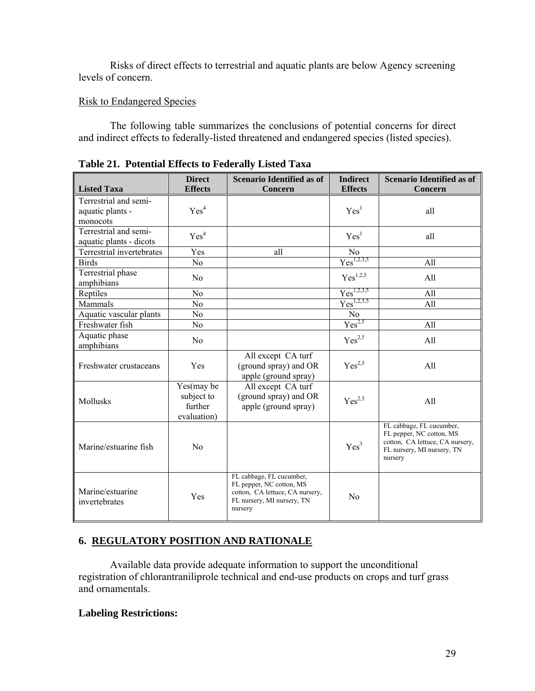Risks of direct effects to terrestrial and aquatic plants are below Agency screening levels of concern.

## Risk to Endangered Species

The following table summarizes the conclusions of potential concerns for direct and indirect effects to federally-listed threatened and endangered species (listed species).

|                                                       | <b>Direct</b>                                      | <b>Scenario Identified as of</b>                                                                                                 | <b>Indirect</b>    | <b>Scenario Identified as of</b>                                                                                                 |
|-------------------------------------------------------|----------------------------------------------------|----------------------------------------------------------------------------------------------------------------------------------|--------------------|----------------------------------------------------------------------------------------------------------------------------------|
| <b>Listed Taxa</b>                                    | <b>Effects</b>                                     | Concern                                                                                                                          | <b>Effects</b>     | Concern                                                                                                                          |
| Terrestrial and semi-<br>aquatic plants -<br>monocots | Yes <sup>4</sup>                                   |                                                                                                                                  | Yes <sup>1</sup>   | all                                                                                                                              |
| Terrestrial and semi-<br>aquatic plants - dicots      | Yes <sup>4</sup>                                   |                                                                                                                                  | Yes <sup>1</sup>   | all                                                                                                                              |
| Terrestrial invertebrates                             | Yes                                                | all                                                                                                                              | No                 |                                                                                                                                  |
| <b>Birds</b>                                          | N <sub>0</sub>                                     |                                                                                                                                  | $Yes^{1,2,3,5}$    | All                                                                                                                              |
| Terrestrial phase<br>amphibians                       | N <sub>0</sub>                                     |                                                                                                                                  | $Yes^{1,2,5}$      | All                                                                                                                              |
| Reptiles                                              | N <sub>0</sub>                                     |                                                                                                                                  | $Yes^{1,2,3,5}$    | All                                                                                                                              |
| Mammals                                               | N <sub>o</sub>                                     |                                                                                                                                  | $Yes^{1,2,3,5}$    | All                                                                                                                              |
| Aquatic vascular plants                               | N <sub>0</sub>                                     |                                                                                                                                  | No                 |                                                                                                                                  |
| Freshwater fish                                       | N <sub>0</sub>                                     |                                                                                                                                  | $Yes^{2,5}$        | All                                                                                                                              |
| Aquatic phase<br>amphibians                           | N <sub>0</sub>                                     |                                                                                                                                  | $Yes^{2,5}$        | All                                                                                                                              |
| Freshwater crustaceans                                | Yes                                                | All except CA turf<br>(ground spray) and OR<br>apple (ground spray)                                                              | $Yes^{2,5}$        | All                                                                                                                              |
| Mollusks                                              | Yes(may be<br>subject to<br>further<br>evaluation) | All except CA turf<br>(ground spray) and OR<br>apple (ground spray)                                                              | Yes <sup>2,5</sup> | All                                                                                                                              |
| Marine/estuarine fish                                 | No                                                 |                                                                                                                                  | Yes <sup>3</sup>   | FL cabbage, FL cucumber,<br>FL pepper, NC cotton, MS<br>cotton, CA lettuce, CA nursery,<br>FL nursery, MI nursery, TN<br>nursery |
| Marine/estuarine<br>invertebrates                     | Yes                                                | FL cabbage, FL cucumber,<br>FL pepper, NC cotton, MS<br>cotton, CA lettuce, CA nursery,<br>FL nursery, MI nursery, TN<br>nursery | N <sub>0</sub>     |                                                                                                                                  |

**Table 21. Potential Effects to Federally Listed Taxa** 

## **6. REGULATORY POSITION AND RATIONALE**

 Available data provide adequate information to support the unconditional registration of chlorantraniliprole technical and end-use products on crops and turf grass and ornamentals.

#### **Labeling Restrictions:**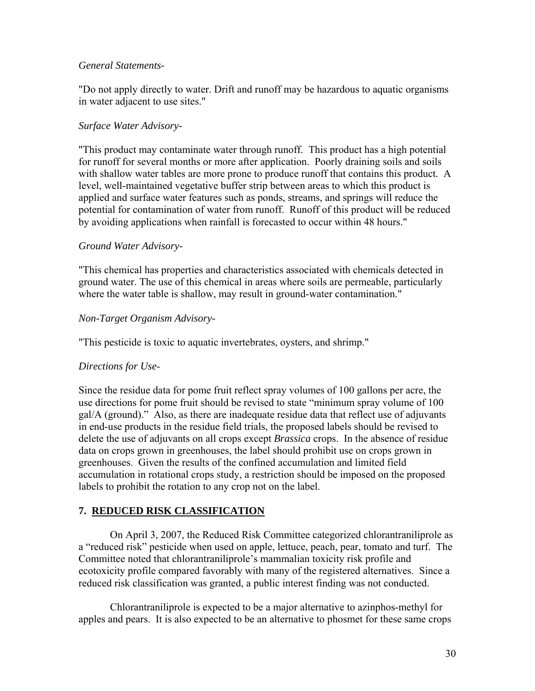#### *General Statements-*

"Do not apply directly to water. Drift and runoff may be hazardous to aquatic organisms in water adjacent to use sites."

## *Surface Water Advisory-*

"This product may contaminate water through runoff. This product has a high potential for runoff for several months or more after application. Poorly draining soils and soils with shallow water tables are more prone to produce runoff that contains this product. A level, well-maintained vegetative buffer strip between areas to which this product is applied and surface water features such as ponds, streams, and springs will reduce the potential for contamination of water from runoff. Runoff of this product will be reduced by avoiding applications when rainfall is forecasted to occur within 48 hours."

#### *Ground Water Advisory-*

"This chemical has properties and characteristics associated with chemicals detected in ground water. The use of this chemical in areas where soils are permeable, particularly where the water table is shallow, may result in ground-water contamination."

## *Non-Target Organism Advisory-*

"This pesticide is toxic to aquatic invertebrates, oysters, and shrimp."

## *Directions for Use*-

Since the residue data for pome fruit reflect spray volumes of 100 gallons per acre, the use directions for pome fruit should be revised to state "minimum spray volume of 100 gal/A (ground)." Also, as there are inadequate residue data that reflect use of adjuvants in end-use products in the residue field trials, the proposed labels should be revised to delete the use of adjuvants on all crops except *Brassica* crops. In the absence of residue data on crops grown in greenhouses, the label should prohibit use on crops grown in greenhouses. Given the results of the confined accumulation and limited field accumulation in rotational crops study, a restriction should be imposed on the proposed labels to prohibit the rotation to any crop not on the label.

## **7. REDUCED RISK CLASSIFICATION**

On April 3, 2007, the Reduced Risk Committee categorized chlorantraniliprole as a "reduced risk" pesticide when used on apple, lettuce, peach, pear, tomato and turf. The Committee noted that chlorantraniliprole's mammalian toxicity risk profile and ecotoxicity profile compared favorably with many of the registered alternatives. Since a reduced risk classification was granted, a public interest finding was not conducted.

Chlorantraniliprole is expected to be a major alternative to azinphos-methyl for apples and pears. It is also expected to be an alternative to phosmet for these same crops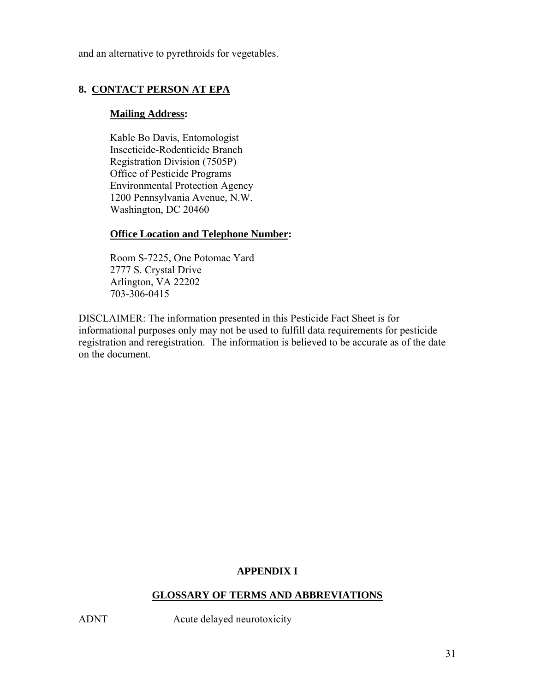and an alternative to pyrethroids for vegetables.

## **8. CONTACT PERSON AT EPA**

#### **Mailing Address:**

 Kable Bo Davis, Entomologist Insecticide-Rodenticide Branch Registration Division (7505P) Office of Pesticide Programs Environmental Protection Agency 1200 Pennsylvania Avenue, N.W. Washington, DC 20460

## **Office Location and Telephone Number:**

 Room S-7225, One Potomac Yard 2777 S. Crystal Drive Arlington, VA 22202 703-306-0415

DISCLAIMER: The information presented in this Pesticide Fact Sheet is for informational purposes only may not be used to fulfill data requirements for pesticide registration and reregistration. The information is believed to be accurate as of the date on the document.

## **APPENDIX I**

## **GLOSSARY OF TERMS AND ABBREVIATIONS**

ADNT Acute delayed neurotoxicity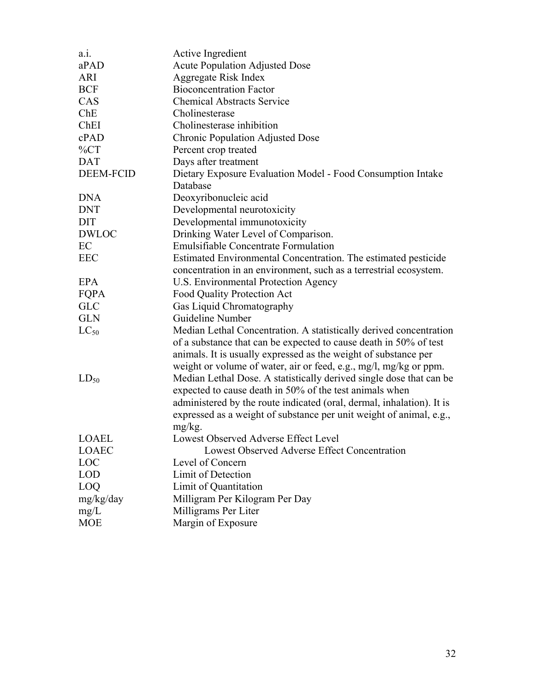| $a_{.1.}$        | Active Ingredient                                                     |
|------------------|-----------------------------------------------------------------------|
| aPAD             | <b>Acute Population Adjusted Dose</b>                                 |
| <b>ARI</b>       | Aggregate Risk Index                                                  |
| <b>BCF</b>       | <b>Bioconcentration Factor</b>                                        |
| CAS              | <b>Chemical Abstracts Service</b>                                     |
| Che              | Cholinesterase                                                        |
| ChEI             | Cholinesterase inhibition                                             |
| cPAD             | <b>Chronic Population Adjusted Dose</b>                               |
| $\%CT$           | Percent crop treated                                                  |
| <b>DAT</b>       | Days after treatment                                                  |
| <b>DEEM-FCID</b> | Dietary Exposure Evaluation Model - Food Consumption Intake           |
|                  | Database                                                              |
| <b>DNA</b>       | Deoxyribonucleic acid                                                 |
| <b>DNT</b>       | Developmental neurotoxicity                                           |
| <b>DIT</b>       | Developmental immunotoxicity                                          |
| <b>DWLOC</b>     | Drinking Water Level of Comparison.                                   |
| EC               | Emulsifiable Concentrate Formulation                                  |
| <b>EEC</b>       | Estimated Environmental Concentration. The estimated pesticide        |
|                  | concentration in an environment, such as a terrestrial ecosystem.     |
| <b>EPA</b>       | U.S. Environmental Protection Agency                                  |
| FQPA             | <b>Food Quality Protection Act</b>                                    |
| <b>GLC</b>       | Gas Liquid Chromatography                                             |
| <b>GLN</b>       | Guideline Number                                                      |
| $LC_{50}$        | Median Lethal Concentration. A statistically derived concentration    |
|                  | of a substance that can be expected to cause death in 50% of test     |
|                  | animals. It is usually expressed as the weight of substance per       |
|                  | weight or volume of water, air or feed, e.g., mg/l, mg/kg or ppm.     |
| $LD_{50}$        | Median Lethal Dose. A statistically derived single dose that can be   |
|                  | expected to cause death in 50% of the test animals when               |
|                  | administered by the route indicated (oral, dermal, inhalation). It is |
|                  | expressed as a weight of substance per unit weight of animal, e.g.,   |
|                  | mg/kg.                                                                |
| <b>LOAEL</b>     | Lowest Observed Adverse Effect Level                                  |
| <b>LOAEC</b>     | Lowest Observed Adverse Effect Concentration                          |
| <b>LOC</b>       | Level of Concern                                                      |
| <b>LOD</b>       | Limit of Detection                                                    |
| LOQ              | Limit of Quantitation                                                 |
| mg/kg/day        | Milligram Per Kilogram Per Day                                        |
| mg/L             | Milligrams Per Liter                                                  |
| <b>MOE</b>       | Margin of Exposure                                                    |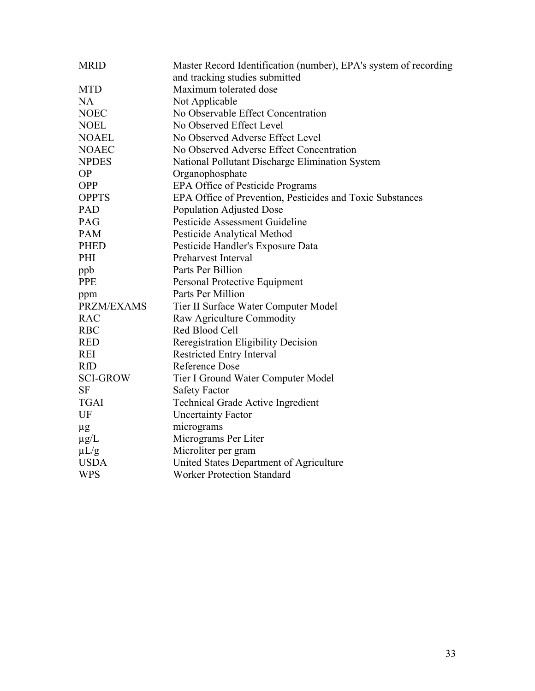| <b>MRID</b>       | Master Record Identification (number), EPA's system of recording<br>and tracking studies submitted |
|-------------------|----------------------------------------------------------------------------------------------------|
| <b>MTD</b>        | Maximum tolerated dose                                                                             |
| <b>NA</b>         | Not Applicable                                                                                     |
| <b>NOEC</b>       | No Observable Effect Concentration                                                                 |
| <b>NOEL</b>       | No Observed Effect Level                                                                           |
| <b>NOAEL</b>      | No Observed Adverse Effect Level                                                                   |
| <b>NOAEC</b>      | No Observed Adverse Effect Concentration                                                           |
|                   |                                                                                                    |
| <b>NPDES</b>      | National Pollutant Discharge Elimination System                                                    |
| <b>OP</b>         | Organophosphate                                                                                    |
| <b>OPP</b>        | <b>EPA Office of Pesticide Programs</b>                                                            |
| <b>OPPTS</b>      | EPA Office of Prevention, Pesticides and Toxic Substances                                          |
| PAD               | <b>Population Adjusted Dose</b>                                                                    |
| PAG               | Pesticide Assessment Guideline                                                                     |
| <b>PAM</b>        | Pesticide Analytical Method                                                                        |
| <b>PHED</b>       | Pesticide Handler's Exposure Data                                                                  |
| PHI               | Preharvest Interval                                                                                |
| ppb               | Parts Per Billion                                                                                  |
| <b>PPE</b>        | Personal Protective Equipment                                                                      |
| ppm               | Parts Per Million                                                                                  |
| <b>PRZM/EXAMS</b> | Tier II Surface Water Computer Model                                                               |
| <b>RAC</b>        | Raw Agriculture Commodity                                                                          |
| <b>RBC</b>        | Red Blood Cell                                                                                     |
| <b>RED</b>        | <b>Reregistration Eligibility Decision</b>                                                         |
| <b>REI</b>        | <b>Restricted Entry Interval</b>                                                                   |
| <b>RfD</b>        | <b>Reference Dose</b>                                                                              |
| <b>SCI-GROW</b>   | Tier I Ground Water Computer Model                                                                 |
| <b>SF</b>         | <b>Safety Factor</b>                                                                               |
| <b>TGAI</b>       | <b>Technical Grade Active Ingredient</b>                                                           |
| UF                | <b>Uncertainty Factor</b>                                                                          |
| $\mu$ g           | micrograms                                                                                         |
| $\mu$ g/L         | Micrograms Per Liter                                                                               |
| $\mu L/g$         | Microliter per gram                                                                                |
| <b>USDA</b>       | United States Department of Agriculture                                                            |
| <b>WPS</b>        | <b>Worker Protection Standard</b>                                                                  |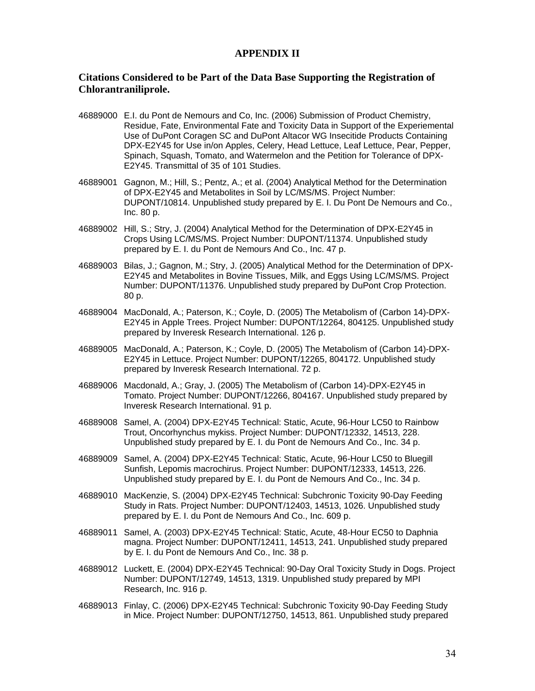#### **APPENDIX II**

#### **Citations Considered to be Part of the Data Base Supporting the Registration of Chlorantraniliprole.**

- 46889000 E.I. du Pont de Nemours and Co, Inc. (2006) Submission of Product Chemistry, Residue, Fate, Environmental Fate and Toxicity Data in Support of the Experiemental Use of DuPont Coragen SC and DuPont Altacor WG Insecitide Products Containing DPX-E2Y45 for Use in/on Apples, Celery, Head Lettuce, Leaf Lettuce, Pear, Pepper, Spinach, Squash, Tomato, and Watermelon and the Petition for Tolerance of DPX-E2Y45. Transmittal of 35 of 101 Studies.
- 46889001 Gagnon, M.; Hill, S.; Pentz, A.; et al. (2004) Analytical Method for the Determination of DPX-E2Y45 and Metabolites in Soil by LC/MS/MS. Project Number: DUPONT/10814. Unpublished study prepared by E. I. Du Pont De Nemours and Co., Inc. 80 p.
- 46889002 Hill, S.; Stry, J. (2004) Analytical Method for the Determination of DPX-E2Y45 in Crops Using LC/MS/MS. Project Number: DUPONT/11374. Unpublished study prepared by E. I. du Pont de Nemours And Co., Inc. 47 p.
- 46889003 Bilas, J.; Gagnon, M.; Stry, J. (2005) Analytical Method for the Determination of DPX-E2Y45 and Metabolites in Bovine Tissues, Milk, and Eggs Using LC/MS/MS. Project Number: DUPONT/11376. Unpublished study prepared by DuPont Crop Protection. 80 p.
- 46889004 MacDonald, A.; Paterson, K.; Coyle, D. (2005) The Metabolism of (Carbon 14)-DPX-E2Y45 in Apple Trees. Project Number: DUPONT/12264, 804125. Unpublished study prepared by Inveresk Research International. 126 p.
- 46889005 MacDonald, A.; Paterson, K.; Coyle, D. (2005) The Metabolism of (Carbon 14)-DPX-E2Y45 in Lettuce. Project Number: DUPONT/12265, 804172. Unpublished study prepared by Inveresk Research International. 72 p.
- 46889006 Macdonald, A.; Gray, J. (2005) The Metabolism of (Carbon 14)-DPX-E2Y45 in Tomato. Project Number: DUPONT/12266, 804167. Unpublished study prepared by Inveresk Research International. 91 p.
- 46889008 Samel, A. (2004) DPX-E2Y45 Technical: Static, Acute, 96-Hour LC50 to Rainbow Trout, Oncorhynchus mykiss. Project Number: DUPONT/12332, 14513, 228. Unpublished study prepared by E. I. du Pont de Nemours And Co., Inc. 34 p.
- 46889009 Samel, A. (2004) DPX-E2Y45 Technical: Static, Acute, 96-Hour LC50 to Bluegill Sunfish, Lepomis macrochirus. Project Number: DUPONT/12333, 14513, 226. Unpublished study prepared by E. I. du Pont de Nemours And Co., Inc. 34 p.
- 46889010 MacKenzie, S. (2004) DPX-E2Y45 Technical: Subchronic Toxicity 90-Day Feeding Study in Rats. Project Number: DUPONT/12403, 14513, 1026. Unpublished study prepared by E. I. du Pont de Nemours And Co., Inc. 609 p.
- 46889011 Samel, A. (2003) DPX-E2Y45 Technical: Static, Acute, 48-Hour EC50 to Daphnia magna. Project Number: DUPONT/12411, 14513, 241. Unpublished study prepared by E. I. du Pont de Nemours And Co., Inc. 38 p.
- 46889012 Luckett, E. (2004) DPX-E2Y45 Technical: 90-Day Oral Toxicity Study in Dogs. Project Number: DUPONT/12749, 14513, 1319. Unpublished study prepared by MPI Research, Inc. 916 p.
- 46889013 Finlay, C. (2006) DPX-E2Y45 Technical: Subchronic Toxicity 90-Day Feeding Study in Mice. Project Number: DUPONT/12750, 14513, 861. Unpublished study prepared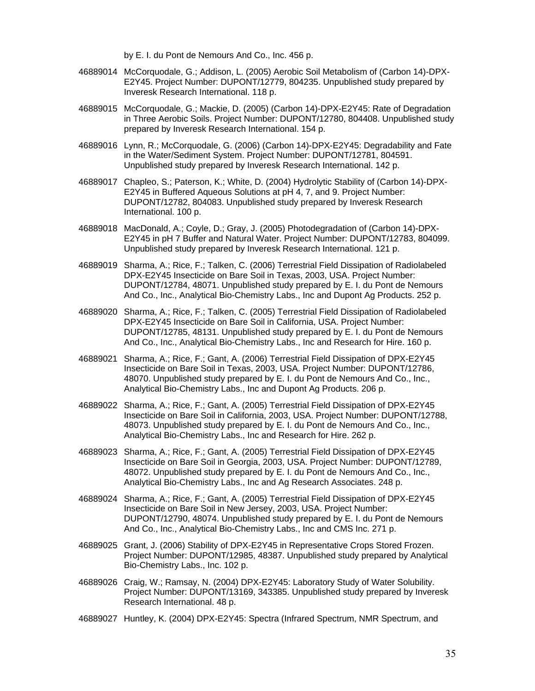by E. I. du Pont de Nemours And Co., Inc. 456 p.

- 46889014 McCorquodale, G.; Addison, L. (2005) Aerobic Soil Metabolism of (Carbon 14)-DPX-E2Y45. Project Number: DUPONT/12779, 804235. Unpublished study prepared by Inveresk Research International. 118 p.
- 46889015 McCorquodale, G.; Mackie, D. (2005) (Carbon 14)-DPX-E2Y45: Rate of Degradation in Three Aerobic Soils. Project Number: DUPONT/12780, 804408. Unpublished study prepared by Inveresk Research International. 154 p.
- 46889016 Lynn, R.; McCorquodale, G. (2006) (Carbon 14)-DPX-E2Y45: Degradability and Fate in the Water/Sediment System. Project Number: DUPONT/12781, 804591. Unpublished study prepared by Inveresk Research International. 142 p.
- 46889017 Chapleo, S.; Paterson, K.; White, D. (2004) Hydrolytic Stability of (Carbon 14)-DPX-E2Y45 in Buffered Aqueous Solutions at pH 4, 7, and 9. Project Number: DUPONT/12782, 804083. Unpublished study prepared by Inveresk Research International. 100 p.
- 46889018 MacDonald, A.; Coyle, D.; Gray, J. (2005) Photodegradation of (Carbon 14)-DPX-E2Y45 in pH 7 Buffer and Natural Water. Project Number: DUPONT/12783, 804099. Unpublished study prepared by Inveresk Research International. 121 p.
- 46889019 Sharma, A.; Rice, F.; Talken, C. (2006) Terrestrial Field Dissipation of Radiolabeled DPX-E2Y45 Insecticide on Bare Soil in Texas, 2003, USA. Project Number: DUPONT/12784, 48071. Unpublished study prepared by E. I. du Pont de Nemours And Co., Inc., Analytical Bio-Chemistry Labs., Inc and Dupont Ag Products. 252 p.
- 46889020 Sharma, A.; Rice, F.; Talken, C. (2005) Terrestrial Field Dissipation of Radiolabeled DPX-E2Y45 Insecticide on Bare Soil in California, USA. Project Number: DUPONT/12785, 48131. Unpublished study prepared by E. I. du Pont de Nemours And Co., Inc., Analytical Bio-Chemistry Labs., Inc and Research for Hire. 160 p.
- 46889021 Sharma, A.; Rice, F.; Gant, A. (2006) Terrestrial Field Dissipation of DPX-E2Y45 Insecticide on Bare Soil in Texas, 2003, USA. Project Number: DUPONT/12786, 48070. Unpublished study prepared by E. I. du Pont de Nemours And Co., Inc., Analytical Bio-Chemistry Labs., Inc and Dupont Ag Products. 206 p.
- 46889022 Sharma, A.; Rice, F.; Gant, A. (2005) Terrestrial Field Dissipation of DPX-E2Y45 Insecticide on Bare Soil in California, 2003, USA. Project Number: DUPONT/12788, 48073. Unpublished study prepared by E. I. du Pont de Nemours And Co., Inc., Analytical Bio-Chemistry Labs., Inc and Research for Hire. 262 p.
- 46889023 Sharma, A.; Rice, F.; Gant, A. (2005) Terrestrial Field Dissipation of DPX-E2Y45 Insecticide on Bare Soil in Georgia, 2003, USA. Project Number: DUPONT/12789, 48072. Unpublished study prepared by E. I. du Pont de Nemours And Co., Inc., Analytical Bio-Chemistry Labs., Inc and Ag Research Associates. 248 p.
- 46889024 Sharma, A.; Rice, F.; Gant, A. (2005) Terrestrial Field Dissipation of DPX-E2Y45 Insecticide on Bare Soil in New Jersey, 2003, USA. Project Number: DUPONT/12790, 48074. Unpublished study prepared by E. I. du Pont de Nemours And Co., Inc., Analytical Bio-Chemistry Labs., Inc and CMS Inc. 271 p.
- 46889025 Grant, J. (2006) Stability of DPX-E2Y45 in Representative Crops Stored Frozen. Project Number: DUPONT/12985, 48387. Unpublished study prepared by Analytical Bio-Chemistry Labs., Inc. 102 p.
- 46889026 Craig, W.; Ramsay, N. (2004) DPX-E2Y45: Laboratory Study of Water Solubility. Project Number: DUPONT/13169, 343385. Unpublished study prepared by Inveresk Research International. 48 p.
- 46889027 Huntley, K. (2004) DPX-E2Y45: Spectra (Infrared Spectrum, NMR Spectrum, and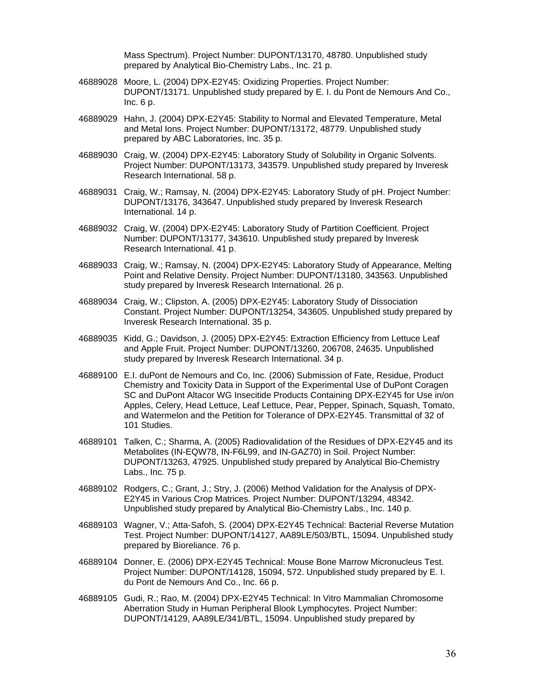Mass Spectrum). Project Number: DUPONT/13170, 48780. Unpublished study prepared by Analytical Bio-Chemistry Labs., Inc. 21 p.

- 46889028 Moore, L. (2004) DPX-E2Y45: Oxidizing Properties. Project Number: DUPONT/13171. Unpublished study prepared by E. I. du Pont de Nemours And Co., Inc. 6 p.
- 46889029 Hahn, J. (2004) DPX-E2Y45: Stability to Normal and Elevated Temperature, Metal and Metal Ions. Project Number: DUPONT/13172, 48779. Unpublished study prepared by ABC Laboratories, Inc. 35 p.
- 46889030 Craig, W. (2004) DPX-E2Y45: Laboratory Study of Solubility in Organic Solvents. Project Number: DUPONT/13173, 343579. Unpublished study prepared by Inveresk Research International. 58 p.
- 46889031 Craig, W.; Ramsay, N. (2004) DPX-E2Y45: Laboratory Study of pH. Project Number: DUPONT/13176, 343647. Unpublished study prepared by Inveresk Research International. 14 p.
- 46889032 Craig, W. (2004) DPX-E2Y45: Laboratory Study of Partition Coefficient. Project Number: DUPONT/13177, 343610. Unpublished study prepared by Inveresk Research International. 41 p.
- 46889033 Craig, W.; Ramsay, N. (2004) DPX-E2Y45: Laboratory Study of Appearance, Melting Point and Relative Density. Project Number: DUPONT/13180, 343563. Unpublished study prepared by Inveresk Research International. 26 p.
- 46889034 Craig, W.; Clipston, A. (2005) DPX-E2Y45: Laboratory Study of Dissociation Constant. Project Number: DUPONT/13254, 343605. Unpublished study prepared by Inveresk Research International. 35 p.
- 46889035 Kidd, G.; Davidson, J. (2005) DPX-E2Y45: Extraction Efficiency from Lettuce Leaf and Apple Fruit. Project Number: DUPONT/13260, 206708, 24635. Unpublished study prepared by Inveresk Research International. 34 p.
- 46889100 E.I. duPont de Nemours and Co, Inc. (2006) Submission of Fate, Residue, Product Chemistry and Toxicity Data in Support of the Experimental Use of DuPont Coragen SC and DuPont Altacor WG Insecitide Products Containing DPX-E2Y45 for Use in/on Apples, Celery, Head Lettuce, Leaf Lettuce, Pear, Pepper, Spinach, Squash, Tomato, and Watermelon and the Petition for Tolerance of DPX-E2Y45. Transmittal of 32 of 101 Studies.
- 46889101 Talken, C.; Sharma, A. (2005) Radiovalidation of the Residues of DPX-E2Y45 and its Metabolites (IN-EQW78, IN-F6L99, and IN-GAZ70) in Soil. Project Number: DUPONT/13263, 47925. Unpublished study prepared by Analytical Bio-Chemistry Labs., Inc. 75 p.
- 46889102 Rodgers, C.; Grant, J.; Stry, J. (2006) Method Validation for the Analysis of DPX-E2Y45 in Various Crop Matrices. Project Number: DUPONT/13294, 48342. Unpublished study prepared by Analytical Bio-Chemistry Labs., Inc. 140 p.
- 46889103 Wagner, V.; Atta-Safoh, S. (2004) DPX-E2Y45 Technical: Bacterial Reverse Mutation Test. Project Number: DUPONT/14127, AA89LE/503/BTL, 15094. Unpublished study prepared by Bioreliance. 76 p.
- 46889104 Donner, E. (2006) DPX-E2Y45 Technical: Mouse Bone Marrow Micronucleus Test. Project Number: DUPONT/14128, 15094, 572. Unpublished study prepared by E. I. du Pont de Nemours And Co., Inc. 66 p.
- 46889105 Gudi, R.; Rao, M. (2004) DPX-E2Y45 Technical: In Vitro Mammalian Chromosome Aberration Study in Human Peripheral Blook Lymphocytes. Project Number: DUPONT/14129, AA89LE/341/BTL, 15094. Unpublished study prepared by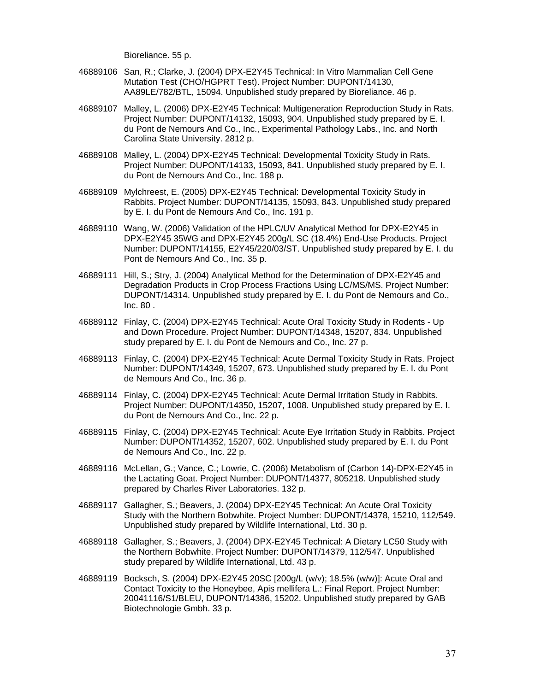Bioreliance. 55 p.

- 46889106 San, R.; Clarke, J. (2004) DPX-E2Y45 Technical: In Vitro Mammalian Cell Gene Mutation Test (CHO/HGPRT Test). Project Number: DUPONT/14130, AA89LE/782/BTL, 15094. Unpublished study prepared by Bioreliance. 46 p.
- 46889107 Malley, L. (2006) DPX-E2Y45 Technical: Multigeneration Reproduction Study in Rats. Project Number: DUPONT/14132, 15093, 904. Unpublished study prepared by E. I. du Pont de Nemours And Co., Inc., Experimental Pathology Labs., Inc. and North Carolina State University. 2812 p.
- 46889108 Malley, L. (2004) DPX-E2Y45 Technical: Developmental Toxicity Study in Rats. Project Number: DUPONT/14133, 15093, 841. Unpublished study prepared by E. I. du Pont de Nemours And Co., Inc. 188 p.
- 46889109 Mylchreest, E. (2005) DPX-E2Y45 Technical: Developmental Toxicity Study in Rabbits. Project Number: DUPONT/14135, 15093, 843. Unpublished study prepared by E. I. du Pont de Nemours And Co., Inc. 191 p.
- 46889110 Wang, W. (2006) Validation of the HPLC/UV Analytical Method for DPX-E2Y45 in DPX-E2Y45 35WG and DPX-E2Y45 200g/L SC (18.4%) End-Use Products. Project Number: DUPONT/14155, E2Y45/220/03/ST. Unpublished study prepared by E. I. du Pont de Nemours And Co., Inc. 35 p.
- 46889111 Hill, S.; Stry, J. (2004) Analytical Method for the Determination of DPX-E2Y45 and Degradation Products in Crop Process Fractions Using LC/MS/MS. Project Number: DUPONT/14314. Unpublished study prepared by E. I. du Pont de Nemours and Co., Inc. 80 .
- 46889112 Finlay, C. (2004) DPX-E2Y45 Technical: Acute Oral Toxicity Study in Rodents Up and Down Procedure. Project Number: DUPONT/14348, 15207, 834. Unpublished study prepared by E. I. du Pont de Nemours and Co., Inc. 27 p.
- 46889113 Finlay, C. (2004) DPX-E2Y45 Technical: Acute Dermal Toxicity Study in Rats. Project Number: DUPONT/14349, 15207, 673. Unpublished study prepared by E. I. du Pont de Nemours And Co., Inc. 36 p.
- 46889114 Finlay, C. (2004) DPX-E2Y45 Technical: Acute Dermal Irritation Study in Rabbits. Project Number: DUPONT/14350, 15207, 1008. Unpublished study prepared by E. I. du Pont de Nemours And Co., Inc. 22 p.
- 46889115 Finlay, C. (2004) DPX-E2Y45 Technical: Acute Eye Irritation Study in Rabbits. Project Number: DUPONT/14352, 15207, 602. Unpublished study prepared by E. I. du Pont de Nemours And Co., Inc. 22 p.
- 46889116 McLellan, G.; Vance, C.; Lowrie, C. (2006) Metabolism of (Carbon 14)-DPX-E2Y45 in the Lactating Goat. Project Number: DUPONT/14377, 805218. Unpublished study prepared by Charles River Laboratories. 132 p.
- 46889117 Gallagher, S.; Beavers, J. (2004) DPX-E2Y45 Technical: An Acute Oral Toxicity Study with the Northern Bobwhite. Project Number: DUPONT/14378, 15210, 112/549. Unpublished study prepared by Wildlife International, Ltd. 30 p.
- 46889118 Gallagher, S.; Beavers, J. (2004) DPX-E2Y45 Technical: A Dietary LC50 Study with the Northern Bobwhite. Project Number: DUPONT/14379, 112/547. Unpublished study prepared by Wildlife International, Ltd. 43 p.
- 46889119 Bocksch, S. (2004) DPX-E2Y45 20SC [200g/L (w/v); 18.5% (w/w)]: Acute Oral and Contact Toxicity to the Honeybee, Apis mellifera L.: Final Report. Project Number: 20041116/S1/BLEU, DUPONT/14386, 15202. Unpublished study prepared by GAB Biotechnologie Gmbh. 33 p.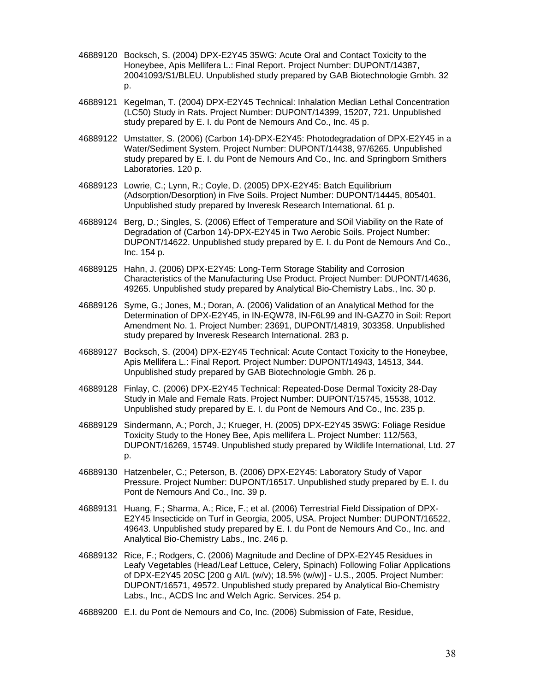- 46889120 Bocksch, S. (2004) DPX-E2Y45 35WG: Acute Oral and Contact Toxicity to the Honeybee, Apis Mellifera L.: Final Report. Project Number: DUPONT/14387, 20041093/S1/BLEU. Unpublished study prepared by GAB Biotechnologie Gmbh. 32 p.
- 46889121 Kegelman, T. (2004) DPX-E2Y45 Technical: Inhalation Median Lethal Concentration (LC50) Study in Rats. Project Number: DUPONT/14399, 15207, 721. Unpublished study prepared by E. I. du Pont de Nemours And Co., Inc. 45 p.
- 46889122 Umstatter, S. (2006) (Carbon 14)-DPX-E2Y45: Photodegradation of DPX-E2Y45 in a Water/Sediment System. Project Number: DUPONT/14438, 97/6265. Unpublished study prepared by E. I. du Pont de Nemours And Co., Inc. and Springborn Smithers Laboratories. 120 p.
- 46889123 Lowrie, C.; Lynn, R.; Coyle, D. (2005) DPX-E2Y45: Batch Equilibrium (Adsorption/Desorption) in Five Soils. Project Number: DUPONT/14445, 805401. Unpublished study prepared by Inveresk Research International. 61 p.
- 46889124 Berg, D.; Singles, S. (2006) Effect of Temperature and SOil Viability on the Rate of Degradation of (Carbon 14)-DPX-E2Y45 in Two Aerobic Soils. Project Number: DUPONT/14622. Unpublished study prepared by E. I. du Pont de Nemours And Co., Inc. 154 p.
- 46889125 Hahn, J. (2006) DPX-E2Y45: Long-Term Storage Stability and Corrosion Characteristics of the Manufacturing Use Product. Project Number: DUPONT/14636, 49265. Unpublished study prepared by Analytical Bio-Chemistry Labs., Inc. 30 p.
- 46889126 Syme, G.; Jones, M.; Doran, A. (2006) Validation of an Analytical Method for the Determination of DPX-E2Y45, in IN-EQW78, IN-F6L99 and IN-GAZ70 in Soil: Report Amendment No. 1. Project Number: 23691, DUPONT/14819, 303358. Unpublished study prepared by Inveresk Research International. 283 p.
- 46889127 Bocksch, S. (2004) DPX-E2Y45 Technical: Acute Contact Toxicity to the Honeybee, Apis Mellifera L.: Final Report. Project Number: DUPONT/14943, 14513, 344. Unpublished study prepared by GAB Biotechnologie Gmbh. 26 p.
- 46889128 Finlay, C. (2006) DPX-E2Y45 Technical: Repeated-Dose Dermal Toxicity 28-Day Study in Male and Female Rats. Project Number: DUPONT/15745, 15538, 1012. Unpublished study prepared by E. I. du Pont de Nemours And Co., Inc. 235 p.
- 46889129 Sindermann, A.; Porch, J.; Krueger, H. (2005) DPX-E2Y45 35WG: Foliage Residue Toxicity Study to the Honey Bee, Apis mellifera L. Project Number: 112/563, DUPONT/16269, 15749. Unpublished study prepared by Wildlife International, Ltd. 27 p.
- 46889130 Hatzenbeler, C.; Peterson, B. (2006) DPX-E2Y45: Laboratory Study of Vapor Pressure. Project Number: DUPONT/16517. Unpublished study prepared by E. I. du Pont de Nemours And Co., Inc. 39 p.
- 46889131 Huang, F.; Sharma, A.; Rice, F.; et al. (2006) Terrestrial Field Dissipation of DPX-E2Y45 Insecticide on Turf in Georgia, 2005, USA. Project Number: DUPONT/16522, 49643. Unpublished study prepared by E. I. du Pont de Nemours And Co., Inc. and Analytical Bio-Chemistry Labs., Inc. 246 p.
- 46889132 Rice, F.; Rodgers, C. (2006) Magnitude and Decline of DPX-E2Y45 Residues in Leafy Vegetables (Head/Leaf Lettuce, Celery, Spinach) Following Foliar Applications of DPX-E2Y45 20SC [200 g AI/L (w/v); 18.5% (w/w)] - U.S., 2005. Project Number: DUPONT/16571, 49572. Unpublished study prepared by Analytical Bio-Chemistry Labs., Inc., ACDS Inc and Welch Agric. Services. 254 p.
- 46889200 E.I. du Pont de Nemours and Co, Inc. (2006) Submission of Fate, Residue,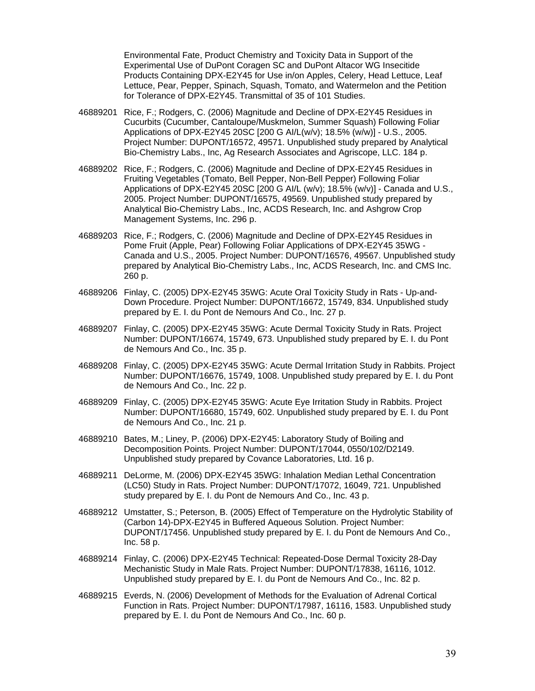Environmental Fate, Product Chemistry and Toxicity Data in Support of the Experimental Use of DuPont Coragen SC and DuPont Altacor WG Insecitide Products Containing DPX-E2Y45 for Use in/on Apples, Celery, Head Lettuce, Leaf Lettuce, Pear, Pepper, Spinach, Squash, Tomato, and Watermelon and the Petition for Tolerance of DPX-E2Y45. Transmittal of 35 of 101 Studies.

- 46889201 Rice, F.; Rodgers, C. (2006) Magnitude and Decline of DPX-E2Y45 Residues in Cucurbits (Cucumber, Cantaloupe/Muskmelon, Summer Squash) Following Foliar Applications of DPX-E2Y45 20SC [200 G AI/L(w/v); 18.5% (w/w)] - U.S., 2005. Project Number: DUPONT/16572, 49571. Unpublished study prepared by Analytical Bio-Chemistry Labs., Inc, Ag Research Associates and Agriscope, LLC. 184 p.
- 46889202 Rice, F.; Rodgers, C. (2006) Magnitude and Decline of DPX-E2Y45 Residues in Fruiting Vegetables (Tomato, Bell Pepper, Non-Bell Pepper) Following Foliar Applications of DPX-E2Y45 20SC [200 G AI/L (w/v); 18.5% (w/v)] - Canada and U.S., 2005. Project Number: DUPONT/16575, 49569. Unpublished study prepared by Analytical Bio-Chemistry Labs., Inc, ACDS Research, Inc. and Ashgrow Crop Management Systems, Inc. 296 p.
- 46889203 Rice, F.; Rodgers, C. (2006) Magnitude and Decline of DPX-E2Y45 Residues in Pome Fruit (Apple, Pear) Following Foliar Applications of DPX-E2Y45 35WG - Canada and U.S., 2005. Project Number: DUPONT/16576, 49567. Unpublished study prepared by Analytical Bio-Chemistry Labs., Inc, ACDS Research, Inc. and CMS Inc. 260 p.
- 46889206 Finlay, C. (2005) DPX-E2Y45 35WG: Acute Oral Toxicity Study in Rats Up-and-Down Procedure. Project Number: DUPONT/16672, 15749, 834. Unpublished study prepared by E. I. du Pont de Nemours And Co., Inc. 27 p.
- 46889207 Finlay, C. (2005) DPX-E2Y45 35WG: Acute Dermal Toxicity Study in Rats. Project Number: DUPONT/16674, 15749, 673. Unpublished study prepared by E. I. du Pont de Nemours And Co., Inc. 35 p.
- 46889208 Finlay, C. (2005) DPX-E2Y45 35WG: Acute Dermal Irritation Study in Rabbits. Project Number: DUPONT/16676, 15749, 1008. Unpublished study prepared by E. I. du Pont de Nemours And Co., Inc. 22 p.
- 46889209 Finlay, C. (2005) DPX-E2Y45 35WG: Acute Eye Irritation Study in Rabbits. Project Number: DUPONT/16680, 15749, 602. Unpublished study prepared by E. I. du Pont de Nemours And Co., Inc. 21 p.
- 46889210 Bates, M.; Liney, P. (2006) DPX-E2Y45: Laboratory Study of Boiling and Decomposition Points. Project Number: DUPONT/17044, 0550/102/D2149. Unpublished study prepared by Covance Laboratories, Ltd. 16 p.
- 46889211 DeLorme, M. (2006) DPX-E2Y45 35WG: Inhalation Median Lethal Concentration (LC50) Study in Rats. Project Number: DUPONT/17072, 16049, 721. Unpublished study prepared by E. I. du Pont de Nemours And Co., Inc. 43 p.
- 46889212 Umstatter, S.; Peterson, B. (2005) Effect of Temperature on the Hydrolytic Stability of (Carbon 14)-DPX-E2Y45 in Buffered Aqueous Solution. Project Number: DUPONT/17456. Unpublished study prepared by E. I. du Pont de Nemours And Co., Inc. 58 p.
- 46889214 Finlay, C. (2006) DPX-E2Y45 Technical: Repeated-Dose Dermal Toxicity 28-Day Mechanistic Study in Male Rats. Project Number: DUPONT/17838, 16116, 1012. Unpublished study prepared by E. I. du Pont de Nemours And Co., Inc. 82 p.
- 46889215 Everds, N. (2006) Development of Methods for the Evaluation of Adrenal Cortical Function in Rats. Project Number: DUPONT/17987, 16116, 1583. Unpublished study prepared by E. I. du Pont de Nemours And Co., Inc. 60 p.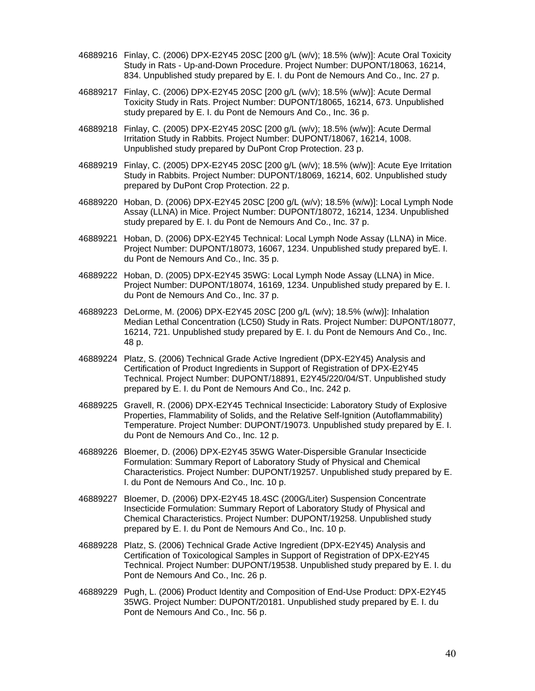- 46889216 Finlay, C. (2006) DPX-E2Y45 20SC [200 g/L (w/v); 18.5% (w/w)]: Acute Oral Toxicity Study in Rats - Up-and-Down Procedure. Project Number: DUPONT/18063, 16214, 834. Unpublished study prepared by E. I. du Pont de Nemours And Co., Inc. 27 p.
- 46889217 Finlay, C. (2006) DPX-E2Y45 20SC [200 g/L (w/v); 18.5% (w/w)]: Acute Dermal Toxicity Study in Rats. Project Number: DUPONT/18065, 16214, 673. Unpublished study prepared by E. I. du Pont de Nemours And Co., Inc. 36 p.
- 46889218 Finlay, C. (2005) DPX-E2Y45 20SC [200 g/L (w/v); 18.5% (w/w)]: Acute Dermal Irritation Study in Rabbits. Project Number: DUPONT/18067, 16214, 1008. Unpublished study prepared by DuPont Crop Protection. 23 p.
- 46889219 Finlay, C. (2005) DPX-E2Y45 20SC [200 g/L (w/v); 18.5% (w/w)]: Acute Eye Irritation Study in Rabbits. Project Number: DUPONT/18069, 16214, 602. Unpublished study prepared by DuPont Crop Protection. 22 p.
- 46889220 Hoban, D. (2006) DPX-E2Y45 20SC [200 g/L (w/v); 18.5% (w/w)]: Local Lymph Node Assay (LLNA) in Mice. Project Number: DUPONT/18072, 16214, 1234. Unpublished study prepared by E. I. du Pont de Nemours And Co., Inc. 37 p.
- 46889221 Hoban, D. (2006) DPX-E2Y45 Technical: Local Lymph Node Assay (LLNA) in Mice. Project Number: DUPONT/18073, 16067, 1234. Unpublished study prepared byE. I. du Pont de Nemours And Co., Inc. 35 p.
- 46889222 Hoban, D. (2005) DPX-E2Y45 35WG: Local Lymph Node Assay (LLNA) in Mice. Project Number: DUPONT/18074, 16169, 1234. Unpublished study prepared by E. I. du Pont de Nemours And Co., Inc. 37 p.
- 46889223 DeLorme, M. (2006) DPX-E2Y45 20SC [200 g/L (w/v); 18.5% (w/w)]: Inhalation Median Lethal Concentration (LC50) Study in Rats. Project Number: DUPONT/18077, 16214, 721. Unpublished study prepared by E. I. du Pont de Nemours And Co., Inc. 48 p.
- 46889224 Platz, S. (2006) Technical Grade Active Ingredient (DPX-E2Y45) Analysis and Certification of Product Ingredients in Support of Registration of DPX-E2Y45 Technical. Project Number: DUPONT/18891, E2Y45/220/04/ST. Unpublished study prepared by E. I. du Pont de Nemours And Co., Inc. 242 p.
- 46889225 Gravell, R. (2006) DPX-E2Y45 Technical Insecticide: Laboratory Study of Explosive Properties, Flammability of Solids, and the Relative Self-Ignition (Autoflammability) Temperature. Project Number: DUPONT/19073. Unpublished study prepared by E. I. du Pont de Nemours And Co., Inc. 12 p.
- 46889226 Bloemer, D. (2006) DPX-E2Y45 35WG Water-Dispersible Granular Insecticide Formulation: Summary Report of Laboratory Study of Physical and Chemical Characteristics. Project Number: DUPONT/19257. Unpublished study prepared by E. I. du Pont de Nemours And Co., Inc. 10 p.
- 46889227 Bloemer, D. (2006) DPX-E2Y45 18.4SC (200G/Liter) Suspension Concentrate Insecticide Formulation: Summary Report of Laboratory Study of Physical and Chemical Characteristics. Project Number: DUPONT/19258. Unpublished study prepared by E. I. du Pont de Nemours And Co., Inc. 10 p.
- 46889228 Platz, S. (2006) Technical Grade Active Ingredient (DPX-E2Y45) Analysis and Certification of Toxicological Samples in Support of Registration of DPX-E2Y45 Technical. Project Number: DUPONT/19538. Unpublished study prepared by E. I. du Pont de Nemours And Co., Inc. 26 p.
- 46889229 Pugh, L. (2006) Product Identity and Composition of End-Use Product: DPX-E2Y45 35WG. Project Number: DUPONT/20181. Unpublished study prepared by E. I. du Pont de Nemours And Co., Inc. 56 p.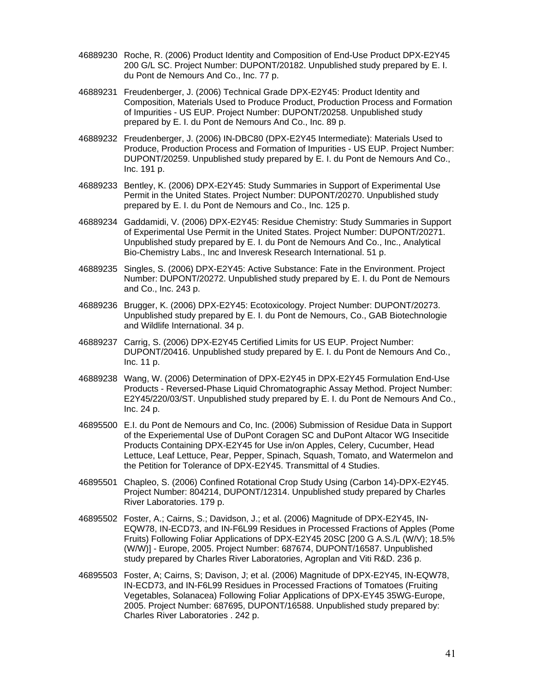- 46889230 Roche, R. (2006) Product Identity and Composition of End-Use Product DPX-E2Y45 200 G/L SC. Project Number: DUPONT/20182. Unpublished study prepared by E. I. du Pont de Nemours And Co., Inc. 77 p.
- 46889231 Freudenberger, J. (2006) Technical Grade DPX-E2Y45: Product Identity and Composition, Materials Used to Produce Product, Production Process and Formation of Impurities - US EUP. Project Number: DUPONT/20258. Unpublished study prepared by E. I. du Pont de Nemours And Co., Inc. 89 p.
- 46889232 Freudenberger, J. (2006) IN-DBC80 (DPX-E2Y45 Intermediate): Materials Used to Produce, Production Process and Formation of Impurities - US EUP. Project Number: DUPONT/20259. Unpublished study prepared by E. I. du Pont de Nemours And Co., Inc. 191 p.
- 46889233 Bentley, K. (2006) DPX-E2Y45: Study Summaries in Support of Experimental Use Permit in the United States. Project Number: DUPONT/20270. Unpublished study prepared by E. I. du Pont de Nemours and Co., Inc. 125 p.
- 46889234 Gaddamidi, V. (2006) DPX-E2Y45: Residue Chemistry: Study Summaries in Support of Experimental Use Permit in the United States. Project Number: DUPONT/20271. Unpublished study prepared by E. I. du Pont de Nemours And Co., Inc., Analytical Bio-Chemistry Labs., Inc and Inveresk Research International. 51 p.
- 46889235 Singles, S. (2006) DPX-E2Y45: Active Substance: Fate in the Environment. Project Number: DUPONT/20272. Unpublished study prepared by E. I. du Pont de Nemours and Co., Inc. 243 p.
- 46889236 Brugger, K. (2006) DPX-E2Y45: Ecotoxicology. Project Number: DUPONT/20273. Unpublished study prepared by E. I. du Pont de Nemours, Co., GAB Biotechnologie and Wildlife International. 34 p.
- 46889237 Carrig, S. (2006) DPX-E2Y45 Certified Limits for US EUP. Project Number: DUPONT/20416. Unpublished study prepared by E. I. du Pont de Nemours And Co., Inc. 11 p.
- 46889238 Wang, W. (2006) Determination of DPX-E2Y45 in DPX-E2Y45 Formulation End-Use Products - Reversed-Phase Liquid Chromatographic Assay Method. Project Number: E2Y45/220/03/ST. Unpublished study prepared by E. I. du Pont de Nemours And Co., Inc. 24 p.
- 46895500 E.I. du Pont de Nemours and Co, Inc. (2006) Submission of Residue Data in Support of the Experiemental Use of DuPont Coragen SC and DuPont Altacor WG Insecitide Products Containing DPX-E2Y45 for Use in/on Apples, Celery, Cucumber, Head Lettuce, Leaf Lettuce, Pear, Pepper, Spinach, Squash, Tomato, and Watermelon and the Petition for Tolerance of DPX-E2Y45. Transmittal of 4 Studies.
- 46895501 Chapleo, S. (2006) Confined Rotational Crop Study Using (Carbon 14)-DPX-E2Y45. Project Number: 804214, DUPONT/12314. Unpublished study prepared by Charles River Laboratories. 179 p.
- 46895502 Foster, A.; Cairns, S.; Davidson, J.; et al. (2006) Magnitude of DPX-E2Y45, IN-EQW78, IN-ECD73, and IN-F6L99 Residues in Processed Fractions of Apples (Pome Fruits) Following Foliar Applications of DPX-E2Y45 20SC [200 G A.S./L (W/V); 18.5% (W/W)] - Europe, 2005. Project Number: 687674, DUPONT/16587. Unpublished study prepared by Charles River Laboratories, Agroplan and Viti R&D. 236 p.
- 46895503 Foster, A; Cairns, S; Davison, J; et al. (2006) Magnitude of DPX-E2Y45, IN-EQW78, IN-ECD73, and IN-F6L99 Residues in Processed Fractions of Tomatoes (Fruiting Vegetables, Solanacea) Following Foliar Applications of DPX-EY45 35WG-Europe, 2005. Project Number: 687695, DUPONT/16588. Unpublished study prepared by: Charles River Laboratories . 242 p.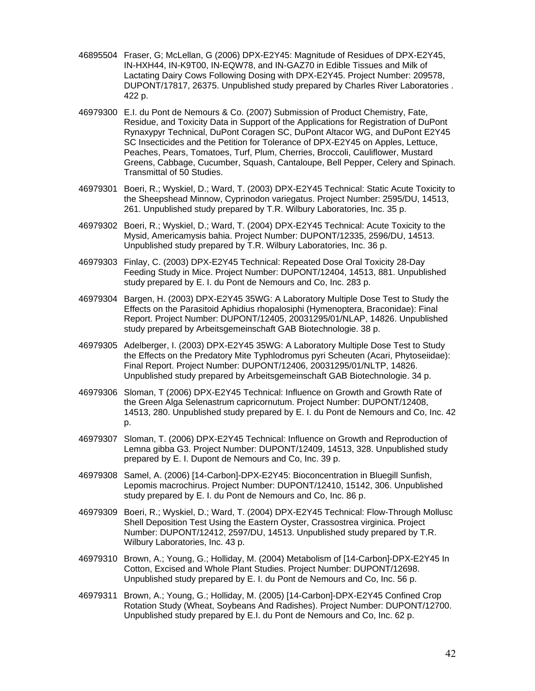- 46895504 Fraser, G; McLellan, G (2006) DPX-E2Y45: Magnitude of Residues of DPX-E2Y45, IN-HXH44, IN-K9T00, IN-EQW78, and IN-GAZ70 in Edible Tissues and Milk of Lactating Dairy Cows Following Dosing with DPX-E2Y45. Project Number: 209578, DUPONT/17817, 26375. Unpublished study prepared by Charles River Laboratories . 422 p.
- 46979300 E.I. du Pont de Nemours & Co. (2007) Submission of Product Chemistry, Fate, Residue, and Toxicity Data in Support of the Applications for Registration of DuPont Rynaxypyr Technical, DuPont Coragen SC, DuPont Altacor WG, and DuPont E2Y45 SC Insecticides and the Petition for Tolerance of DPX-E2Y45 on Apples, Lettuce, Peaches, Pears, Tomatoes, Turf, Plum, Cherries, Broccoli, Cauliflower, Mustard Greens, Cabbage, Cucumber, Squash, Cantaloupe, Bell Pepper, Celery and Spinach. Transmittal of 50 Studies.
- 46979301 Boeri, R.; Wyskiel, D.; Ward, T. (2003) DPX-E2Y45 Technical: Static Acute Toxicity to the Sheepshead Minnow, Cyprinodon variegatus. Project Number: 2595/DU, 14513, 261. Unpublished study prepared by T.R. Wilbury Laboratories, Inc. 35 p.
- 46979302 Boeri, R.; Wyskiel, D.; Ward, T. (2004) DPX-E2Y45 Technical: Acute Toxicity to the Mysid, Americamysis bahia. Project Number: DUPONT/12335, 2596/DU, 14513. Unpublished study prepared by T.R. Wilbury Laboratories, Inc. 36 p.
- 46979303 Finlay, C. (2003) DPX-E2Y45 Technical: Repeated Dose Oral Toxicity 28-Day Feeding Study in Mice. Project Number: DUPONT/12404, 14513, 881. Unpublished study prepared by E. I. du Pont de Nemours and Co, Inc. 283 p.
- 46979304 Bargen, H. (2003) DPX-E2Y45 35WG: A Laboratory Multiple Dose Test to Study the Effects on the Parasitoid Aphidius rhopalosiphi (Hymenoptera, Braconidae): Final Report. Project Number: DUPONT/12405, 20031295/01/NLAP, 14826. Unpublished study prepared by Arbeitsgemeinschaft GAB Biotechnologie. 38 p.
- 46979305 Adelberger, I. (2003) DPX-E2Y45 35WG: A Laboratory Multiple Dose Test to Study the Effects on the Predatory Mite Typhlodromus pyri Scheuten (Acari, Phytoseiidae): Final Report. Project Number: DUPONT/12406, 20031295/01/NLTP, 14826. Unpublished study prepared by Arbeitsgemeinschaft GAB Biotechnologie. 34 p.
- 46979306 Sloman, T (2006) DPX-E2Y45 Technical: Influence on Growth and Growth Rate of the Green Alga Selenastrum capricornutum. Project Number: DUPONT/12408, 14513, 280. Unpublished study prepared by E. I. du Pont de Nemours and Co, Inc. 42 p.
- 46979307 Sloman, T. (2006) DPX-E2Y45 Technical: Influence on Growth and Reproduction of Lemna gibba G3. Project Number: DUPONT/12409, 14513, 328. Unpublished study prepared by E. I. Dupont de Nemours and Co, Inc. 39 p.
- 46979308 Samel, A. (2006) [14-Carbon]-DPX-E2Y45: Bioconcentration in Bluegill Sunfish, Lepomis macrochirus. Project Number: DUPONT/12410, 15142, 306. Unpublished study prepared by E. I. du Pont de Nemours and Co, Inc. 86 p.
- 46979309 Boeri, R.; Wyskiel, D.; Ward, T. (2004) DPX-E2Y45 Technical: Flow-Through Mollusc Shell Deposition Test Using the Eastern Oyster, Crassostrea virginica. Project Number: DUPONT/12412, 2597/DU, 14513. Unpublished study prepared by T.R. Wilbury Laboratories, Inc. 43 p.
- 46979310 Brown, A.; Young, G.; Holliday, M. (2004) Metabolism of [14-Carbon]-DPX-E2Y45 In Cotton, Excised and Whole Plant Studies. Project Number: DUPONT/12698. Unpublished study prepared by E. I. du Pont de Nemours and Co, Inc. 56 p.
- 46979311 Brown, A.; Young, G.; Holliday, M. (2005) [14-Carbon]-DPX-E2Y45 Confined Crop Rotation Study (Wheat, Soybeans And Radishes). Project Number: DUPONT/12700. Unpublished study prepared by E.I. du Pont de Nemours and Co, Inc. 62 p.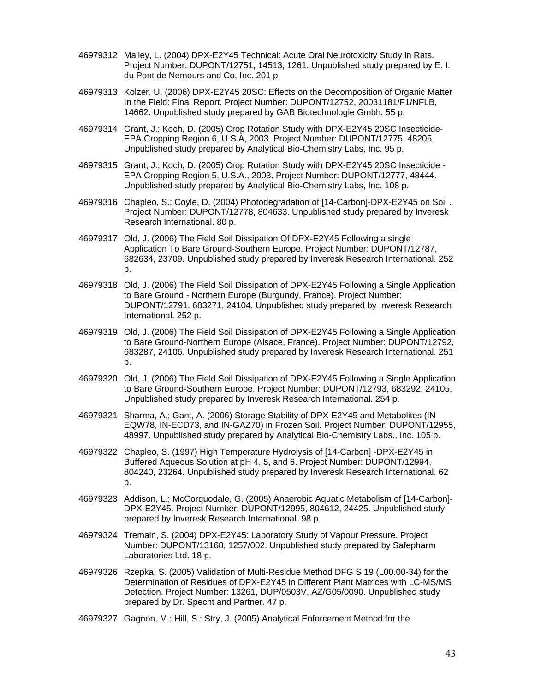- 46979312 Malley, L. (2004) DPX-E2Y45 Technical: Acute Oral Neurotoxicity Study in Rats. Project Number: DUPONT/12751, 14513, 1261. Unpublished study prepared by E. I. du Pont de Nemours and Co, Inc. 201 p.
- 46979313 Kolzer, U. (2006) DPX-E2Y45 20SC: Effects on the Decomposition of Organic Matter In the Field: Final Report. Project Number: DUPONT/12752, 20031181/F1/NFLB, 14662. Unpublished study prepared by GAB Biotechnologie Gmbh. 55 p.
- 46979314 Grant, J.; Koch, D. (2005) Crop Rotation Study with DPX-E2Y45 20SC Insecticide-EPA Cropping Region 6, U.S.A, 2003. Project Number: DUPONT/12775, 48205. Unpublished study prepared by Analytical Bio-Chemistry Labs, Inc. 95 p.
- 46979315 Grant, J.; Koch, D. (2005) Crop Rotation Study with DPX-E2Y45 20SC Insecticide EPA Cropping Region 5, U.S.A., 2003. Project Number: DUPONT/12777, 48444. Unpublished study prepared by Analytical Bio-Chemistry Labs, Inc. 108 p.
- 46979316 Chapleo, S.; Coyle, D. (2004) Photodegradation of [14-Carbon]-DPX-E2Y45 on Soil . Project Number: DUPONT/12778, 804633. Unpublished study prepared by Inveresk Research International. 80 p.
- 46979317 Old, J. (2006) The Field Soil Dissipation Of DPX-E2Y45 Following a single Application To Bare Ground-Southern Europe. Project Number: DUPONT/12787, 682634, 23709. Unpublished study prepared by Inveresk Research International. 252 p.
- 46979318 Old, J. (2006) The Field Soil Dissipation of DPX-E2Y45 Following a Single Application to Bare Ground - Northern Europe (Burgundy, France). Project Number: DUPONT/12791, 683271, 24104. Unpublished study prepared by Inveresk Research International. 252 p.
- 46979319 Old, J. (2006) The Field Soil Dissipation of DPX-E2Y45 Following a Single Application to Bare Ground-Northern Europe (Alsace, France). Project Number: DUPONT/12792, 683287, 24106. Unpublished study prepared by Inveresk Research International. 251 p.
- 46979320 Old, J. (2006) The Field Soil Dissipation of DPX-E2Y45 Following a Single Application to Bare Ground-Southern Europe. Project Number: DUPONT/12793, 683292, 24105. Unpublished study prepared by Inveresk Research International. 254 p.
- 46979321 Sharma, A.; Gant, A. (2006) Storage Stability of DPX-E2Y45 and Metabolites (IN-EQW78, IN-ECD73, and IN-GAZ70) in Frozen Soil. Project Number: DUPONT/12955, 48997. Unpublished study prepared by Analytical Bio-Chemistry Labs., Inc. 105 p.
- 46979322 Chapleo, S. (1997) High Temperature Hydrolysis of [14-Carbon] -DPX-E2Y45 in Buffered Aqueous Solution at pH 4, 5, and 6. Project Number: DUPONT/12994, 804240, 23264. Unpublished study prepared by Inveresk Research International. 62 p.
- 46979323 Addison, L.; McCorquodale, G. (2005) Anaerobic Aquatic Metabolism of [14-Carbon]- DPX-E2Y45. Project Number: DUPONT/12995, 804612, 24425. Unpublished study prepared by Inveresk Research International. 98 p.
- 46979324 Tremain, S. (2004) DPX-E2Y45: Laboratory Study of Vapour Pressure. Project Number: DUPONT/13168, 1257/002. Unpublished study prepared by Safepharm Laboratories Ltd. 18 p.
- 46979326 Rzepka, S. (2005) Validation of Multi-Residue Method DFG S 19 (L00.00-34) for the Determination of Residues of DPX-E2Y45 in Different Plant Matrices with LC-MS/MS Detection. Project Number: 13261, DUP/0503V, AZ/G05/0090. Unpublished study prepared by Dr. Specht and Partner. 47 p.
- 46979327 Gagnon, M.; Hill, S.; Stry, J. (2005) Analytical Enforcement Method for the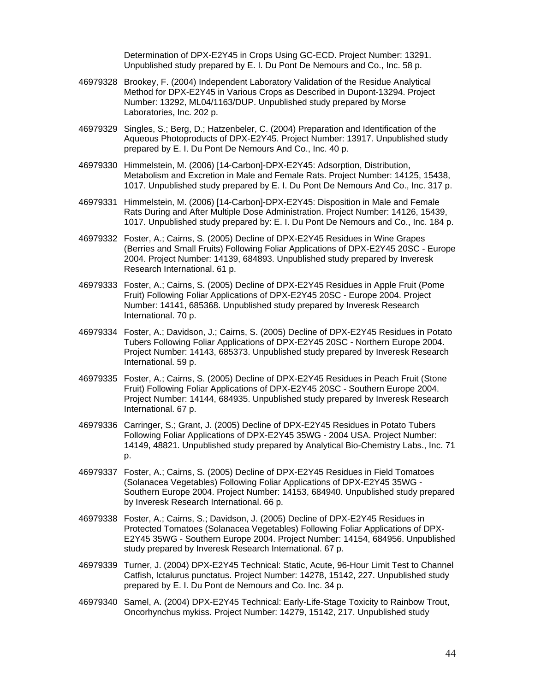Determination of DPX-E2Y45 in Crops Using GC-ECD. Project Number: 13291. Unpublished study prepared by E. I. Du Pont De Nemours and Co., Inc. 58 p.

- 46979328 Brookey, F. (2004) Independent Laboratory Validation of the Residue Analytical Method for DPX-E2Y45 in Various Crops as Described in Dupont-13294. Project Number: 13292, ML04/1163/DUP. Unpublished study prepared by Morse Laboratories, Inc. 202 p.
- 46979329 Singles, S.; Berg, D.; Hatzenbeler, C. (2004) Preparation and Identification of the Aqueous Photoproducts of DPX-E2Y45. Project Number: 13917. Unpublished study prepared by E. I. Du Pont De Nemours And Co., Inc. 40 p.
- 46979330 Himmelstein, M. (2006) [14-Carbon]-DPX-E2Y45: Adsorption, Distribution, Metabolism and Excretion in Male and Female Rats. Project Number: 14125, 15438, 1017. Unpublished study prepared by E. I. Du Pont De Nemours And Co., Inc. 317 p.
- 46979331 Himmelstein, M. (2006) [14-Carbon]-DPX-E2Y45: Disposition in Male and Female Rats During and After Multiple Dose Administration. Project Number: 14126, 15439, 1017. Unpublished study prepared by: E. I. Du Pont De Nemours and Co., Inc. 184 p.
- 46979332 Foster, A.; Cairns, S. (2005) Decline of DPX-E2Y45 Residues in Wine Grapes (Berries and Small Fruits) Following Foliar Applications of DPX-E2Y45 20SC - Europe 2004. Project Number: 14139, 684893. Unpublished study prepared by Inveresk Research International. 61 p.
- 46979333 Foster, A.; Cairns, S. (2005) Decline of DPX-E2Y45 Residues in Apple Fruit (Pome Fruit) Following Foliar Applications of DPX-E2Y45 20SC - Europe 2004. Project Number: 14141, 685368. Unpublished study prepared by Inveresk Research International. 70 p.
- 46979334 Foster, A.; Davidson, J.; Cairns, S. (2005) Decline of DPX-E2Y45 Residues in Potato Tubers Following Foliar Applications of DPX-E2Y45 20SC - Northern Europe 2004. Project Number: 14143, 685373. Unpublished study prepared by Inveresk Research International. 59 p.
- 46979335 Foster, A.; Cairns, S. (2005) Decline of DPX-E2Y45 Residues in Peach Fruit (Stone Fruit) Following Foliar Applications of DPX-E2Y45 20SC - Southern Europe 2004. Project Number: 14144, 684935. Unpublished study prepared by Inveresk Research International. 67 p.
- 46979336 Carringer, S.; Grant, J. (2005) Decline of DPX-E2Y45 Residues in Potato Tubers Following Foliar Applications of DPX-E2Y45 35WG - 2004 USA. Project Number: 14149, 48821. Unpublished study prepared by Analytical Bio-Chemistry Labs., Inc. 71 p.
- 46979337 Foster, A.; Cairns, S. (2005) Decline of DPX-E2Y45 Residues in Field Tomatoes (Solanacea Vegetables) Following Foliar Applications of DPX-E2Y45 35WG - Southern Europe 2004. Project Number: 14153, 684940. Unpublished study prepared by Inveresk Research International. 66 p.
- 46979338 Foster, A.; Cairns, S.; Davidson, J. (2005) Decline of DPX-E2Y45 Residues in Protected Tomatoes (Solanacea Vegetables) Following Foliar Applications of DPX-E2Y45 35WG - Southern Europe 2004. Project Number: 14154, 684956. Unpublished study prepared by Inveresk Research International. 67 p.
- 46979339 Turner, J. (2004) DPX-E2Y45 Technical: Static, Acute, 96-Hour Limit Test to Channel Catfish, Ictalurus punctatus. Project Number: 14278, 15142, 227. Unpublished study prepared by E. I. Du Pont de Nemours and Co. Inc. 34 p.
- 46979340 Samel, A. (2004) DPX-E2Y45 Technical: Early-Life-Stage Toxicity to Rainbow Trout, Oncorhynchus mykiss. Project Number: 14279, 15142, 217. Unpublished study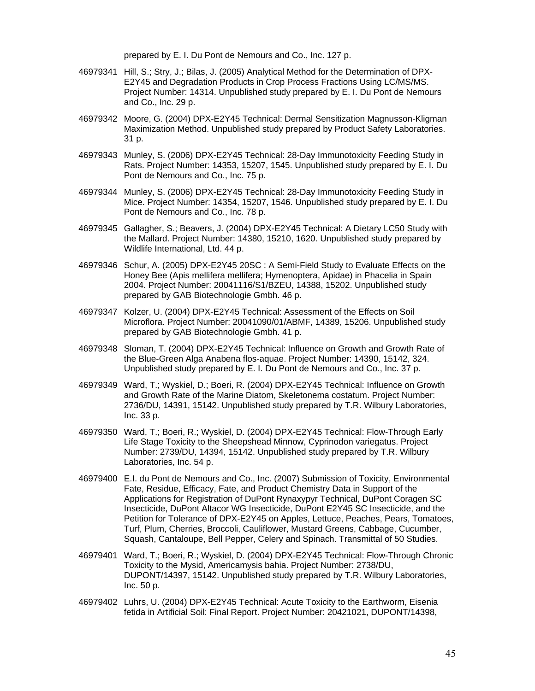prepared by E. I. Du Pont de Nemours and Co., Inc. 127 p.

- 46979341 Hill, S.; Stry, J.; Bilas, J. (2005) Analytical Method for the Determination of DPX-E2Y45 and Degradation Products in Crop Process Fractions Using LC/MS/MS. Project Number: 14314. Unpublished study prepared by E. I. Du Pont de Nemours and Co., Inc. 29 p.
- 46979342 Moore, G. (2004) DPX-E2Y45 Technical: Dermal Sensitization Magnusson-Kligman Maximization Method. Unpublished study prepared by Product Safety Laboratories. 31 p.
- 46979343 Munley, S. (2006) DPX-E2Y45 Technical: 28-Day Immunotoxicity Feeding Study in Rats. Project Number: 14353, 15207, 1545. Unpublished study prepared by E. I. Du Pont de Nemours and Co., Inc. 75 p.
- 46979344 Munley, S. (2006) DPX-E2Y45 Technical: 28-Day Immunotoxicity Feeding Study in Mice. Project Number: 14354, 15207, 1546. Unpublished study prepared by E. I. Du Pont de Nemours and Co., Inc. 78 p.
- 46979345 Gallagher, S.; Beavers, J. (2004) DPX-E2Y45 Technical: A Dietary LC50 Study with the Mallard. Project Number: 14380, 15210, 1620. Unpublished study prepared by Wildlife International, Ltd. 44 p.
- 46979346 Schur, A. (2005) DPX-E2Y45 20SC : A Semi-Field Study to Evaluate Effects on the Honey Bee (Apis mellifera mellifera; Hymenoptera, Apidae) in Phacelia in Spain 2004. Project Number: 20041116/S1/BZEU, 14388, 15202. Unpublished study prepared by GAB Biotechnologie Gmbh. 46 p.
- 46979347 Kolzer, U. (2004) DPX-E2Y45 Technical: Assessment of the Effects on Soil Microflora. Project Number: 20041090/01/ABMF, 14389, 15206. Unpublished study prepared by GAB Biotechnologie Gmbh. 41 p.
- 46979348 Sloman, T. (2004) DPX-E2Y45 Technical: Influence on Growth and Growth Rate of the Blue-Green Alga Anabena flos-aquae. Project Number: 14390, 15142, 324. Unpublished study prepared by E. I. Du Pont de Nemours and Co., Inc. 37 p.
- 46979349 Ward, T.; Wyskiel, D.; Boeri, R. (2004) DPX-E2Y45 Technical: Influence on Growth and Growth Rate of the Marine Diatom, Skeletonema costatum. Project Number: 2736/DU, 14391, 15142. Unpublished study prepared by T.R. Wilbury Laboratories, Inc. 33 p.
- 46979350 Ward, T.; Boeri, R.; Wyskiel, D. (2004) DPX-E2Y45 Technical: Flow-Through Early Life Stage Toxicity to the Sheepshead Minnow, Cyprinodon variegatus. Project Number: 2739/DU, 14394, 15142. Unpublished study prepared by T.R. Wilbury Laboratories, Inc. 54 p.
- 46979400 E.I. du Pont de Nemours and Co., Inc. (2007) Submission of Toxicity, Environmental Fate, Residue, Efficacy, Fate, and Product Chemistry Data in Support of the Applications for Registration of DuPont Rynaxypyr Technical, DuPont Coragen SC Insecticide, DuPont Altacor WG Insecticide, DuPont E2Y45 SC Insecticide, and the Petition for Tolerance of DPX-E2Y45 on Apples, Lettuce, Peaches, Pears, Tomatoes, Turf, Plum, Cherries, Broccoli, Cauliflower, Mustard Greens, Cabbage, Cucumber, Squash, Cantaloupe, Bell Pepper, Celery and Spinach. Transmittal of 50 Studies.
- 46979401 Ward, T.; Boeri, R.; Wyskiel, D. (2004) DPX-E2Y45 Technical: Flow-Through Chronic Toxicity to the Mysid, Americamysis bahia. Project Number: 2738/DU, DUPONT/14397, 15142. Unpublished study prepared by T.R. Wilbury Laboratories, Inc. 50 p.
- 46979402 Luhrs, U. (2004) DPX-E2Y45 Technical: Acute Toxicity to the Earthworm, Eisenia fetida in Artificial Soil: Final Report. Project Number: 20421021, DUPONT/14398,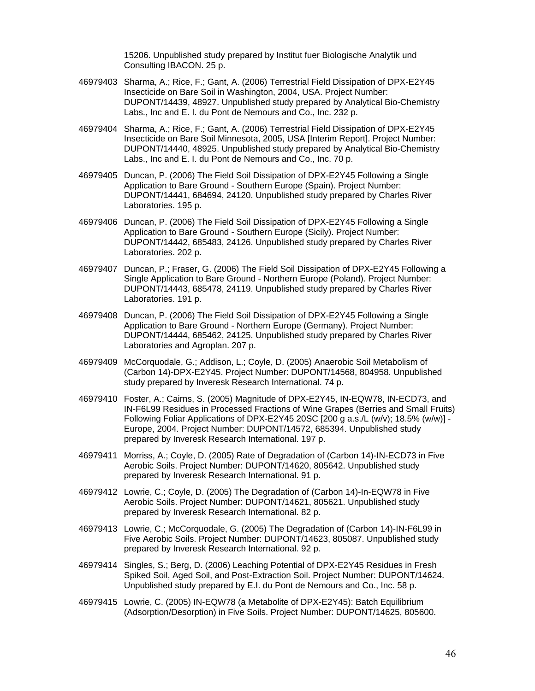15206. Unpublished study prepared by Institut fuer Biologische Analytik und Consulting IBACON. 25 p.

- 46979403 Sharma, A.; Rice, F.; Gant, A. (2006) Terrestrial Field Dissipation of DPX-E2Y45 Insecticide on Bare Soil in Washington, 2004, USA. Project Number: DUPONT/14439, 48927. Unpublished study prepared by Analytical Bio-Chemistry Labs., Inc and E. I. du Pont de Nemours and Co., Inc. 232 p.
- 46979404 Sharma, A.; Rice, F.; Gant, A. (2006) Terrestrial Field Dissipation of DPX-E2Y45 Insecticide on Bare Soil Minnesota, 2005, USA [Interim Report]. Project Number: DUPONT/14440, 48925. Unpublished study prepared by Analytical Bio-Chemistry Labs., Inc and E. I. du Pont de Nemours and Co., Inc. 70 p.
- 46979405 Duncan, P. (2006) The Field Soil Dissipation of DPX-E2Y45 Following a Single Application to Bare Ground - Southern Europe (Spain). Project Number: DUPONT/14441, 684694, 24120. Unpublished study prepared by Charles River Laboratories. 195 p.
- 46979406 Duncan, P. (2006) The Field Soil Dissipation of DPX-E2Y45 Following a Single Application to Bare Ground - Southern Europe (Sicily). Project Number: DUPONT/14442, 685483, 24126. Unpublished study prepared by Charles River Laboratories. 202 p.
- 46979407 Duncan, P.; Fraser, G. (2006) The Field Soil Dissipation of DPX-E2Y45 Following a Single Application to Bare Ground - Northern Europe (Poland). Project Number: DUPONT/14443, 685478, 24119. Unpublished study prepared by Charles River Laboratories. 191 p.
- 46979408 Duncan, P. (2006) The Field Soil Dissipation of DPX-E2Y45 Following a Single Application to Bare Ground - Northern Europe (Germany). Project Number: DUPONT/14444, 685462, 24125. Unpublished study prepared by Charles River Laboratories and Agroplan. 207 p.
- 46979409 McCorquodale, G.; Addison, L.; Coyle, D. (2005) Anaerobic Soil Metabolism of (Carbon 14)-DPX-E2Y45. Project Number: DUPONT/14568, 804958. Unpublished study prepared by Inveresk Research International. 74 p.
- 46979410 Foster, A.; Cairns, S. (2005) Magnitude of DPX-E2Y45, IN-EQW78, IN-ECD73, and IN-F6L99 Residues in Processed Fractions of Wine Grapes (Berries and Small Fruits) Following Foliar Applications of DPX-E2Y45 20SC [200 g a.s./L (w/v); 18.5% (w/w)] - Europe, 2004. Project Number: DUPONT/14572, 685394. Unpublished study prepared by Inveresk Research International. 197 p.
- 46979411 Morriss, A.; Coyle, D. (2005) Rate of Degradation of (Carbon 14)-IN-ECD73 in Five Aerobic Soils. Project Number: DUPONT/14620, 805642. Unpublished study prepared by Inveresk Research International. 91 p.
- 46979412 Lowrie, C.; Coyle, D. (2005) The Degradation of (Carbon 14)-In-EQW78 in Five Aerobic Soils. Project Number: DUPONT/14621, 805621. Unpublished study prepared by Inveresk Research International. 82 p.
- 46979413 Lowrie, C.; McCorquodale, G. (2005) The Degradation of (Carbon 14)-IN-F6L99 in Five Aerobic Soils. Project Number: DUPONT/14623, 805087. Unpublished study prepared by Inveresk Research International. 92 p.
- 46979414 Singles, S.; Berg, D. (2006) Leaching Potential of DPX-E2Y45 Residues in Fresh Spiked Soil, Aged Soil, and Post-Extraction Soil. Project Number: DUPONT/14624. Unpublished study prepared by E.I. du Pont de Nemours and Co., Inc. 58 p.
- 46979415 Lowrie, C. (2005) IN-EQW78 (a Metabolite of DPX-E2Y45): Batch Equilibrium (Adsorption/Desorption) in Five Soils. Project Number: DUPONT/14625, 805600.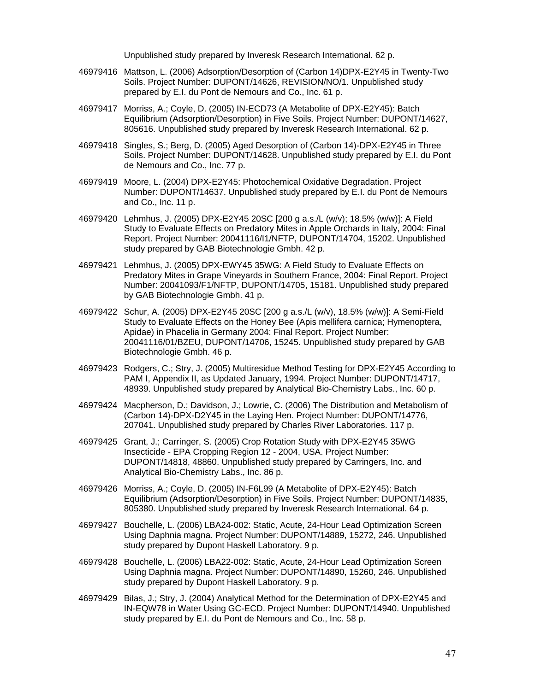Unpublished study prepared by Inveresk Research International. 62 p.

- 46979416 Mattson, L. (2006) Adsorption/Desorption of (Carbon 14)DPX-E2Y45 in Twenty-Two Soils. Project Number: DUPONT/14626, REVISION/NO/1. Unpublished study prepared by E.I. du Pont de Nemours and Co., Inc. 61 p.
- 46979417 Morriss, A.; Coyle, D. (2005) IN-ECD73 (A Metabolite of DPX-E2Y45): Batch Equilibrium (Adsorption/Desorption) in Five Soils. Project Number: DUPONT/14627, 805616. Unpublished study prepared by Inveresk Research International. 62 p.
- 46979418 Singles, S.; Berg, D. (2005) Aged Desorption of (Carbon 14)-DPX-E2Y45 in Three Soils. Project Number: DUPONT/14628. Unpublished study prepared by E.I. du Pont de Nemours and Co., Inc. 77 p.
- 46979419 Moore, L. (2004) DPX-E2Y45: Photochemical Oxidative Degradation. Project Number: DUPONT/14637. Unpublished study prepared by E.I. du Pont de Nemours and Co., Inc. 11 p.
- 46979420 Lehmhus, J. (2005) DPX-E2Y45 20SC [200 g a.s./L (w/v); 18.5% (w/w)]: A Field Study to Evaluate Effects on Predatory Mites in Apple Orchards in Italy, 2004: Final Report. Project Number: 20041116/I1/NFTP, DUPONT/14704, 15202. Unpublished study prepared by GAB Biotechnologie Gmbh. 42 p.
- 46979421 Lehmhus, J. (2005) DPX-EWY45 35WG: A Field Study to Evaluate Effects on Predatory Mites in Grape Vineyards in Southern France, 2004: Final Report. Project Number: 20041093/F1/NFTP, DUPONT/14705, 15181. Unpublished study prepared by GAB Biotechnologie Gmbh. 41 p.
- 46979422 Schur, A. (2005) DPX-E2Y45 20SC [200 g a.s./L (w/v), 18.5% (w/w)]: A Semi-Field Study to Evaluate Effects on the Honey Bee (Apis mellifera carnica; Hymenoptera, Apidae) in Phacelia in Germany 2004: Final Report. Project Number: 20041116/01/BZEU, DUPONT/14706, 15245. Unpublished study prepared by GAB Biotechnologie Gmbh. 46 p.
- 46979423 Rodgers, C.; Stry, J. (2005) Multiresidue Method Testing for DPX-E2Y45 According to PAM I, Appendix II, as Updated January, 1994. Project Number: DUPONT/14717, 48939. Unpublished study prepared by Analytical Bio-Chemistry Labs., Inc. 60 p.
- 46979424 Macpherson, D.; Davidson, J.; Lowrie, C. (2006) The Distribution and Metabolism of (Carbon 14)-DPX-D2Y45 in the Laying Hen. Project Number: DUPONT/14776, 207041. Unpublished study prepared by Charles River Laboratories. 117 p.
- 46979425 Grant, J.; Carringer, S. (2005) Crop Rotation Study with DPX-E2Y45 35WG Insecticide - EPA Cropping Region 12 - 2004, USA. Project Number: DUPONT/14818, 48860. Unpublished study prepared by Carringers, Inc. and Analytical Bio-Chemistry Labs., Inc. 86 p.
- 46979426 Morriss, A.; Coyle, D. (2005) IN-F6L99 (A Metabolite of DPX-E2Y45): Batch Equilibrium (Adsorption/Desorption) in Five Soils. Project Number: DUPONT/14835, 805380. Unpublished study prepared by Inveresk Research International. 64 p.
- 46979427 Bouchelle, L. (2006) LBA24-002: Static, Acute, 24-Hour Lead Optimization Screen Using Daphnia magna. Project Number: DUPONT/14889, 15272, 246. Unpublished study prepared by Dupont Haskell Laboratory. 9 p.
- 46979428 Bouchelle, L. (2006) LBA22-002: Static, Acute, 24-Hour Lead Optimization Screen Using Daphnia magna. Project Number: DUPONT/14890, 15260, 246. Unpublished study prepared by Dupont Haskell Laboratory. 9 p.
- 46979429 Bilas, J.; Stry, J. (2004) Analytical Method for the Determination of DPX-E2Y45 and IN-EQW78 in Water Using GC-ECD. Project Number: DUPONT/14940. Unpublished study prepared by E.I. du Pont de Nemours and Co., Inc. 58 p.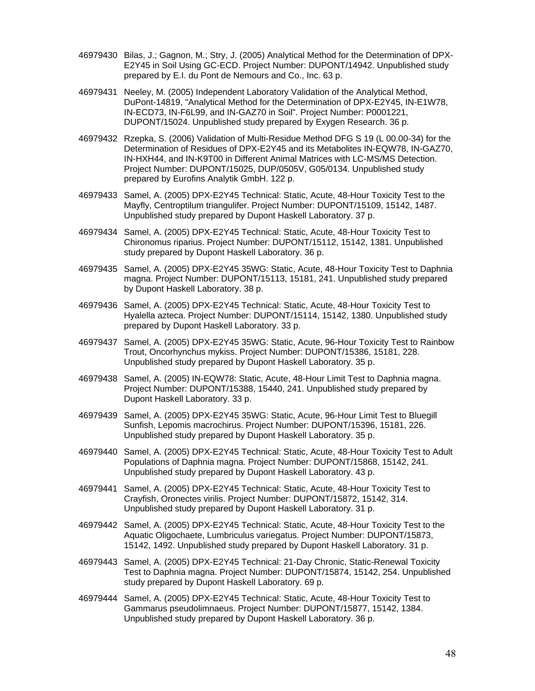- 46979430 Bilas, J.; Gagnon, M.; Stry, J. (2005) Analytical Method for the Determination of DPX-E2Y45 in Soil Using GC-ECD. Project Number: DUPONT/14942. Unpublished study prepared by E.I. du Pont de Nemours and Co., Inc. 63 p.
- 46979431 Neeley, M. (2005) Independent Laboratory Validation of the Analytical Method, DuPont-14819, "Analytical Method for the Determination of DPX-E2Y45, IN-E1W78, IN-ECD73, IN-F6L99, and IN-GAZ70 in Soil". Project Number: P0001221, DUPONT/15024. Unpublished study prepared by Exygen Research. 36 p.
- 46979432 Rzepka, S. (2006) Validation of Multi-Residue Method DFG S 19 (L 00.00-34) for the Determination of Residues of DPX-E2Y45 and its Metabolites IN-EQW78, IN-GAZ70, IN-HXH44, and IN-K9T00 in Different Animal Matrices with LC-MS/MS Detection. Project Number: DUPONT/15025, DUP/0505V, G05/0134. Unpublished study prepared by Eurofins Analytik GmbH. 122 p.
- 46979433 Samel, A. (2005) DPX-E2Y45 Technical: Static, Acute, 48-Hour Toxicity Test to the Mayfly, Centroptilum triangulifer. Project Number: DUPONT/15109, 15142, 1487. Unpublished study prepared by Dupont Haskell Laboratory. 37 p.
- 46979434 Samel, A. (2005) DPX-E2Y45 Technical: Static, Acute, 48-Hour Toxicity Test to Chironomus riparius. Project Number: DUPONT/15112, 15142, 1381. Unpublished study prepared by Dupont Haskell Laboratory. 36 p.
- 46979435 Samel, A. (2005) DPX-E2Y45 35WG: Static, Acute, 48-Hour Toxicity Test to Daphnia magna. Project Number: DUPONT/15113, 15181, 241. Unpublished study prepared by Dupont Haskell Laboratory. 38 p.
- 46979436 Samel, A. (2005) DPX-E2Y45 Technical: Static, Acute, 48-Hour Toxicity Test to Hyalella azteca. Project Number: DUPONT/15114, 15142, 1380. Unpublished study prepared by Dupont Haskell Laboratory. 33 p.
- 46979437 Samel, A. (2005) DPX-E2Y45 35WG: Static, Acute, 96-Hour Toxicity Test to Rainbow Trout, Oncorhynchus mykiss. Project Number: DUPONT/15386, 15181, 228. Unpublished study prepared by Dupont Haskell Laboratory. 35 p.
- 46979438 Samel, A. (2005) IN-EQW78: Static, Acute, 48-Hour Limit Test to Daphnia magna. Project Number: DUPONT/15388, 15440, 241. Unpublished study prepared by Dupont Haskell Laboratory. 33 p.
- 46979439 Samel, A. (2005) DPX-E2Y45 35WG: Static, Acute, 96-Hour Limit Test to Bluegill Sunfish, Lepomis macrochirus. Project Number: DUPONT/15396, 15181, 226. Unpublished study prepared by Dupont Haskell Laboratory. 35 p.
- 46979440 Samel, A. (2005) DPX-E2Y45 Technical: Static, Acute, 48-Hour Toxicity Test to Adult Populations of Daphnia magna. Project Number: DUPONT/15868, 15142, 241. Unpublished study prepared by Dupont Haskell Laboratory. 43 p.
- 46979441 Samel, A. (2005) DPX-E2Y45 Technical: Static, Acute, 48-Hour Toxicity Test to Crayfish, Oronectes virilis. Project Number: DUPONT/15872, 15142, 314. Unpublished study prepared by Dupont Haskell Laboratory. 31 p.
- 46979442 Samel, A. (2005) DPX-E2Y45 Technical: Static, Acute, 48-Hour Toxicity Test to the Aquatic Oligochaete, Lumbriculus variegatus. Project Number: DUPONT/15873, 15142, 1492. Unpublished study prepared by Dupont Haskell Laboratory. 31 p.
- 46979443 Samel, A. (2005) DPX-E2Y45 Technical: 21-Day Chronic, Static-Renewal Toxicity Test to Daphnia magna. Project Number: DUPONT/15874, 15142, 254. Unpublished study prepared by Dupont Haskell Laboratory. 69 p.
- 46979444 Samel, A. (2005) DPX-E2Y45 Technical: Static, Acute, 48-Hour Toxicity Test to Gammarus pseudolimnaeus. Project Number: DUPONT/15877, 15142, 1384. Unpublished study prepared by Dupont Haskell Laboratory. 36 p.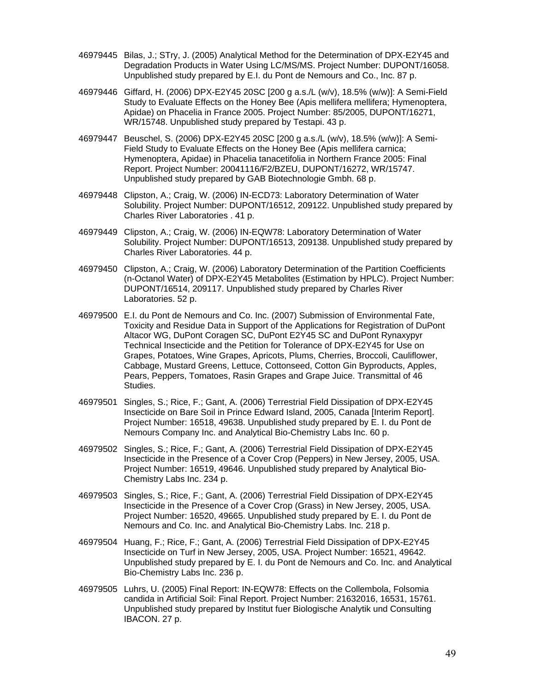- 46979445 Bilas, J.; STry, J. (2005) Analytical Method for the Determination of DPX-E2Y45 and Degradation Products in Water Using LC/MS/MS. Project Number: DUPONT/16058. Unpublished study prepared by E.I. du Pont de Nemours and Co., Inc. 87 p.
- 46979446 Giffard, H. (2006) DPX-E2Y45 20SC [200 g a.s./L (w/v), 18.5% (w/w)]: A Semi-Field Study to Evaluate Effects on the Honey Bee (Apis mellifera mellifera; Hymenoptera, Apidae) on Phacelia in France 2005. Project Number: 85/2005, DUPONT/16271, WR/15748. Unpublished study prepared by Testapi. 43 p.
- 46979447 Beuschel, S. (2006) DPX-E2Y45 20SC [200 g a.s./L (w/v), 18.5% (w/w)]: A Semi-Field Study to Evaluate Effects on the Honey Bee (Apis mellifera carnica; Hymenoptera, Apidae) in Phacelia tanacetifolia in Northern France 2005: Final Report. Project Number: 20041116/F2/BZEU, DUPONT/16272, WR/15747. Unpublished study prepared by GAB Biotechnologie Gmbh. 68 p.
- 46979448 Clipston, A.; Craig, W. (2006) IN-ECD73: Laboratory Determination of Water Solubility. Project Number: DUPONT/16512, 209122. Unpublished study prepared by Charles River Laboratories . 41 p.
- 46979449 Clipston, A.; Craig, W. (2006) IN-EQW78: Laboratory Determination of Water Solubility. Project Number: DUPONT/16513, 209138. Unpublished study prepared by Charles River Laboratories. 44 p.
- 46979450 Clipston, A.; Craig, W. (2006) Laboratory Determination of the Partition Coefficients (n-Octanol Water) of DPX-E2Y45 Metabolites (Estimation by HPLC). Project Number: DUPONT/16514, 209117. Unpublished study prepared by Charles River Laboratories. 52 p.
- 46979500 E.I. du Pont de Nemours and Co. Inc. (2007) Submission of Environmental Fate, Toxicity and Residue Data in Support of the Applications for Registration of DuPont Altacor WG, DuPont Coragen SC, DuPont E2Y45 SC and DuPont Rynaxypyr Technical Insecticide and the Petition for Tolerance of DPX-E2Y45 for Use on Grapes, Potatoes, Wine Grapes, Apricots, Plums, Cherries, Broccoli, Cauliflower, Cabbage, Mustard Greens, Lettuce, Cottonseed, Cotton Gin Byproducts, Apples, Pears, Peppers, Tomatoes, Rasin Grapes and Grape Juice. Transmittal of 46 Studies.
- 46979501 Singles, S.; Rice, F.; Gant, A. (2006) Terrestrial Field Dissipation of DPX-E2Y45 Insecticide on Bare Soil in Prince Edward Island, 2005, Canada [Interim Report]. Project Number: 16518, 49638. Unpublished study prepared by E. I. du Pont de Nemours Company Inc. and Analytical Bio-Chemistry Labs Inc. 60 p.
- 46979502 Singles, S.; Rice, F.; Gant, A. (2006) Terrestrial Field Dissipation of DPX-E2Y45 Insecticide in the Presence of a Cover Crop (Peppers) in New Jersey, 2005, USA. Project Number: 16519, 49646. Unpublished study prepared by Analytical Bio-Chemistry Labs Inc. 234 p.
- 46979503 Singles, S.; Rice, F.; Gant, A. (2006) Terrestrial Field Dissipation of DPX-E2Y45 Insecticide in the Presence of a Cover Crop (Grass) in New Jersey, 2005, USA. Project Number: 16520, 49665. Unpublished study prepared by E. I. du Pont de Nemours and Co. Inc. and Analytical Bio-Chemistry Labs. Inc. 218 p.
- 46979504 Huang, F.; Rice, F.; Gant, A. (2006) Terrestrial Field Dissipation of DPX-E2Y45 Insecticide on Turf in New Jersey, 2005, USA. Project Number: 16521, 49642. Unpublished study prepared by E. I. du Pont de Nemours and Co. Inc. and Analytical Bio-Chemistry Labs Inc. 236 p.
- 46979505 Luhrs, U. (2005) Final Report: IN-EQW78: Effects on the Collembola, Folsomia candida in Artificial Soil: Final Report. Project Number: 21632016, 16531, 15761. Unpublished study prepared by Institut fuer Biologische Analytik und Consulting IBACON. 27 p.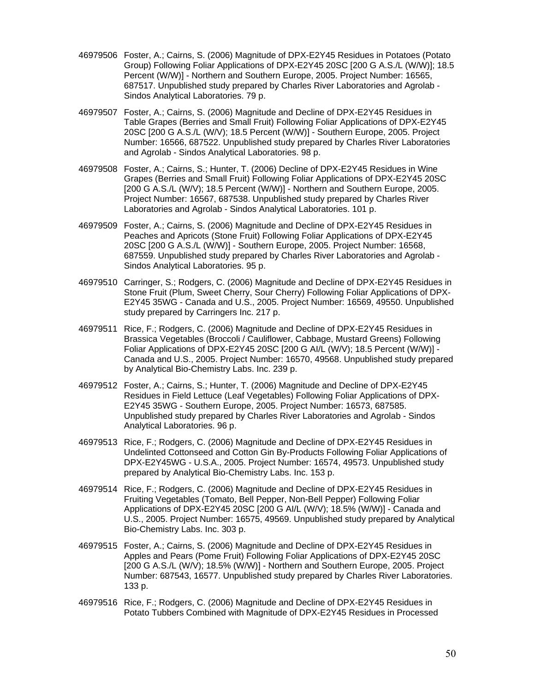- 46979506 Foster, A.; Cairns, S. (2006) Magnitude of DPX-E2Y45 Residues in Potatoes (Potato Group) Following Foliar Applications of DPX-E2Y45 20SC [200 G A.S./L (W/W)]; 18.5 Percent (W/W)] - Northern and Southern Europe, 2005. Project Number: 16565, 687517. Unpublished study prepared by Charles River Laboratories and Agrolab - Sindos Analytical Laboratories. 79 p.
- 46979507 Foster, A.; Cairns, S. (2006) Magnitude and Decline of DPX-E2Y45 Residues in Table Grapes (Berries and Small Fruit) Following Foliar Applications of DPX-E2Y45 20SC [200 G A.S./L (W/V); 18.5 Percent (W/W)] - Southern Europe, 2005. Project Number: 16566, 687522. Unpublished study prepared by Charles River Laboratories and Agrolab - Sindos Analytical Laboratories. 98 p.
- 46979508 Foster, A.; Cairns, S.; Hunter, T. (2006) Decline of DPX-E2Y45 Residues in Wine Grapes (Berries and Small Fruit) Following Foliar Applications of DPX-E2Y45 20SC [200 G A.S./L (W/V); 18.5 Percent (W/W)] - Northern and Southern Europe, 2005. Project Number: 16567, 687538. Unpublished study prepared by Charles River Laboratories and Agrolab - Sindos Analytical Laboratories. 101 p.
- 46979509 Foster, A.; Cairns, S. (2006) Magnitude and Decline of DPX-E2Y45 Residues in Peaches and Apricots (Stone Fruit) Following Foliar Applications of DPX-E2Y45 20SC [200 G A.S./L (W/W)] - Southern Europe, 2005. Project Number: 16568, 687559. Unpublished study prepared by Charles River Laboratories and Agrolab - Sindos Analytical Laboratories. 95 p.
- 46979510 Carringer, S.; Rodgers, C. (2006) Magnitude and Decline of DPX-E2Y45 Residues in Stone Fruit (Plum, Sweet Cherry, Sour Cherry) Following Foliar Applications of DPX-E2Y45 35WG - Canada and U.S., 2005. Project Number: 16569, 49550. Unpublished study prepared by Carringers Inc. 217 p.
- 46979511 Rice, F.; Rodgers, C. (2006) Magnitude and Decline of DPX-E2Y45 Residues in Brassica Vegetables (Broccoli / Cauliflower, Cabbage, Mustard Greens) Following Foliar Applications of DPX-E2Y45 20SC [200 G AI/L (W/V); 18.5 Percent (W/W)] - Canada and U.S., 2005. Project Number: 16570, 49568. Unpublished study prepared by Analytical Bio-Chemistry Labs. Inc. 239 p.
- 46979512 Foster, A.; Cairns, S.; Hunter, T. (2006) Magnitude and Decline of DPX-E2Y45 Residues in Field Lettuce (Leaf Vegetables) Following Foliar Applications of DPX-E2Y45 35WG - Southern Europe, 2005. Project Number: 16573, 687585. Unpublished study prepared by Charles River Laboratories and Agrolab - Sindos Analytical Laboratories. 96 p.
- 46979513 Rice, F.; Rodgers, C. (2006) Magnitude and Decline of DPX-E2Y45 Residues in Undelinted Cottonseed and Cotton Gin By-Products Following Foliar Applications of DPX-E2Y45WG - U.S.A., 2005. Project Number: 16574, 49573. Unpublished study prepared by Analytical Bio-Chemistry Labs. Inc. 153 p.
- 46979514 Rice, F.; Rodgers, C. (2006) Magnitude and Decline of DPX-E2Y45 Residues in Fruiting Vegetables (Tomato, Bell Pepper, Non-Bell Pepper) Following Foliar Applications of DPX-E2Y45 20SC [200 G AI/L (W/V); 18.5% (W/W)] - Canada and U.S., 2005. Project Number: 16575, 49569. Unpublished study prepared by Analytical Bio-Chemistry Labs. Inc. 303 p.
- 46979515 Foster, A.; Cairns, S. (2006) Magnitude and Decline of DPX-E2Y45 Residues in Apples and Pears (Pome Fruit) Following Foliar Applications of DPX-E2Y45 20SC [200 G A.S./L (W/V); 18.5% (W/W)] - Northern and Southern Europe, 2005. Project Number: 687543, 16577. Unpublished study prepared by Charles River Laboratories. 133 p.
- 46979516 Rice, F.; Rodgers, C. (2006) Magnitude and Decline of DPX-E2Y45 Residues in Potato Tubbers Combined with Magnitude of DPX-E2Y45 Residues in Processed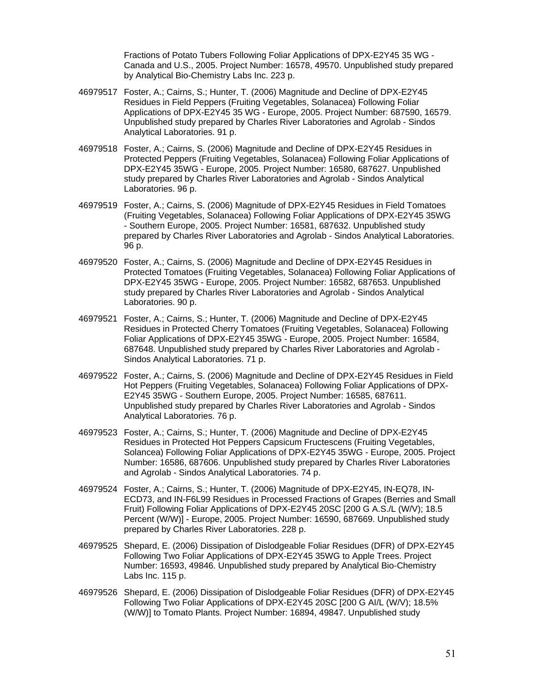Fractions of Potato Tubers Following Foliar Applications of DPX-E2Y45 35 WG - Canada and U.S., 2005. Project Number: 16578, 49570. Unpublished study prepared by Analytical Bio-Chemistry Labs Inc. 223 p.

- 46979517 Foster, A.; Cairns, S.; Hunter, T. (2006) Magnitude and Decline of DPX-E2Y45 Residues in Field Peppers (Fruiting Vegetables, Solanacea) Following Foliar Applications of DPX-E2Y45 35 WG - Europe, 2005. Project Number: 687590, 16579. Unpublished study prepared by Charles River Laboratories and Agrolab - Sindos Analytical Laboratories. 91 p.
- 46979518 Foster, A.; Cairns, S. (2006) Magnitude and Decline of DPX-E2Y45 Residues in Protected Peppers (Fruiting Vegetables, Solanacea) Following Foliar Applications of DPX-E2Y45 35WG - Europe, 2005. Project Number: 16580, 687627. Unpublished study prepared by Charles River Laboratories and Agrolab - Sindos Analytical Laboratories. 96 p.
- 46979519 Foster, A.; Cairns, S. (2006) Magnitude of DPX-E2Y45 Residues in Field Tomatoes (Fruiting Vegetables, Solanacea) Following Foliar Applications of DPX-E2Y45 35WG - Southern Europe, 2005. Project Number: 16581, 687632. Unpublished study prepared by Charles River Laboratories and Agrolab - Sindos Analytical Laboratories. 96 p.
- 46979520 Foster, A.; Cairns, S. (2006) Magnitude and Decline of DPX-E2Y45 Residues in Protected Tomatoes (Fruiting Vegetables, Solanacea) Following Foliar Applications of DPX-E2Y45 35WG - Europe, 2005. Project Number: 16582, 687653. Unpublished study prepared by Charles River Laboratories and Agrolab - Sindos Analytical Laboratories. 90 p.
- 46979521 Foster, A.; Cairns, S.; Hunter, T. (2006) Magnitude and Decline of DPX-E2Y45 Residues in Protected Cherry Tomatoes (Fruiting Vegetables, Solanacea) Following Foliar Applications of DPX-E2Y45 35WG - Europe, 2005. Project Number: 16584, 687648. Unpublished study prepared by Charles River Laboratories and Agrolab - Sindos Analytical Laboratories. 71 p.
- 46979522 Foster, A.; Cairns, S. (2006) Magnitude and Decline of DPX-E2Y45 Residues in Field Hot Peppers (Fruiting Vegetables, Solanacea) Following Foliar Applications of DPX-E2Y45 35WG - Southern Europe, 2005. Project Number: 16585, 687611. Unpublished study prepared by Charles River Laboratories and Agrolab - Sindos Analytical Laboratories. 76 p.
- 46979523 Foster, A.; Cairns, S.; Hunter, T. (2006) Magnitude and Decline of DPX-E2Y45 Residues in Protected Hot Peppers Capsicum Fructescens (Fruiting Vegetables, Solancea) Following Foliar Applications of DPX-E2Y45 35WG - Europe, 2005. Project Number: 16586, 687606. Unpublished study prepared by Charles River Laboratories and Agrolab - Sindos Analytical Laboratories. 74 p.
- 46979524 Foster, A.; Cairns, S.; Hunter, T. (2006) Magnitude of DPX-E2Y45, IN-EQ78, IN-ECD73, and IN-F6L99 Residues in Processed Fractions of Grapes (Berries and Small Fruit) Following Foliar Applications of DPX-E2Y45 20SC [200 G A.S./L (W/V); 18.5 Percent (W/W)] - Europe, 2005. Project Number: 16590, 687669. Unpublished study prepared by Charles River Laboratories. 228 p.
- 46979525 Shepard, E. (2006) Dissipation of Dislodgeable Foliar Residues (DFR) of DPX-E2Y45 Following Two Foliar Applications of DPX-E2Y45 35WG to Apple Trees. Project Number: 16593, 49846. Unpublished study prepared by Analytical Bio-Chemistry Labs Inc. 115 p.
- 46979526 Shepard, E. (2006) Dissipation of Dislodgeable Foliar Residues (DFR) of DPX-E2Y45 Following Two Foliar Applications of DPX-E2Y45 20SC [200 G AI/L (W/V); 18.5% (W/W)] to Tomato Plants. Project Number: 16894, 49847. Unpublished study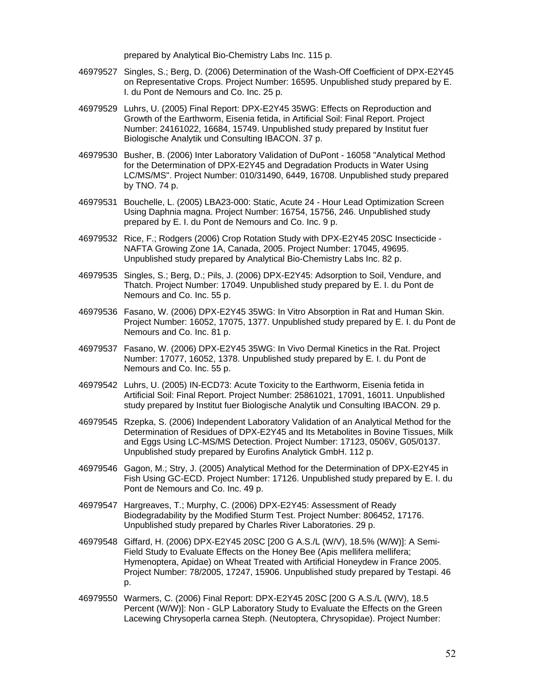prepared by Analytical Bio-Chemistry Labs Inc. 115 p.

- 46979527 Singles, S.; Berg, D. (2006) Determination of the Wash-Off Coefficient of DPX-E2Y45 on Representative Crops. Project Number: 16595. Unpublished study prepared by E. I. du Pont de Nemours and Co. Inc. 25 p.
- 46979529 Luhrs, U. (2005) Final Report: DPX-E2Y45 35WG: Effects on Reproduction and Growth of the Earthworm, Eisenia fetida, in Artificial Soil: Final Report. Project Number: 24161022, 16684, 15749. Unpublished study prepared by Institut fuer Biologische Analytik und Consulting IBACON. 37 p.
- 46979530 Busher, B. (2006) Inter Laboratory Validation of DuPont 16058 "Analytical Method for the Determination of DPX-E2Y45 and Degradation Products in Water Using LC/MS/MS". Project Number: 010/31490, 6449, 16708. Unpublished study prepared by TNO. 74 p.
- 46979531 Bouchelle, L. (2005) LBA23-000: Static, Acute 24 Hour Lead Optimization Screen Using Daphnia magna. Project Number: 16754, 15756, 246. Unpublished study prepared by E. I. du Pont de Nemours and Co. Inc. 9 p.
- 46979532 Rice, F.; Rodgers (2006) Crop Rotation Study with DPX-E2Y45 20SC Insecticide NAFTA Growing Zone 1A, Canada, 2005. Project Number: 17045, 49695. Unpublished study prepared by Analytical Bio-Chemistry Labs Inc. 82 p.
- 46979535 Singles, S.; Berg, D.; Pils, J. (2006) DPX-E2Y45: Adsorption to Soil, Vendure, and Thatch. Project Number: 17049. Unpublished study prepared by E. I. du Pont de Nemours and Co. Inc. 55 p.
- 46979536 Fasano, W. (2006) DPX-E2Y45 35WG: In Vitro Absorption in Rat and Human Skin. Project Number: 16052, 17075, 1377. Unpublished study prepared by E. I. du Pont de Nemours and Co. Inc. 81 p.
- 46979537 Fasano, W. (2006) DPX-E2Y45 35WG: In Vivo Dermal Kinetics in the Rat. Project Number: 17077, 16052, 1378. Unpublished study prepared by E. I. du Pont de Nemours and Co. Inc. 55 p.
- 46979542 Luhrs, U. (2005) IN-ECD73: Acute Toxicity to the Earthworm, Eisenia fetida in Artificial Soil: Final Report. Project Number: 25861021, 17091, 16011. Unpublished study prepared by Institut fuer Biologische Analytik und Consulting IBACON. 29 p.
- 46979545 Rzepka, S. (2006) Independent Laboratory Validation of an Analytical Method for the Determination of Residues of DPX-E2Y45 and Its Metabolites in Bovine Tissues, Milk and Eggs Using LC-MS/MS Detection. Project Number: 17123, 0506V, G05/0137. Unpublished study prepared by Eurofins Analytick GmbH. 112 p.
- 46979546 Gagon, M.; Stry, J. (2005) Analytical Method for the Determination of DPX-E2Y45 in Fish Using GC-ECD. Project Number: 17126. Unpublished study prepared by E. I. du Pont de Nemours and Co. Inc. 49 p.
- 46979547 Hargreaves, T.; Murphy, C. (2006) DPX-E2Y45: Assessment of Ready Biodegradability by the Modified Sturm Test. Project Number: 806452, 17176. Unpublished study prepared by Charles River Laboratories. 29 p.
- 46979548 Giffard, H. (2006) DPX-E2Y45 20SC [200 G A.S./L (W/V), 18.5% (W/W)]: A Semi-Field Study to Evaluate Effects on the Honey Bee (Apis mellifera mellifera; Hymenoptera, Apidae) on Wheat Treated with Artificial Honeydew in France 2005. Project Number: 78/2005, 17247, 15906. Unpublished study prepared by Testapi. 46 p.
- 46979550 Warmers, C. (2006) Final Report: DPX-E2Y45 20SC [200 G A.S./L (W/V), 18.5 Percent (W/W)]: Non - GLP Laboratory Study to Evaluate the Effects on the Green Lacewing Chrysoperla carnea Steph. (Neutoptera, Chrysopidae). Project Number: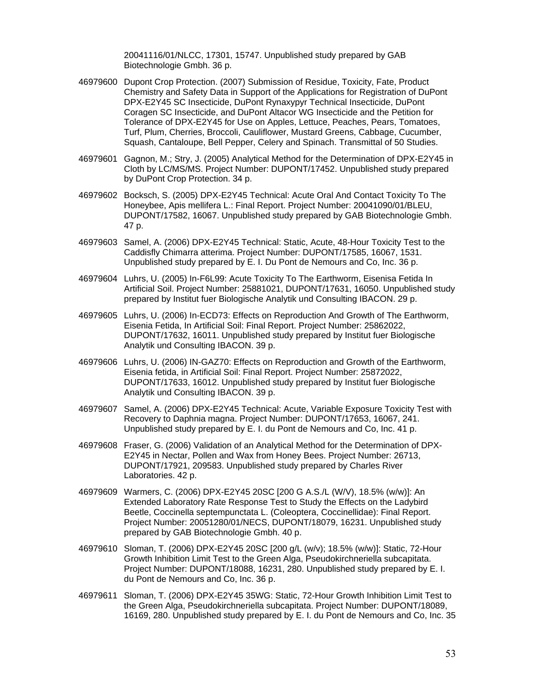20041116/01/NLCC, 17301, 15747. Unpublished study prepared by GAB Biotechnologie Gmbh. 36 p.

- 46979600 Dupont Crop Protection. (2007) Submission of Residue, Toxicity, Fate, Product Chemistry and Safety Data in Support of the Applications for Registration of DuPont DPX-E2Y45 SC Insecticide, DuPont Rynaxypyr Technical Insecticide, DuPont Coragen SC Insecticide, and DuPont Altacor WG Insecticide and the Petition for Tolerance of DPX-E2Y45 for Use on Apples, Lettuce, Peaches, Pears, Tomatoes, Turf, Plum, Cherries, Broccoli, Cauliflower, Mustard Greens, Cabbage, Cucumber, Squash, Cantaloupe, Bell Pepper, Celery and Spinach. Transmittal of 50 Studies.
- 46979601 Gagnon, M.; Stry, J. (2005) Analytical Method for the Determination of DPX-E2Y45 in Cloth by LC/MS/MS. Project Number: DUPONT/17452. Unpublished study prepared by DuPont Crop Protection. 34 p.
- 46979602 Bocksch, S. (2005) DPX-E2Y45 Technical: Acute Oral And Contact Toxicity To The Honeybee, Apis mellifera L.: Final Report. Project Number: 20041090/01/BLEU, DUPONT/17582, 16067. Unpublished study prepared by GAB Biotechnologie Gmbh. 47 p.
- 46979603 Samel, A. (2006) DPX-E2Y45 Technical: Static, Acute, 48-Hour Toxicity Test to the Caddisfly Chimarra atterima. Project Number: DUPONT/17585, 16067, 1531. Unpublished study prepared by E. I. Du Pont de Nemours and Co, Inc. 36 p.
- 46979604 Luhrs, U. (2005) In-F6L99: Acute Toxicity To The Earthworm, Eisenisa Fetida In Artificial Soil. Project Number: 25881021, DUPONT/17631, 16050. Unpublished study prepared by Institut fuer Biologische Analytik und Consulting IBACON. 29 p.
- 46979605 Luhrs, U. (2006) In-ECD73: Effects on Reproduction And Growth of The Earthworm, Eisenia Fetida, In Artificial Soil: Final Report. Project Number: 25862022, DUPONT/17632, 16011. Unpublished study prepared by Institut fuer Biologische Analytik und Consulting IBACON. 39 p.
- 46979606 Luhrs, U. (2006) IN-GAZ70: Effects on Reproduction and Growth of the Earthworm, Eisenia fetida, in Artificial Soil: Final Report. Project Number: 25872022, DUPONT/17633, 16012. Unpublished study prepared by Institut fuer Biologische Analytik und Consulting IBACON. 39 p.
- 46979607 Samel, A. (2006) DPX-E2Y45 Technical: Acute, Variable Exposure Toxicity Test with Recovery to Daphnia magna. Project Number: DUPONT/17653, 16067, 241. Unpublished study prepared by E. I. du Pont de Nemours and Co, Inc. 41 p.
- 46979608 Fraser, G. (2006) Validation of an Analytical Method for the Determination of DPX-E2Y45 in Nectar, Pollen and Wax from Honey Bees. Project Number: 26713, DUPONT/17921, 209583. Unpublished study prepared by Charles River Laboratories. 42 p.
- 46979609 Warmers, C. (2006) DPX-E2Y45 20SC [200 G A.S./L (W/V), 18.5% (w/w)]: An Extended Laboratory Rate Response Test to Study the Effects on the Ladybird Beetle, Coccinella septempunctata L. (Coleoptera, Coccinellidae): Final Report. Project Number: 20051280/01/NECS, DUPONT/18079, 16231. Unpublished study prepared by GAB Biotechnologie Gmbh. 40 p.
- 46979610 Sloman, T. (2006) DPX-E2Y45 20SC [200 g/L (w/v); 18.5% (w/w)]: Static, 72-Hour Growth Inhibition Limit Test to the Green Alga, Pseudokirchneriella subcapitata. Project Number: DUPONT/18088, 16231, 280. Unpublished study prepared by E. I. du Pont de Nemours and Co, Inc. 36 p.
- 46979611 Sloman, T. (2006) DPX-E2Y45 35WG: Static, 72-Hour Growth Inhibition Limit Test to the Green Alga, Pseudokirchneriella subcapitata. Project Number: DUPONT/18089, 16169, 280. Unpublished study prepared by E. I. du Pont de Nemours and Co, Inc. 35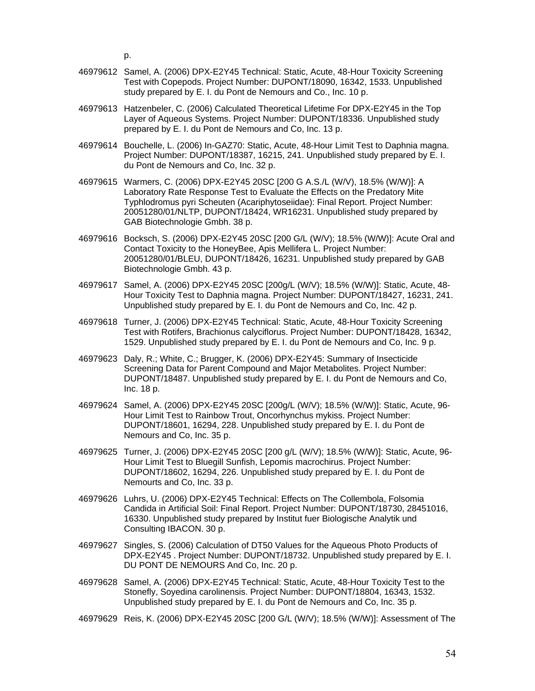p.

- 46979612 Samel, A. (2006) DPX-E2Y45 Technical: Static, Acute, 48-Hour Toxicity Screening Test with Copepods. Project Number: DUPONT/18090, 16342, 1533. Unpublished study prepared by E. I. du Pont de Nemours and Co., Inc. 10 p.
- 46979613 Hatzenbeler, C. (2006) Calculated Theoretical Lifetime For DPX-E2Y45 in the Top Layer of Aqueous Systems. Project Number: DUPONT/18336. Unpublished study prepared by E. I. du Pont de Nemours and Co, Inc. 13 p.
- 46979614 Bouchelle, L. (2006) In-GAZ70: Static, Acute, 48-Hour Limit Test to Daphnia magna. Project Number: DUPONT/18387, 16215, 241. Unpublished study prepared by E. I. du Pont de Nemours and Co, Inc. 32 p.
- 46979615 Warmers, C. (2006) DPX-E2Y45 20SC [200 G A.S./L (W/V), 18.5% (W/W)]: A Laboratory Rate Response Test to Evaluate the Effects on the Predatory Mite Typhlodromus pyri Scheuten (Acariphytoseiidae): Final Report. Project Number: 20051280/01/NLTP, DUPONT/18424, WR16231. Unpublished study prepared by GAB Biotechnologie Gmbh. 38 p.
- 46979616 Bocksch, S. (2006) DPX-E2Y45 20SC [200 G/L (W/V); 18.5% (W/W)]: Acute Oral and Contact Toxicity to the HoneyBee, Apis Mellifera L. Project Number: 20051280/01/BLEU, DUPONT/18426, 16231. Unpublished study prepared by GAB Biotechnologie Gmbh. 43 p.
- 46979617 Samel, A. (2006) DPX-E2Y45 20SC [200g/L (W/V); 18.5% (W/W)]: Static, Acute, 48- Hour Toxicity Test to Daphnia magna. Project Number: DUPONT/18427, 16231, 241. Unpublished study prepared by E. I. du Pont de Nemours and Co, Inc. 42 p.
- 46979618 Turner, J. (2006) DPX-E2Y45 Technical: Static, Acute, 48-Hour Toxicity Screening Test with Rotifers, Brachionus calyciflorus. Project Number: DUPONT/18428, 16342, 1529. Unpublished study prepared by E. I. du Pont de Nemours and Co, Inc. 9 p.
- 46979623 Daly, R.; White, C.; Brugger, K. (2006) DPX-E2Y45: Summary of Insecticide Screening Data for Parent Compound and Major Metabolites. Project Number: DUPONT/18487. Unpublished study prepared by E. I. du Pont de Nemours and Co, Inc. 18 p.
- 46979624 Samel, A. (2006) DPX-E2Y45 20SC [200g/L (W/V); 18.5% (W/W)]: Static, Acute, 96- Hour Limit Test to Rainbow Trout, Oncorhynchus mykiss. Project Number: DUPONT/18601, 16294, 228. Unpublished study prepared by E. I. du Pont de Nemours and Co, Inc. 35 p.
- 46979625 Turner, J. (2006) DPX-E2Y45 20SC [200 g/L (W/V); 18.5% (W/W)]: Static, Acute, 96- Hour Limit Test to Bluegill Sunfish, Lepomis macrochirus. Project Number: DUPONT/18602, 16294, 226. Unpublished study prepared by E. I. du Pont de Nemourts and Co, Inc. 33 p.
- 46979626 Luhrs, U. (2006) DPX-E2Y45 Technical: Effects on The Collembola, Folsomia Candida in Artificial Soil: Final Report. Project Number: DUPONT/18730, 28451016, 16330. Unpublished study prepared by Institut fuer Biologische Analytik und Consulting IBACON. 30 p.
- 46979627 Singles, S. (2006) Calculation of DT50 Values for the Aqueous Photo Products of DPX-E2Y45 . Project Number: DUPONT/18732. Unpublished study prepared by E. I. DU PONT DE NEMOURS And Co, Inc. 20 p.
- 46979628 Samel, A. (2006) DPX-E2Y45 Technical: Static, Acute, 48-Hour Toxicity Test to the Stonefly, Soyedina carolinensis. Project Number: DUPONT/18804, 16343, 1532. Unpublished study prepared by E. I. du Pont de Nemours and Co, Inc. 35 p.
- 46979629 Reis, K. (2006) DPX-E2Y45 20SC [200 G/L (W/V); 18.5% (W/W)]: Assessment of The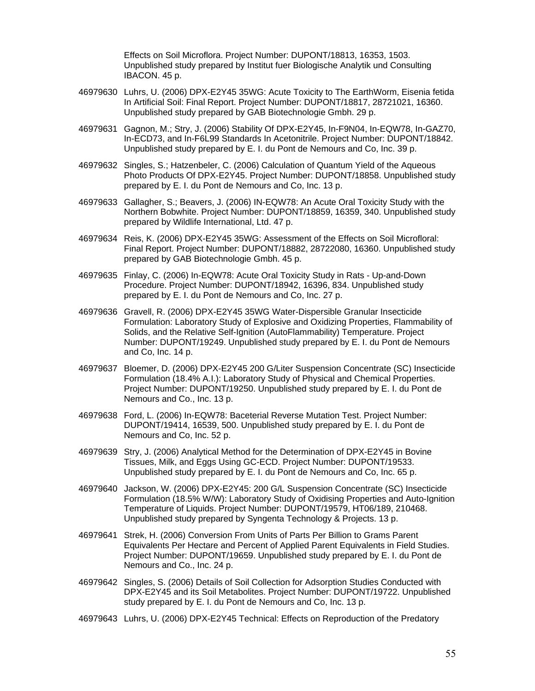Effects on Soil Microflora. Project Number: DUPONT/18813, 16353, 1503. Unpublished study prepared by Institut fuer Biologische Analytik und Consulting IBACON. 45 p.

- 46979630 Luhrs, U. (2006) DPX-E2Y45 35WG: Acute Toxicity to The EarthWorm, Eisenia fetida In Artificial Soil: Final Report. Project Number: DUPONT/18817, 28721021, 16360. Unpublished study prepared by GAB Biotechnologie Gmbh. 29 p.
- 46979631 Gagnon, M.; Stry, J. (2006) Stability Of DPX-E2Y45, In-F9N04, In-EQW78, In-GAZ70, In-ECD73, and In-F6L99 Standards In Acetonitrile. Project Number: DUPONT/18842. Unpublished study prepared by E. I. du Pont de Nemours and Co, Inc. 39 p.
- 46979632 Singles, S.; Hatzenbeler, C. (2006) Calculation of Quantum Yield of the Aqueous Photo Products Of DPX-E2Y45. Project Number: DUPONT/18858. Unpublished study prepared by E. I. du Pont de Nemours and Co, Inc. 13 p.
- 46979633 Gallagher, S.; Beavers, J. (2006) IN-EQW78: An Acute Oral Toxicity Study with the Northern Bobwhite. Project Number: DUPONT/18859, 16359, 340. Unpublished study prepared by Wildlife International, Ltd. 47 p.
- 46979634 Reis, K. (2006) DPX-E2Y45 35WG: Assessment of the Effects on Soil Microfloral: Final Report. Project Number: DUPONT/18882, 28722080, 16360. Unpublished study prepared by GAB Biotechnologie Gmbh. 45 p.
- 46979635 Finlay, C. (2006) In-EQW78: Acute Oral Toxicity Study in Rats Up-and-Down Procedure. Project Number: DUPONT/18942, 16396, 834. Unpublished study prepared by E. I. du Pont de Nemours and Co, Inc. 27 p.
- 46979636 Gravell, R. (2006) DPX-E2Y45 35WG Water-Dispersible Granular Insecticide Formulation: Laboratory Study of Explosive and Oxidizing Properties, Flammability of Solids, and the Relative Self-Ignition (AutoFlammability) Temperature. Project Number: DUPONT/19249. Unpublished study prepared by E. I. du Pont de Nemours and Co, Inc. 14 p.
- 46979637 Bloemer, D. (2006) DPX-E2Y45 200 G/Liter Suspension Concentrate (SC) Insecticide Formulation (18.4% A.I.): Laboratory Study of Physical and Chemical Properties. Project Number: DUPONT/19250. Unpublished study prepared by E. I. du Pont de Nemours and Co., Inc. 13 p.
- 46979638 Ford, L. (2006) In-EQW78: Baceterial Reverse Mutation Test. Project Number: DUPONT/19414, 16539, 500. Unpublished study prepared by E. I. du Pont de Nemours and Co, Inc. 52 p.
- 46979639 Stry, J. (2006) Analytical Method for the Determination of DPX-E2Y45 in Bovine Tissues, Milk, and Eggs Using GC-ECD. Project Number: DUPONT/19533. Unpublished study prepared by E. I. du Pont de Nemours and Co, Inc. 65 p.
- 46979640 Jackson, W. (2006) DPX-E2Y45: 200 G/L Suspension Concentrate (SC) Insecticide Formulation (18.5% W/W): Laboratory Study of Oxidising Properties and Auto-Ignition Temperature of Liquids. Project Number: DUPONT/19579, HT06/189, 210468. Unpublished study prepared by Syngenta Technology & Projects. 13 p.
- 46979641 Strek, H. (2006) Conversion From Units of Parts Per Billion to Grams Parent Equivalents Per Hectare and Percent of Applied Parent Equivalents in Field Studies. Project Number: DUPONT/19659. Unpublished study prepared by E. I. du Pont de Nemours and Co., Inc. 24 p.
- 46979642 Singles, S. (2006) Details of Soil Collection for Adsorption Studies Conducted with DPX-E2Y45 and its Soil Metabolites. Project Number: DUPONT/19722. Unpublished study prepared by E. I. du Pont de Nemours and Co, Inc. 13 p.
- 46979643 Luhrs, U. (2006) DPX-E2Y45 Technical: Effects on Reproduction of the Predatory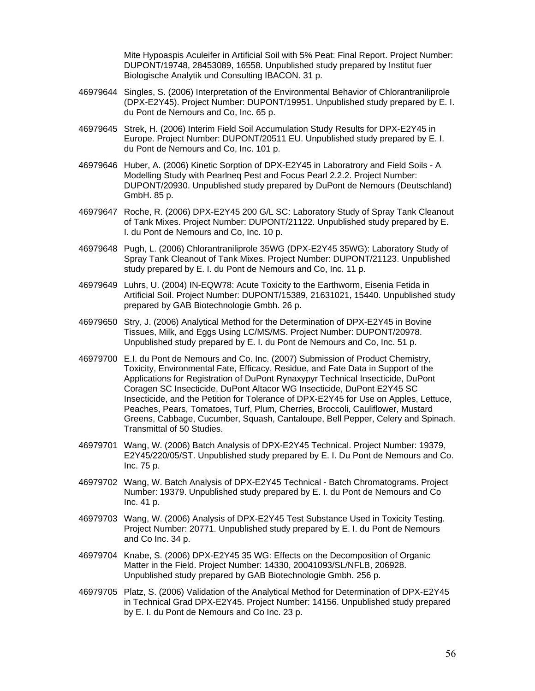Mite Hypoaspis Aculeifer in Artificial Soil with 5% Peat: Final Report. Project Number: DUPONT/19748, 28453089, 16558. Unpublished study prepared by Institut fuer Biologische Analytik und Consulting IBACON. 31 p.

- 46979644 Singles, S. (2006) Interpretation of the Environmental Behavior of Chlorantraniliprole (DPX-E2Y45). Project Number: DUPONT/19951. Unpublished study prepared by E. I. du Pont de Nemours and Co, Inc. 65 p.
- 46979645 Strek, H. (2006) Interim Field Soil Accumulation Study Results for DPX-E2Y45 in Europe. Project Number: DUPONT/20511 EU. Unpublished study prepared by E. I. du Pont de Nemours and Co, Inc. 101 p.
- 46979646 Huber, A. (2006) Kinetic Sorption of DPX-E2Y45 in Laboratrory and Field Soils A Modelling Study with Pearlneq Pest and Focus Pearl 2.2.2. Project Number: DUPONT/20930. Unpublished study prepared by DuPont de Nemours (Deutschland) GmbH. 85 p.
- 46979647 Roche, R. (2006) DPX-E2Y45 200 G/L SC: Laboratory Study of Spray Tank Cleanout of Tank Mixes. Project Number: DUPONT/21122. Unpublished study prepared by E. I. du Pont de Nemours and Co, Inc. 10 p.
- 46979648 Pugh, L. (2006) Chlorantraniliprole 35WG (DPX-E2Y45 35WG): Laboratory Study of Spray Tank Cleanout of Tank Mixes. Project Number: DUPONT/21123. Unpublished study prepared by E. I. du Pont de Nemours and Co, Inc. 11 p.
- 46979649 Luhrs, U. (2004) IN-EQW78: Acute Toxicity to the Earthworm, Eisenia Fetida in Artificial Soil. Project Number: DUPONT/15389, 21631021, 15440. Unpublished study prepared by GAB Biotechnologie Gmbh. 26 p.
- 46979650 Stry, J. (2006) Analytical Method for the Determination of DPX-E2Y45 in Bovine Tissues, Milk, and Eggs Using LC/MS/MS. Project Number: DUPONT/20978. Unpublished study prepared by E. I. du Pont de Nemours and Co, Inc. 51 p.
- 46979700 E.I. du Pont de Nemours and Co. Inc. (2007) Submission of Product Chemistry, Toxicity, Environmental Fate, Efficacy, Residue, and Fate Data in Support of the Applications for Registration of DuPont Rynaxypyr Technical Insecticide, DuPont Coragen SC Insecticide, DuPont Altacor WG Insecticide, DuPont E2Y45 SC Insecticide, and the Petition for Tolerance of DPX-E2Y45 for Use on Apples, Lettuce, Peaches, Pears, Tomatoes, Turf, Plum, Cherries, Broccoli, Cauliflower, Mustard Greens, Cabbage, Cucumber, Squash, Cantaloupe, Bell Pepper, Celery and Spinach. Transmittal of 50 Studies.
- 46979701 Wang, W. (2006) Batch Analysis of DPX-E2Y45 Technical. Project Number: 19379, E2Y45/220/05/ST. Unpublished study prepared by E. I. Du Pont de Nemours and Co. Inc. 75 p.
- 46979702 Wang, W. Batch Analysis of DPX-E2Y45 Technical Batch Chromatograms. Project Number: 19379. Unpublished study prepared by E. I. du Pont de Nemours and Co Inc. 41 p.
- 46979703 Wang, W. (2006) Analysis of DPX-E2Y45 Test Substance Used in Toxicity Testing. Project Number: 20771. Unpublished study prepared by E. I. du Pont de Nemours and Co Inc. 34 p.
- 46979704 Knabe, S. (2006) DPX-E2Y45 35 WG: Effects on the Decomposition of Organic Matter in the Field. Project Number: 14330, 20041093/SL/NFLB, 206928. Unpublished study prepared by GAB Biotechnologie Gmbh. 256 p.
- 46979705 Platz, S. (2006) Validation of the Analytical Method for Determination of DPX-E2Y45 in Technical Grad DPX-E2Y45. Project Number: 14156. Unpublished study prepared by E. I. du Pont de Nemours and Co Inc. 23 p.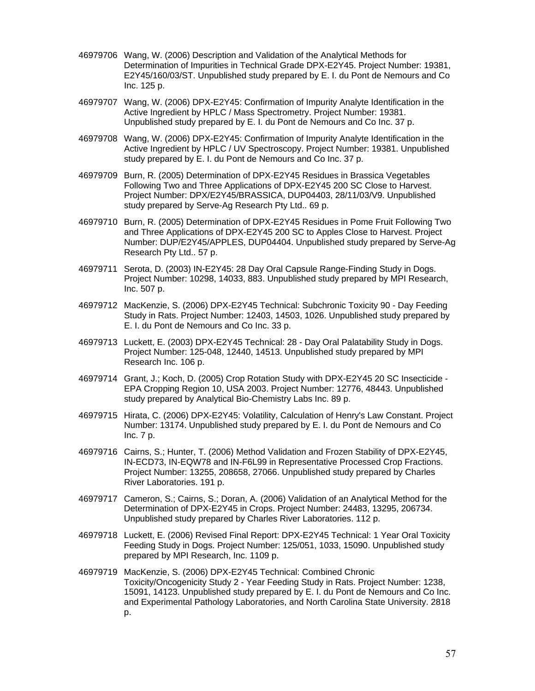- 46979706 Wang, W. (2006) Description and Validation of the Analytical Methods for Determination of Impurities in Technical Grade DPX-E2Y45. Project Number: 19381, E2Y45/160/03/ST. Unpublished study prepared by E. I. du Pont de Nemours and Co Inc. 125 p.
- 46979707 Wang, W. (2006) DPX-E2Y45: Confirmation of Impurity Analyte Identification in the Active Ingredient by HPLC / Mass Spectrometry. Project Number: 19381. Unpublished study prepared by E. I. du Pont de Nemours and Co Inc. 37 p.
- 46979708 Wang, W. (2006) DPX-E2Y45: Confirmation of Impurity Analyte Identification in the Active Ingredient by HPLC / UV Spectroscopy. Project Number: 19381. Unpublished study prepared by E. I. du Pont de Nemours and Co Inc. 37 p.
- 46979709 Burn, R. (2005) Determination of DPX-E2Y45 Residues in Brassica Vegetables Following Two and Three Applications of DPX-E2Y45 200 SC Close to Harvest. Project Number: DPX/E2Y45/BRASSICA, DUP04403, 28/11/03/V9. Unpublished study prepared by Serve-Ag Research Pty Ltd.. 69 p.
- 46979710 Burn, R. (2005) Determination of DPX-E2Y45 Residues in Pome Fruit Following Two and Three Applications of DPX-E2Y45 200 SC to Apples Close to Harvest. Project Number: DUP/E2Y45/APPLES, DUP04404. Unpublished study prepared by Serve-Ag Research Pty Ltd.. 57 p.
- 46979711 Serota, D. (2003) IN-E2Y45: 28 Day Oral Capsule Range-Finding Study in Dogs. Project Number: 10298, 14033, 883. Unpublished study prepared by MPI Research, Inc. 507 p.
- 46979712 MacKenzie, S. (2006) DPX-E2Y45 Technical: Subchronic Toxicity 90 Day Feeding Study in Rats. Project Number: 12403, 14503, 1026. Unpublished study prepared by E. I. du Pont de Nemours and Co Inc. 33 p.
- 46979713 Luckett, E. (2003) DPX-E2Y45 Technical: 28 Day Oral Palatability Study in Dogs. Project Number: 125-048, 12440, 14513. Unpublished study prepared by MPI Research Inc. 106 p.
- 46979714 Grant, J.; Koch, D. (2005) Crop Rotation Study with DPX-E2Y45 20 SC Insecticide EPA Cropping Region 10, USA 2003. Project Number: 12776, 48443. Unpublished study prepared by Analytical Bio-Chemistry Labs Inc. 89 p.
- 46979715 Hirata, C. (2006) DPX-E2Y45: Volatility, Calculation of Henry's Law Constant. Project Number: 13174. Unpublished study prepared by E. I. du Pont de Nemours and Co Inc. 7 p.
- 46979716 Cairns, S.; Hunter, T. (2006) Method Validation and Frozen Stability of DPX-E2Y45, IN-ECD73, IN-EQW78 and IN-F6L99 in Representative Processed Crop Fractions. Project Number: 13255, 208658, 27066. Unpublished study prepared by Charles River Laboratories. 191 p.
- 46979717 Cameron, S.; Cairns, S.; Doran, A. (2006) Validation of an Analytical Method for the Determination of DPX-E2Y45 in Crops. Project Number: 24483, 13295, 206734. Unpublished study prepared by Charles River Laboratories. 112 p.
- 46979718 Luckett, E. (2006) Revised Final Report: DPX-E2Y45 Technical: 1 Year Oral Toxicity Feeding Study in Dogs. Project Number: 125/051, 1033, 15090. Unpublished study prepared by MPI Research, Inc. 1109 p.
- 46979719 MacKenzie, S. (2006) DPX-E2Y45 Technical: Combined Chronic Toxicity/Oncogenicity Study 2 - Year Feeding Study in Rats. Project Number: 1238, 15091, 14123. Unpublished study prepared by E. I. du Pont de Nemours and Co Inc. and Experimental Pathology Laboratories, and North Carolina State University. 2818 p.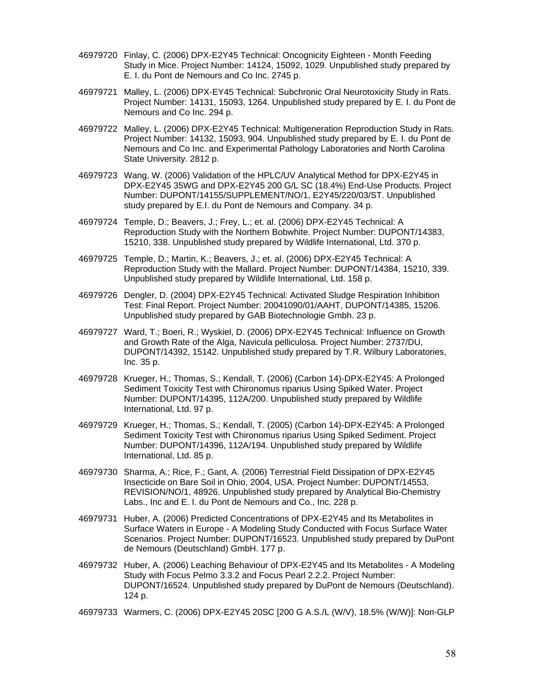- 46979720 Finlay, C. (2006) DPX-E2Y45 Technical: Oncognicity Eighteen Month Feeding Study in Mice. Project Number: 14124, 15092, 1029. Unpublished study prepared by E. I. du Pont de Nemours and Co Inc. 2745 p.
- 46979721 Malley, L. (2006) DPX-EY45 Technical: Subchronic Oral Neurotoxicity Study in Rats. Project Number: 14131, 15093, 1264. Unpublished study prepared by E. I. du Pont de Nemours and Co Inc. 294 p.
- 46979722 Malley, L. (2006) DPX-E2Y45 Technical: Multigeneration Reproduction Study in Rats. Project Number: 14132, 15093, 904. Unpublished study prepared by E. I. du Pont de Nemours and Co Inc. and Experimental Pathology Laboratories and North Carolina State University. 2812 p.
- 46979723 Wang, W. (2006) Validation of the HPLC/UV Analytical Method for DPX-E2Y45 in DPX-E2Y45 35WG and DPX-E2Y45 200 G/L SC (18.4%) End-Use Products. Project Number: DUPONT/14155/SUPPLEMENT/NO/1, E2Y45/220/03/ST. Unpublished study prepared by E.I. du Pont de Nemours and Company. 34 p.
- 46979724 Temple, D.; Beavers, J.; Frey, L.; et. al. (2006) DPX-E2Y45 Technical: A Reproduction Study with the Northern Bobwhite. Project Number: DUPONT/14383, 15210, 338. Unpublished study prepared by Wildlife International, Ltd. 370 p.
- 46979725 Temple, D.; Martin, K.; Beavers, J.; et. al. (2006) DPX-E2Y45 Technical: A Reproduction Study with the Mallard. Project Number: DUPONT/14384, 15210, 339. Unpublished study prepared by Wildlife International, Ltd. 158 p.
- 46979726 Dengler, D. (2004) DPX-E2Y45 Technical: Activated Sludge Respiration Inhibition Test: Final Report. Project Number: 20041090/01/AAHT, DUPONT/14385, 15206. Unpublished study prepared by GAB Biotechnologie Gmbh. 23 p.
- 46979727 Ward, T.; Boeri, R.; Wyskiel, D. (2006) DPX-E2Y45 Technical: Influence on Growth and Growth Rate of the Alga, Navicula pelliculosa. Project Number: 2737/DU, DUPONT/14392, 15142. Unpublished study prepared by T.R. Wilbury Laboratories, Inc. 35 p.
- 46979728 Krueger, H.; Thomas, S.; Kendall, T. (2006) (Carbon 14)-DPX-E2Y45: A Prolonged Sediment Toxicity Test with Chironomus riparius Using Spiked Water. Project Number: DUPONT/14395, 112A/200. Unpublished study prepared by Wildlife International, Ltd. 97 p.
- 46979729 Krueger, H.; Thomas, S.; Kendall, T. (2005) (Carbon 14)-DPX-E2Y45: A Prolonged Sediment Toxicity Test with Chironomus riparius Using Spiked Sediment. Project Number: DUPONT/14396, 112A/194. Unpublished study prepared by Wildlife International, Ltd. 85 p.
- 46979730 Sharma, A.; Rice, F.; Gant, A. (2006) Terrestrial Field Dissipation of DPX-E2Y45 Insecticide on Bare Soil in Ohio, 2004, USA. Project Number: DUPONT/14553, REVISION/NO/1, 48926. Unpublished study prepared by Analytical Bio-Chemistry Labs., Inc and E. I. du Pont de Nemours and Co., Inc. 228 p.
- 46979731 Huber, A. (2006) Predicted Concentrations of DPX-E2Y45 and Its Metabolites in Surface Waters in Europe - A Modeling Study Conducted with Focus Surface Water Scenarios. Project Number: DUPONT/16523. Unpublished study prepared by DuPont de Nemours (Deutschland) GmbH. 177 p.
- 46979732 Huber, A. (2006) Leaching Behaviour of DPX-E2Y45 and Its Metabolites A Modeling Study with Focus Pelmo 3.3.2 and Focus Pearl 2.2.2. Project Number: DUPONT/16524. Unpublished study prepared by DuPont de Nemours (Deutschland). 124 p.
- 46979733 Warmers, C. (2006) DPX-E2Y45 20SC [200 G A.S./L (W/V), 18.5% (W/W)]: Non-GLP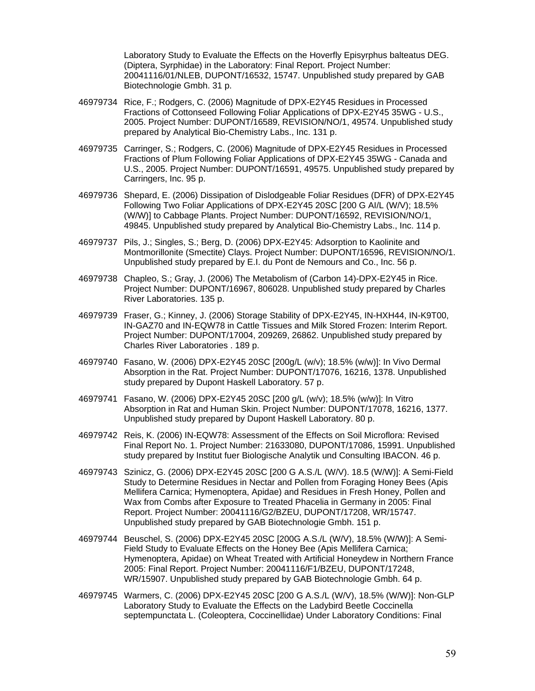Laboratory Study to Evaluate the Effects on the Hoverfly Episyrphus balteatus DEG. (Diptera, Syrphidae) in the Laboratory: Final Report. Project Number: 20041116/01/NLEB, DUPONT/16532, 15747. Unpublished study prepared by GAB Biotechnologie Gmbh. 31 p.

- 46979734 Rice, F.; Rodgers, C. (2006) Magnitude of DPX-E2Y45 Residues in Processed Fractions of Cottonseed Following Foliar Applications of DPX-E2Y45 35WG - U.S., 2005. Project Number: DUPONT/16589, REVISION/NO/1, 49574. Unpublished study prepared by Analytical Bio-Chemistry Labs., Inc. 131 p.
- 46979735 Carringer, S.; Rodgers, C. (2006) Magnitude of DPX-E2Y45 Residues in Processed Fractions of Plum Following Foliar Applications of DPX-E2Y45 35WG - Canada and U.S., 2005. Project Number: DUPONT/16591, 49575. Unpublished study prepared by Carringers, Inc. 95 p.
- 46979736 Shepard, E. (2006) Dissipation of Dislodgeable Foliar Residues (DFR) of DPX-E2Y45 Following Two Foliar Applications of DPX-E2Y45 20SC [200 G AI/L (W/V); 18.5% (W/W)] to Cabbage Plants. Project Number: DUPONT/16592, REVISION/NO/1, 49845. Unpublished study prepared by Analytical Bio-Chemistry Labs., Inc. 114 p.
- 46979737 Pils, J.; Singles, S.; Berg, D. (2006) DPX-E2Y45: Adsorption to Kaolinite and Montmorillonite (Smectite) Clays. Project Number: DUPONT/16596, REVISION/NO/1. Unpublished study prepared by E.I. du Pont de Nemours and Co., Inc. 56 p.
- 46979738 Chapleo, S.; Gray, J. (2006) The Metabolism of (Carbon 14)-DPX-E2Y45 in Rice. Project Number: DUPONT/16967, 806028. Unpublished study prepared by Charles River Laboratories. 135 p.
- 46979739 Fraser, G.; Kinney, J. (2006) Storage Stability of DPX-E2Y45, IN-HXH44, IN-K9T00, IN-GAZ70 and IN-EQW78 in Cattle Tissues and Milk Stored Frozen: Interim Report. Project Number: DUPONT/17004, 209269, 26862. Unpublished study prepared by Charles River Laboratories . 189 p.
- 46979740 Fasano, W. (2006) DPX-E2Y45 20SC [200g/L (w/v); 18.5% (w/w)]: In Vivo Dermal Absorption in the Rat. Project Number: DUPONT/17076, 16216, 1378. Unpublished study prepared by Dupont Haskell Laboratory. 57 p.
- 46979741 Fasano, W. (2006) DPX-E2Y45 20SC [200 g/L (w/v); 18.5% (w/w)]: In Vitro Absorption in Rat and Human Skin. Project Number: DUPONT/17078, 16216, 1377. Unpublished study prepared by Dupont Haskell Laboratory. 80 p.
- 46979742 Reis, K. (2006) IN-EQW78: Assessment of the Effects on Soil Microflora: Revised Final Report No. 1. Project Number: 21633080, DUPONT/17086, 15991. Unpublished study prepared by Institut fuer Biologische Analytik und Consulting IBACON. 46 p.
- 46979743 Szinicz, G. (2006) DPX-E2Y45 20SC [200 G A.S./L (W/V). 18.5 (W/W)]: A Semi-Field Study to Determine Residues in Nectar and Pollen from Foraging Honey Bees (Apis Mellifera Carnica; Hymenoptera, Apidae) and Residues in Fresh Honey, Pollen and Wax from Combs after Exposure to Treated Phacelia in Germany in 2005: Final Report. Project Number: 20041116/G2/BZEU, DUPONT/17208, WR/15747. Unpublished study prepared by GAB Biotechnologie Gmbh. 151 p.
- 46979744 Beuschel, S. (2006) DPX-E2Y45 20SC [200G A.S./L (W/V), 18.5% (W/W)]: A Semi-Field Study to Evaluate Effects on the Honey Bee (Apis Mellifera Carnica; Hymenoptera, Apidae) on Wheat Treated with Artificial Honeydew in Northern France 2005: Final Report. Project Number: 20041116/F1/BZEU, DUPONT/17248, WR/15907. Unpublished study prepared by GAB Biotechnologie Gmbh. 64 p.
- 46979745 Warmers, C. (2006) DPX-E2Y45 20SC [200 G A.S./L (W/V), 18.5% (W/W)]: Non-GLP Laboratory Study to Evaluate the Effects on the Ladybird Beetle Coccinella septempunctata L. (Coleoptera, Coccinellidae) Under Laboratory Conditions: Final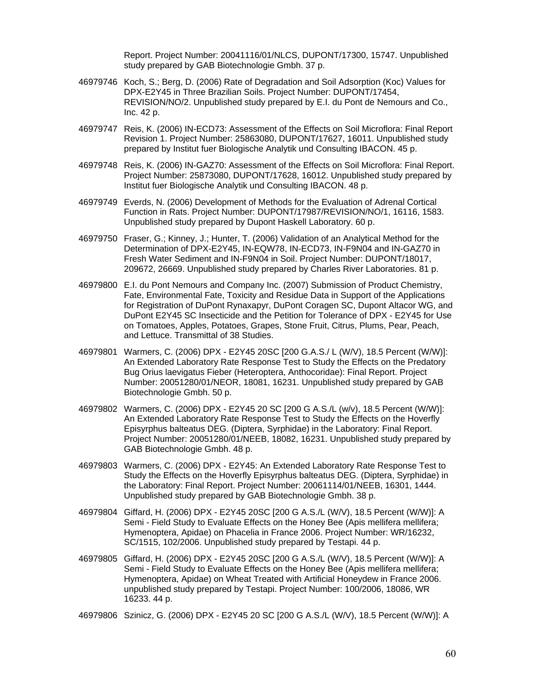Report. Project Number: 20041116/01/NLCS, DUPONT/17300, 15747. Unpublished study prepared by GAB Biotechnologie Gmbh. 37 p.

- 46979746 Koch, S.; Berg, D. (2006) Rate of Degradation and Soil Adsorption (Koc) Values for DPX-E2Y45 in Three Brazilian Soils. Project Number: DUPONT/17454, REVISION/NO/2. Unpublished study prepared by E.I. du Pont de Nemours and Co., Inc. 42 p.
- 46979747 Reis, K. (2006) IN-ECD73: Assessment of the Effects on Soil Microflora: Final Report Revision 1. Project Number: 25863080, DUPONT/17627, 16011. Unpublished study prepared by Institut fuer Biologische Analytik und Consulting IBACON. 45 p.
- 46979748 Reis, K. (2006) IN-GAZ70: Assessment of the Effects on Soil Microflora: Final Report. Project Number: 25873080, DUPONT/17628, 16012. Unpublished study prepared by Institut fuer Biologische Analytik und Consulting IBACON. 48 p.
- 46979749 Everds, N. (2006) Development of Methods for the Evaluation of Adrenal Cortical Function in Rats. Project Number: DUPONT/17987/REVISION/NO/1, 16116, 1583. Unpublished study prepared by Dupont Haskell Laboratory. 60 p.
- 46979750 Fraser, G.; Kinney, J.; Hunter, T. (2006) Validation of an Analytical Method for the Determination of DPX-E2Y45, IN-EQW78, IN-ECD73, IN-F9N04 and IN-GAZ70 in Fresh Water Sediment and IN-F9N04 in Soil. Project Number: DUPONT/18017, 209672, 26669. Unpublished study prepared by Charles River Laboratories. 81 p.
- 46979800 E.I. du Pont Nemours and Company Inc. (2007) Submission of Product Chemistry, Fate, Environmental Fate, Toxicity and Residue Data in Support of the Applications for Registration of DuPont Rynaxapyr, DuPont Coragen SC, Dupont Altacor WG, and DuPont E2Y45 SC Insecticide and the Petition for Tolerance of DPX - E2Y45 for Use on Tomatoes, Apples, Potatoes, Grapes, Stone Fruit, Citrus, Plums, Pear, Peach, and Lettuce. Transmittal of 38 Studies.
- 46979801 Warmers, C. (2006) DPX E2Y45 20SC [200 G.A.S./ L (W/V), 18.5 Percent (W/W)]: An Extended Laboratory Rate Response Test to Study the Effects on the Predatory Bug Orius laevigatus Fieber (Heteroptera, Anthocoridae): Final Report. Project Number: 20051280/01/NEOR, 18081, 16231. Unpublished study prepared by GAB Biotechnologie Gmbh. 50 p.
- 46979802 Warmers, C. (2006) DPX E2Y45 20 SC [200 G A.S./L (w/v), 18.5 Percent (W/W)]: An Extended Laboratory Rate Response Test to Study the Effects on the Hoverfly Episyrphus balteatus DEG. (Diptera, Syrphidae) in the Laboratory: Final Report. Project Number: 20051280/01/NEEB, 18082, 16231. Unpublished study prepared by GAB Biotechnologie Gmbh. 48 p.
- 46979803 Warmers, C. (2006) DPX E2Y45: An Extended Laboratory Rate Response Test to Study the Effects on the Hoverfly Episyrphus balteatus DEG. (Diptera, Syrphidae) in the Laboratory: Final Report. Project Number: 20061114/01/NEEB, 16301, 1444. Unpublished study prepared by GAB Biotechnologie Gmbh. 38 p.
- 46979804 Giffard, H. (2006) DPX E2Y45 20SC [200 G A.S./L (W/V), 18.5 Percent (W/W)]: A Semi - Field Study to Evaluate Effects on the Honey Bee (Apis mellifera mellifera; Hymenoptera, Apidae) on Phacelia in France 2006. Project Number: WR/16232, SC/1515, 102/2006. Unpublished study prepared by Testapi. 44 p.
- 46979805 Giffard, H. (2006) DPX E2Y45 20SC [200 G A.S./L (W/V), 18.5 Percent (W/W)]: A Semi - Field Study to Evaluate Effects on the Honey Bee (Apis mellifera mellifera; Hymenoptera, Apidae) on Wheat Treated with Artificial Honeydew in France 2006. unpublished study prepared by Testapi. Project Number: 100/2006, 18086, WR 16233. 44 p.

46979806 Szinicz, G. (2006) DPX - E2Y45 20 SC [200 G A.S./L (W/V), 18.5 Percent (W/W)]: A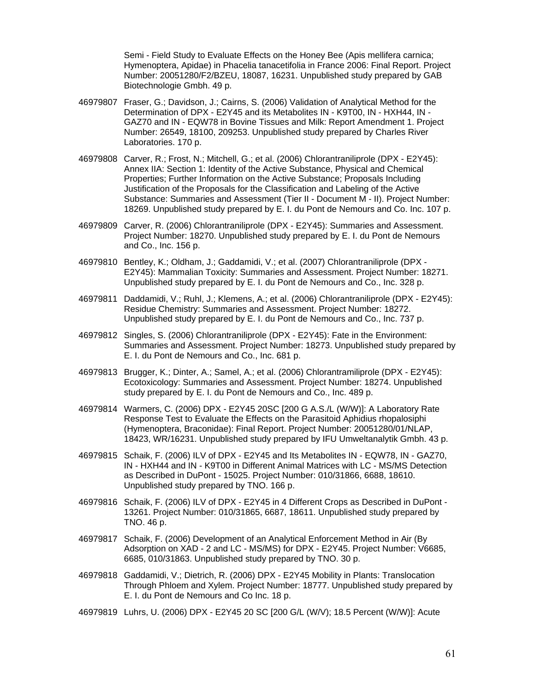Semi - Field Study to Evaluate Effects on the Honey Bee (Apis mellifera carnica; Hymenoptera, Apidae) in Phacelia tanacetifolia in France 2006: Final Report. Project Number: 20051280/F2/BZEU, 18087, 16231. Unpublished study prepared by GAB Biotechnologie Gmbh. 49 p.

- 46979807 Fraser, G.; Davidson, J.; Cairns, S. (2006) Validation of Analytical Method for the Determination of DPX - E2Y45 and its Metabolites IN - K9T00, IN - HXH44, IN - GAZ70 and IN - EQW78 in Bovine Tissues and Milk: Report Amendment 1. Project Number: 26549, 18100, 209253. Unpublished study prepared by Charles River Laboratories. 170 p.
- 46979808 Carver, R.; Frost, N.; Mitchell, G.; et al. (2006) Chlorantraniliprole (DPX E2Y45): Annex IIA: Section 1: Identity of the Active Substance, Physical and Chemical Properties; Further Information on the Active Substance; Proposals Including Justification of the Proposals for the Classification and Labeling of the Active Substance: Summaries and Assessment (Tier II - Document M - II). Project Number: 18269. Unpublished study prepared by E. I. du Pont de Nemours and Co. Inc. 107 p.
- 46979809 Carver, R. (2006) Chlorantraniliprole (DPX E2Y45): Summaries and Assessment. Project Number: 18270. Unpublished study prepared by E. I. du Pont de Nemours and Co., Inc. 156 p.
- 46979810 Bentley, K.; Oldham, J.; Gaddamidi, V.; et al. (2007) Chlorantraniliprole (DPX E2Y45): Mammalian Toxicity: Summaries and Assessment. Project Number: 18271. Unpublished study prepared by E. I. du Pont de Nemours and Co., Inc. 328 p.
- 46979811 Daddamidi, V.; Ruhl, J.; Klemens, A.; et al. (2006) Chlorantraniliprole (DPX E2Y45): Residue Chemistry: Summaries and Assessment. Project Number: 18272. Unpublished study prepared by E. I. du Pont de Nemours and Co., Inc. 737 p.
- 46979812 Singles, S. (2006) Chlorantraniliprole (DPX E2Y45): Fate in the Environment: Summaries and Assessment. Project Number: 18273. Unpublished study prepared by E. I. du Pont de Nemours and Co., Inc. 681 p.
- 46979813 Brugger, K.; Dinter, A.; Samel, A.; et al. (2006) Chlorantramiliprole (DPX E2Y45): Ecotoxicology: Summaries and Assessment. Project Number: 18274. Unpublished study prepared by E. I. du Pont de Nemours and Co., Inc. 489 p.
- 46979814 Warmers, C. (2006) DPX E2Y45 20SC [200 G A.S./L (W/W)]: A Laboratory Rate Response Test to Evaluate the Effects on the Parasitoid Aphidius rhopalosiphi (Hymenoptera, Braconidae): Final Report. Project Number: 20051280/01/NLAP, 18423, WR/16231. Unpublished study prepared by IFU Umweltanalytik Gmbh. 43 p.
- 46979815 Schaik, F. (2006) ILV of DPX E2Y45 and Its Metabolites IN EQW78, IN GAZ70, IN - HXH44 and IN - K9T00 in Different Animal Matrices with LC - MS/MS Detection as Described in DuPont - 15025. Project Number: 010/31866, 6688, 18610. Unpublished study prepared by TNO. 166 p.
- 46979816 Schaik, F. (2006) ILV of DPX E2Y45 in 4 Different Crops as Described in DuPont 13261. Project Number: 010/31865, 6687, 18611. Unpublished study prepared by TNO. 46 p.
- 46979817 Schaik, F. (2006) Development of an Analytical Enforcement Method in Air (By Adsorption on XAD - 2 and LC - MS/MS) for DPX - E2Y45. Project Number: V6685, 6685, 010/31863. Unpublished study prepared by TNO. 30 p.
- 46979818 Gaddamidi, V.; Dietrich, R. (2006) DPX E2Y45 Mobility in Plants: Translocation Through Phloem and Xylem. Project Number: 18777. Unpublished study prepared by E. I. du Pont de Nemours and Co Inc. 18 p.
- 46979819 Luhrs, U. (2006) DPX E2Y45 20 SC [200 G/L (W/V); 18.5 Percent (W/W)]: Acute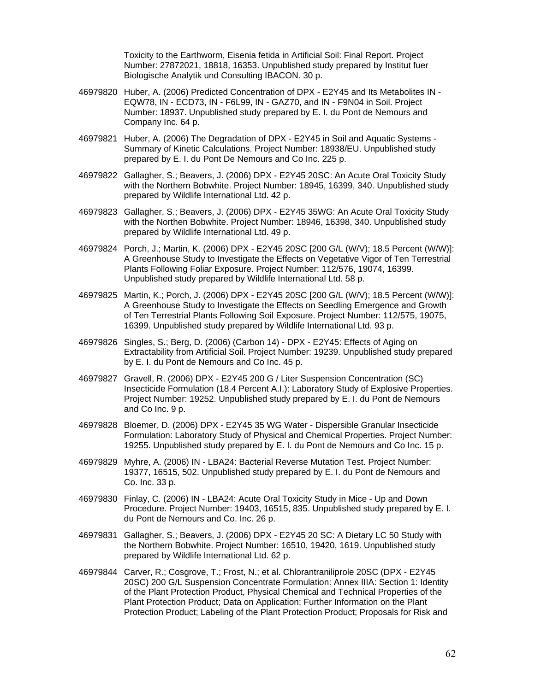Toxicity to the Earthworm, Eisenia fetida in Artificial Soil: Final Report. Project Number: 27872021, 18818, 16353. Unpublished study prepared by Institut fuer Biologische Analytik und Consulting IBACON. 30 p.

- 46979820 Huber, A. (2006) Predicted Concentration of DPX E2Y45 and Its Metabolites IN EQW78, IN - ECD73, IN - F6L99, IN - GAZ70, and IN - F9N04 in Soil. Project Number: 18937. Unpublished study prepared by E. I. du Pont de Nemours and Company Inc. 64 p.
- 46979821 Huber, A. (2006) The Degradation of DPX E2Y45 in Soil and Aquatic Systems Summary of Kinetic Calculations. Project Number: 18938/EU. Unpublished study prepared by E. I. du Pont De Nemours and Co Inc. 225 p.
- 46979822 Gallagher, S.; Beavers, J. (2006) DPX E2Y45 20SC: An Acute Oral Toxicity Study with the Northern Bobwhite. Project Number: 18945, 16399, 340. Unpublished study prepared by Wildlife International Ltd. 42 p.
- 46979823 Gallagher, S.; Beavers, J. (2006) DPX E2Y45 35WG: An Acute Oral Toxicity Study with the Northen Bobwhite. Project Number: 18946, 16398, 340. Unpublished study prepared by Wildlife International Ltd. 49 p.
- 46979824 Porch, J.; Martin, K. (2006) DPX E2Y45 20SC [200 G/L (W/V); 18.5 Percent (W/W)]: A Greenhouse Study to Investigate the Effects on Vegetative Vigor of Ten Terrestrial Plants Following Foliar Exposure. Project Number: 112/576, 19074, 16399. Unpublished study prepared by Wildlife International Ltd. 58 p.
- 46979825 Martin, K.; Porch, J. (2006) DPX E2Y45 20SC [200 G/L (W/V); 18.5 Percent (W/W)]: A Greenhouse Study to Investigate the Effects on Seedling Emergence and Growth of Ten Terrestrial Plants Following Soil Exposure. Project Number: 112/575, 19075, 16399. Unpublished study prepared by Wildlife International Ltd. 93 p.
- 46979826 Singles, S.; Berg, D. (2006) (Carbon 14) DPX E2Y45: Effects of Aging on Extractability from Artificial Soil. Project Number: 19239. Unpublished study prepared by E. I. du Pont de Nemours and Co Inc. 45 p.
- 46979827 Gravell, R. (2006) DPX E2Y45 200 G / Liter Suspension Concentration (SC) Insecticide Formulation (18.4 Percent A.I.): Laboratory Study of Explosive Properties. Project Number: 19252. Unpublished study prepared by E. I. du Pont de Nemours and Co Inc. 9 p.
- 46979828 Bloemer, D. (2006) DPX E2Y45 35 WG Water Dispersible Granular Insecticide Formulation: Laboratory Study of Physical and Chemical Properties. Project Number: 19255. Unpublished study prepared by E. I. du Pont de Nemours and Co Inc. 15 p.
- 46979829 Myhre, A. (2006) IN LBA24: Bacterial Reverse Mutation Test. Project Number: 19377, 16515, 502. Unpublished study prepared by E. I. du Pont de Nemours and Co. Inc. 33 p.
- 46979830 Finlay, C. (2006) IN LBA24: Acute Oral Toxicity Study in Mice Up and Down Procedure. Project Number: 19403, 16515, 835. Unpublished study prepared by E. I. du Pont de Nemours and Co. Inc. 26 p.
- 46979831 Gallagher, S.; Beavers, J. (2006) DPX E2Y45 20 SC: A Dietary LC 50 Study with the Northern Bobwhite. Project Number: 16510, 19420, 1619. Unpublished study prepared by Wildlife International Ltd. 62 p.
- 46979844 Carver, R.; Cosgrove, T.; Frost, N.; et al. Chlorantraniliprole 20SC (DPX E2Y45 20SC) 200 G/L Suspension Concentrate Formulation: Annex IIIA: Section 1: Identity of the Plant Protection Product, Physical Chemical and Technical Properties of the Plant Protection Product; Data on Application; Further Information on the Plant Protection Product; Labeling of the Plant Protection Product; Proposals for Risk and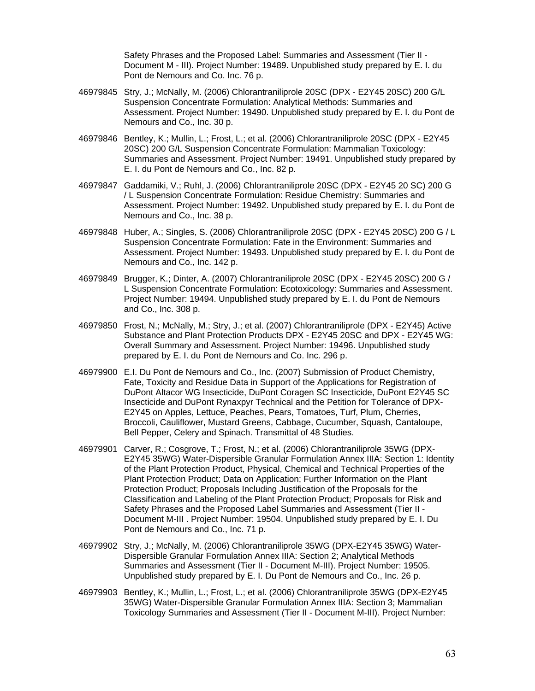Safety Phrases and the Proposed Label: Summaries and Assessment (Tier II - Document M - III). Project Number: 19489. Unpublished study prepared by E. I. du Pont de Nemours and Co. Inc. 76 p.

- 46979845 Stry, J.; McNally, M. (2006) Chlorantraniliprole 20SC (DPX E2Y45 20SC) 200 G/L Suspension Concentrate Formulation: Analytical Methods: Summaries and Assessment. Project Number: 19490. Unpublished study prepared by E. I. du Pont de Nemours and Co., Inc. 30 p.
- 46979846 Bentley, K.; Mullin, L.; Frost, L.; et al. (2006) Chlorantraniliprole 20SC (DPX E2Y45 20SC) 200 G/L Suspension Concentrate Formulation: Mammalian Toxicology: Summaries and Assessment. Project Number: 19491. Unpublished study prepared by E. I. du Pont de Nemours and Co., Inc. 82 p.
- 46979847 Gaddamiki, V.; Ruhl, J. (2006) Chlorantraniliprole 20SC (DPX E2Y45 20 SC) 200 G / L Suspension Concentrate Formulation: Residue Chemistry: Summaries and Assessment. Project Number: 19492. Unpublished study prepared by E. I. du Pont de Nemours and Co., Inc. 38 p.
- 46979848 Huber, A.; Singles, S. (2006) Chlorantraniliprole 20SC (DPX E2Y45 20SC) 200 G / L Suspension Concentrate Formulation: Fate in the Environment: Summaries and Assessment. Project Number: 19493. Unpublished study prepared by E. I. du Pont de Nemours and Co., Inc. 142 p.
- 46979849 Brugger, K.; Dinter, A. (2007) Chlorantraniliprole 20SC (DPX E2Y45 20SC) 200 G / L Suspension Concentrate Formulation: Ecotoxicology: Summaries and Assessment. Project Number: 19494. Unpublished study prepared by E. I. du Pont de Nemours and Co., Inc. 308 p.
- 46979850 Frost, N.; McNally, M.; Stry, J.; et al. (2007) Chlorantraniliprole (DPX E2Y45) Active Substance and Plant Protection Products DPX - E2Y45 20SC and DPX - E2Y45 WG: Overall Summary and Assessment. Project Number: 19496. Unpublished study prepared by E. I. du Pont de Nemours and Co. Inc. 296 p.
- 46979900 E.I. Du Pont de Nemours and Co., Inc. (2007) Submission of Product Chemistry, Fate, Toxicity and Residue Data in Support of the Applications for Registration of DuPont Altacor WG Insecticide, DuPont Coragen SC Insecticide, DuPont E2Y45 SC Insecticide and DuPont Rynaxpyr Technical and the Petition for Tolerance of DPX-E2Y45 on Apples, Lettuce, Peaches, Pears, Tomatoes, Turf, Plum, Cherries, Broccoli, Cauliflower, Mustard Greens, Cabbage, Cucumber, Squash, Cantaloupe, Bell Pepper, Celery and Spinach. Transmittal of 48 Studies.
- 46979901 Carver, R.; Cosgrove, T.; Frost, N.; et al. (2006) Chlorantraniliprole 35WG (DPX-E2Y45 35WG) Water-Dispersible Granular Formulation Annex IIIA: Section 1: Identity of the Plant Protection Product, Physical, Chemical and Technical Properties of the Plant Protection Product; Data on Application; Further Information on the Plant Protection Product; Proposals Including Justification of the Proposals for the Classification and Labeling of the Plant Protection Product; Proposals for Risk and Safety Phrases and the Proposed Label Summaries and Assessment (Tier II - Document M-III . Project Number: 19504. Unpublished study prepared by E. I. Du Pont de Nemours and Co., Inc. 71 p.
- 46979902 Stry, J.; McNally, M. (2006) Chlorantraniliprole 35WG (DPX-E2Y45 35WG) Water-Dispersible Granular Formulation Annex IIIA: Section 2; Analytical Methods Summaries and Assessment (Tier II - Document M-III). Project Number: 19505. Unpublished study prepared by E. I. Du Pont de Nemours and Co., Inc. 26 p.
- 46979903 Bentley, K.; Mullin, L.; Frost, L.; et al. (2006) Chlorantraniliprole 35WG (DPX-E2Y45 35WG) Water-Dispersible Granular Formulation Annex IIIA: Section 3; Mammalian Toxicology Summaries and Assessment (Tier II - Document M-III). Project Number: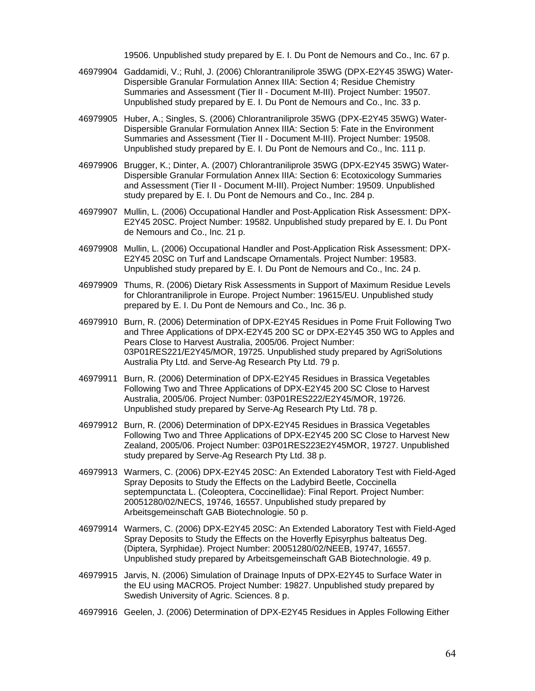19506. Unpublished study prepared by E. I. Du Pont de Nemours and Co., Inc. 67 p.

- 46979904 Gaddamidi, V.; Ruhl, J. (2006) Chlorantraniliprole 35WG (DPX-E2Y45 35WG) Water-Dispersible Granular Formulation Annex IIIA: Section 4; Residue Chemistry Summaries and Assessment (Tier II - Document M-III). Project Number: 19507. Unpublished study prepared by E. I. Du Pont de Nemours and Co., Inc. 33 p.
- 46979905 Huber, A.; Singles, S. (2006) Chlorantraniliprole 35WG (DPX-E2Y45 35WG) Water-Dispersible Granular Formulation Annex IIIA: Section 5: Fate in the Environment Summaries and Assessment (Tier II - Document M-III). Project Number: 19508. Unpublished study prepared by E. I. Du Pont de Nemours and Co., Inc. 111 p.
- 46979906 Brugger, K.; Dinter, A. (2007) Chlorantraniliprole 35WG (DPX-E2Y45 35WG) Water-Dispersible Granular Formulation Annex IIIA: Section 6: Ecotoxicology Summaries and Assessment (Tier II - Document M-III). Project Number: 19509. Unpublished study prepared by E. I. Du Pont de Nemours and Co., Inc. 284 p.
- 46979907 Mullin, L. (2006) Occupational Handler and Post-Application Risk Assessment: DPX-E2Y45 20SC. Project Number: 19582. Unpublished study prepared by E. I. Du Pont de Nemours and Co., Inc. 21 p.
- 46979908 Mullin, L. (2006) Occupational Handler and Post-Application Risk Assessment: DPX-E2Y45 20SC on Turf and Landscape Ornamentals. Project Number: 19583. Unpublished study prepared by E. I. Du Pont de Nemours and Co., Inc. 24 p.
- 46979909 Thums, R. (2006) Dietary Risk Assessments in Support of Maximum Residue Levels for Chlorantraniliprole in Europe. Project Number: 19615/EU. Unpublished study prepared by E. I. Du Pont de Nemours and Co., Inc. 36 p.
- 46979910 Burn, R. (2006) Determination of DPX-E2Y45 Residues in Pome Fruit Following Two and Three Applications of DPX-E2Y45 200 SC or DPX-E2Y45 350 WG to Apples and Pears Close to Harvest Australia, 2005/06. Project Number: 03P01RES221/E2Y45/MOR, 19725. Unpublished study prepared by AgriSolutions Australia Pty Ltd. and Serve-Ag Research Pty Ltd. 79 p.
- 46979911 Burn, R. (2006) Determination of DPX-E2Y45 Residues in Brassica Vegetables Following Two and Three Applications of DPX-E2Y45 200 SC Close to Harvest Australia, 2005/06. Project Number: 03P01RES222/E2Y45/MOR, 19726. Unpublished study prepared by Serve-Ag Research Pty Ltd. 78 p.
- 46979912 Burn, R. (2006) Determination of DPX-E2Y45 Residues in Brassica Vegetables Following Two and Three Applications of DPX-E2Y45 200 SC Close to Harvest New Zealand, 2005/06. Project Number: 03P01RES223E2Y45MOR, 19727. Unpublished study prepared by Serve-Ag Research Pty Ltd. 38 p.
- 46979913 Warmers, C. (2006) DPX-E2Y45 20SC: An Extended Laboratory Test with Field-Aged Spray Deposits to Study the Effects on the Ladybird Beetle, Coccinella septempunctata L. (Coleoptera, Coccinellidae): Final Report. Project Number: 20051280/02/NECS, 19746, 16557. Unpublished study prepared by Arbeitsgemeinschaft GAB Biotechnologie. 50 p.
- 46979914 Warmers, C. (2006) DPX-E2Y45 20SC: An Extended Laboratory Test with Field-Aged Spray Deposits to Study the Effects on the Hoverfly Episyrphus balteatus Deg. (Diptera, Syrphidae). Project Number: 20051280/02/NEEB, 19747, 16557. Unpublished study prepared by Arbeitsgemeinschaft GAB Biotechnologie. 49 p.
- 46979915 Jarvis, N. (2006) Simulation of Drainage Inputs of DPX-E2Y45 to Surface Water in the EU using MACRO5. Project Number: 19827. Unpublished study prepared by Swedish University of Agric. Sciences. 8 p.
- 46979916 Geelen, J. (2006) Determination of DPX-E2Y45 Residues in Apples Following Either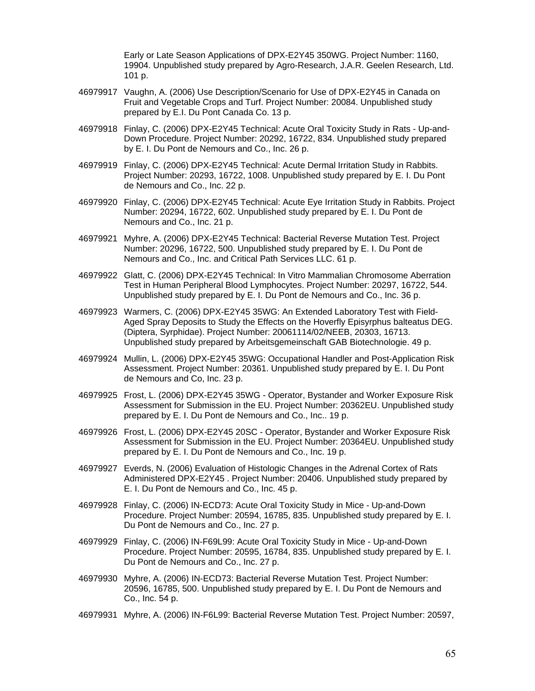Early or Late Season Applications of DPX-E2Y45 350WG. Project Number: 1160, 19904. Unpublished study prepared by Agro-Research, J.A.R. Geelen Research, Ltd. 101 p.

- 46979917 Vaughn, A. (2006) Use Description/Scenario for Use of DPX-E2Y45 in Canada on Fruit and Vegetable Crops and Turf. Project Number: 20084. Unpublished study prepared by E.I. Du Pont Canada Co. 13 p.
- 46979918 Finlay, C. (2006) DPX-E2Y45 Technical: Acute Oral Toxicity Study in Rats Up-and-Down Procedure. Project Number: 20292, 16722, 834. Unpublished study prepared by E. I. Du Pont de Nemours and Co., Inc. 26 p.
- 46979919 Finlay, C. (2006) DPX-E2Y45 Technical: Acute Dermal Irritation Study in Rabbits. Project Number: 20293, 16722, 1008. Unpublished study prepared by E. I. Du Pont de Nemours and Co., Inc. 22 p.
- 46979920 Finlay, C. (2006) DPX-E2Y45 Technical: Acute Eye Irritation Study in Rabbits. Project Number: 20294, 16722, 602. Unpublished study prepared by E. I. Du Pont de Nemours and Co., Inc. 21 p.
- 46979921 Myhre, A. (2006) DPX-E2Y45 Technical: Bacterial Reverse Mutation Test. Project Number: 20296, 16722, 500. Unpublished study prepared by E. I. Du Pont de Nemours and Co., Inc. and Critical Path Services LLC. 61 p.
- 46979922 Glatt, C. (2006) DPX-E2Y45 Technical: In Vitro Mammalian Chromosome Aberration Test in Human Peripheral Blood Lymphocytes. Project Number: 20297, 16722, 544. Unpublished study prepared by E. I. Du Pont de Nemours and Co., Inc. 36 p.
- 46979923 Warmers, C. (2006) DPX-E2Y45 35WG: An Extended Laboratory Test with Field-Aged Spray Deposits to Study the Effects on the Hoverfly Episyrphus balteatus DEG. (Diptera, Syrphidae). Project Number: 20061114/02/NEEB, 20303, 16713. Unpublished study prepared by Arbeitsgemeinschaft GAB Biotechnologie. 49 p.
- 46979924 Mullin, L. (2006) DPX-E2Y45 35WG: Occupational Handler and Post-Application Risk Assessment. Project Number: 20361. Unpublished study prepared by E. I. Du Pont de Nemours and Co, Inc. 23 p.
- 46979925 Frost, L. (2006) DPX-E2Y45 35WG Operator, Bystander and Worker Exposure Risk Assessment for Submission in the EU. Project Number: 20362EU. Unpublished study prepared by E. I. Du Pont de Nemours and Co., Inc.. 19 p.
- 46979926 Frost, L. (2006) DPX-E2Y45 20SC Operator, Bystander and Worker Exposure Risk Assessment for Submission in the EU. Project Number: 20364EU. Unpublished study prepared by E. I. Du Pont de Nemours and Co., Inc. 19 p.
- 46979927 Everds, N. (2006) Evaluation of Histologic Changes in the Adrenal Cortex of Rats Administered DPX-E2Y45 . Project Number: 20406. Unpublished study prepared by E. I. Du Pont de Nemours and Co., Inc. 45 p.
- 46979928 Finlay, C. (2006) IN-ECD73: Acute Oral Toxicity Study in Mice Up-and-Down Procedure. Project Number: 20594, 16785, 835. Unpublished study prepared by E. I. Du Pont de Nemours and Co., Inc. 27 p.
- 46979929 Finlay, C. (2006) IN-F69L99: Acute Oral Toxicity Study in Mice Up-and-Down Procedure. Project Number: 20595, 16784, 835. Unpublished study prepared by E. I. Du Pont de Nemours and Co., Inc. 27 p.
- 46979930 Myhre, A. (2006) IN-ECD73: Bacterial Reverse Mutation Test. Project Number: 20596, 16785, 500. Unpublished study prepared by E. I. Du Pont de Nemours and Co., Inc. 54 p.
- 46979931 Myhre, A. (2006) IN-F6L99: Bacterial Reverse Mutation Test. Project Number: 20597,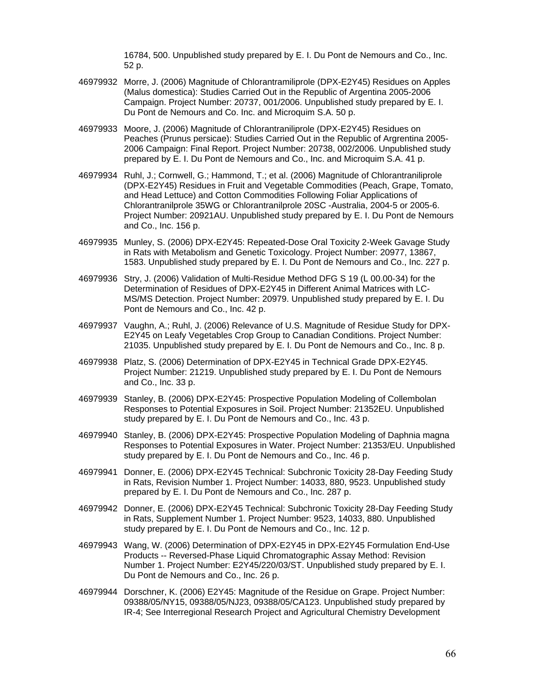16784, 500. Unpublished study prepared by E. I. Du Pont de Nemours and Co., Inc. 52 p.

- 46979932 Morre, J. (2006) Magnitude of Chlorantramiliprole (DPX-E2Y45) Residues on Apples (Malus domestica): Studies Carried Out in the Republic of Argentina 2005-2006 Campaign. Project Number: 20737, 001/2006. Unpublished study prepared by E. I. Du Pont de Nemours and Co. Inc. and Microquim S.A. 50 p.
- 46979933 Moore, J. (2006) Magnitude of Chlorantraniliprole (DPX-E2Y45) Residues on Peaches (Prunus persicae): Studies Carried Out in the Republic of Argrentina 2005- 2006 Campaign: Final Report. Project Number: 20738, 002/2006. Unpublished study prepared by E. I. Du Pont de Nemours and Co., Inc. and Microquim S.A. 41 p.
- 46979934 Ruhl, J.; Cornwell, G.; Hammond, T.; et al. (2006) Magnitude of Chlorantraniliprole (DPX-E2Y45) Residues in Fruit and Vegetable Commodities (Peach, Grape, Tomato, and Head Lettuce) and Cotton Commodities Following Foliar Applications of Chlorantranilprole 35WG or Chlorantranilprole 20SC -Australia, 2004-5 or 2005-6. Project Number: 20921AU. Unpublished study prepared by E. I. Du Pont de Nemours and Co., Inc. 156 p.
- 46979935 Munley, S. (2006) DPX-E2Y45: Repeated-Dose Oral Toxicity 2-Week Gavage Study in Rats with Metabolism and Genetic Toxicology. Project Number: 20977, 13867, 1583. Unpublished study prepared by E. I. Du Pont de Nemours and Co., Inc. 227 p.
- 46979936 Stry, J. (2006) Validation of Multi-Residue Method DFG S 19 (L 00.00-34) for the Determination of Residues of DPX-E2Y45 in Different Animal Matrices with LC-MS/MS Detection. Project Number: 20979. Unpublished study prepared by E. I. Du Pont de Nemours and Co., Inc. 42 p.
- 46979937 Vaughn, A.; Ruhl, J. (2006) Relevance of U.S. Magnitude of Residue Study for DPX-E2Y45 on Leafy Vegetables Crop Group to Canadian Conditions. Project Number: 21035. Unpublished study prepared by E. I. Du Pont de Nemours and Co., Inc. 8 p.
- 46979938 Platz, S. (2006) Determination of DPX-E2Y45 in Technical Grade DPX-E2Y45. Project Number: 21219. Unpublished study prepared by E. I. Du Pont de Nemours and Co., Inc. 33 p.
- 46979939 Stanley, B. (2006) DPX-E2Y45: Prospective Population Modeling of Collembolan Responses to Potential Exposures in Soil. Project Number: 21352EU. Unpublished study prepared by E. I. Du Pont de Nemours and Co., Inc. 43 p.
- 46979940 Stanley, B. (2006) DPX-E2Y45: Prospective Population Modeling of Daphnia magna Responses to Potential Exposures in Water. Project Number: 21353/EU. Unpublished study prepared by E. I. Du Pont de Nemours and Co., Inc. 46 p.
- 46979941 Donner, E. (2006) DPX-E2Y45 Technical: Subchronic Toxicity 28-Day Feeding Study in Rats, Revision Number 1. Project Number: 14033, 880, 9523. Unpublished study prepared by E. I. Du Pont de Nemours and Co., Inc. 287 p.
- 46979942 Donner, E. (2006) DPX-E2Y45 Technical: Subchronic Toxicity 28-Day Feeding Study in Rats, Supplement Number 1. Project Number: 9523, 14033, 880. Unpublished study prepared by E. I. Du Pont de Nemours and Co., Inc. 12 p.
- 46979943 Wang, W. (2006) Determination of DPX-E2Y45 in DPX-E2Y45 Formulation End-Use Products -- Reversed-Phase Liquid Chromatographic Assay Method: Revision Number 1. Project Number: E2Y45/220/03/ST. Unpublished study prepared by E. I. Du Pont de Nemours and Co., Inc. 26 p.
- 46979944 Dorschner, K. (2006) E2Y45: Magnitude of the Residue on Grape. Project Number: 09388/05/NY15, 09388/05/NJ23, 09388/05/CA123. Unpublished study prepared by IR-4; See Interregional Research Project and Agricultural Chemistry Development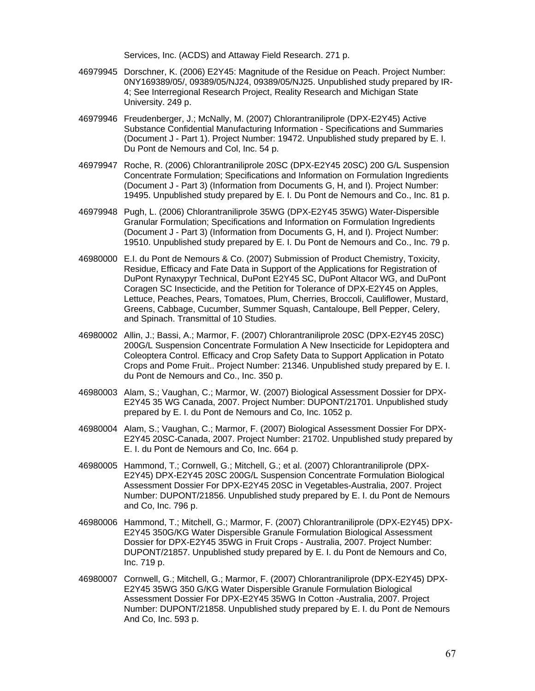Services, Inc. (ACDS) and Attaway Field Research. 271 p.

- 46979945 Dorschner, K. (2006) E2Y45: Magnitude of the Residue on Peach. Project Number: 0NY169389/05/, 09389/05/NJ24, 09389/05/NJ25. Unpublished study prepared by IR-4; See Interregional Research Project, Reality Research and Michigan State University. 249 p.
- 46979946 Freudenberger, J.; McNally, M. (2007) Chlorantraniliprole (DPX-E2Y45) Active Substance Confidential Manufacturing Information - Specifications and Summaries (Document J - Part 1). Project Number: 19472. Unpublished study prepared by E. I. Du Pont de Nemours and Col, Inc. 54 p.
- 46979947 Roche, R. (2006) Chlorantraniliprole 20SC (DPX-E2Y45 20SC) 200 G/L Suspension Concentrate Formulation; Specifications and Information on Formulation Ingredients (Document J - Part 3) (Information from Documents G, H, and I). Project Number: 19495. Unpublished study prepared by E. I. Du Pont de Nemours and Co., Inc. 81 p.
- 46979948 Pugh, L. (2006) Chlorantraniliprole 35WG (DPX-E2Y45 35WG) Water-Dispersible Granular Formulation; Specifications and Information on Formulation Ingredients (Document J - Part 3) (Information from Documents G, H, and I). Project Number: 19510. Unpublished study prepared by E. I. Du Pont de Nemours and Co., Inc. 79 p.
- 46980000 E.I. du Pont de Nemours & Co. (2007) Submission of Product Chemistry, Toxicity, Residue, Efficacy and Fate Data in Support of the Applications for Registration of DuPont Rynaxypyr Technical, DuPont E2Y45 SC, DuPont Altacor WG, and DuPont Coragen SC Insecticide, and the Petition for Tolerance of DPX-E2Y45 on Apples, Lettuce, Peaches, Pears, Tomatoes, Plum, Cherries, Broccoli, Cauliflower, Mustard, Greens, Cabbage, Cucumber, Summer Squash, Cantaloupe, Bell Pepper, Celery, and Spinach. Transmittal of 10 Studies.
- 46980002 Allin, J.; Bassi, A.; Marmor, F. (2007) Chlorantraniliprole 20SC (DPX-E2Y45 20SC) 200G/L Suspension Concentrate Formulation A New Insecticide for Lepidoptera and Coleoptera Control. Efficacy and Crop Safety Data to Support Application in Potato Crops and Pome Fruit.. Project Number: 21346. Unpublished study prepared by E. I. du Pont de Nemours and Co., Inc. 350 p.
- 46980003 Alam, S.; Vaughan, C.; Marmor, W. (2007) Biological Assessment Dossier for DPX-E2Y45 35 WG Canada, 2007. Project Number: DUPONT/21701. Unpublished study prepared by E. I. du Pont de Nemours and Co, Inc. 1052 p.
- 46980004 Alam, S.; Vaughan, C.; Marmor, F. (2007) Biological Assessment Dossier For DPX-E2Y45 20SC-Canada, 2007. Project Number: 21702. Unpublished study prepared by E. I. du Pont de Nemours and Co, Inc. 664 p.
- 46980005 Hammond, T.; Cornwell, G.; Mitchell, G.; et al. (2007) Chlorantraniliprole (DPX-E2Y45) DPX-E2Y45 20SC 200G/L Suspension Concentrate Formulation Biological Assessment Dossier For DPX-E2Y45 20SC in Vegetables-Australia, 2007. Project Number: DUPONT/21856. Unpublished study prepared by E. I. du Pont de Nemours and Co, Inc. 796 p.
- 46980006 Hammond, T.; Mitchell, G.; Marmor, F. (2007) Chlorantraniliprole (DPX-E2Y45) DPX-E2Y45 350G/KG Water Dispersible Granule Formulation Biological Assessment Dossier for DPX-E2Y45 35WG in Fruit Crops - Australia, 2007. Project Number: DUPONT/21857. Unpublished study prepared by E. I. du Pont de Nemours and Co, Inc. 719 p.
- 46980007 Cornwell, G.; Mitchell, G.; Marmor, F. (2007) Chlorantraniliprole (DPX-E2Y45) DPX-E2Y45 35WG 350 G/KG Water Dispersible Granule Formulation Biological Assessment Dossier For DPX-E2Y45 35WG In Cotton -Australia, 2007. Project Number: DUPONT/21858. Unpublished study prepared by E. I. du Pont de Nemours And Co, Inc. 593 p.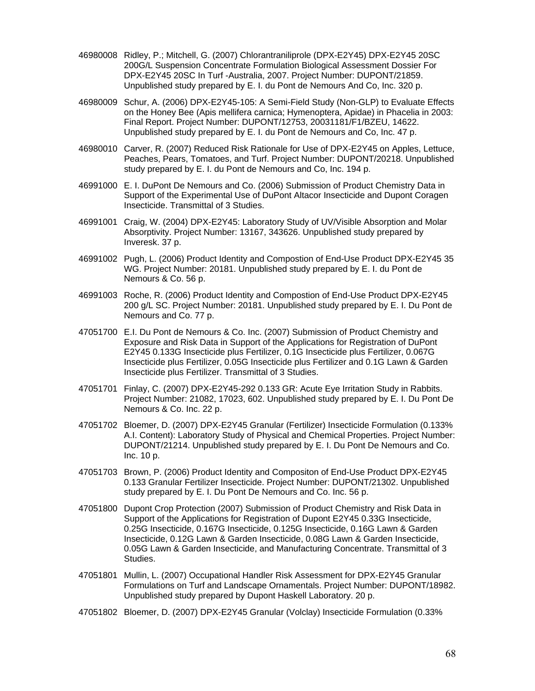- 46980008 Ridley, P.; Mitchell, G. (2007) Chlorantraniliprole (DPX-E2Y45) DPX-E2Y45 20SC 200G/L Suspension Concentrate Formulation Biological Assessment Dossier For DPX-E2Y45 20SC In Turf -Australia, 2007. Project Number: DUPONT/21859. Unpublished study prepared by E. I. du Pont de Nemours And Co, Inc. 320 p.
- 46980009 Schur, A. (2006) DPX-E2Y45-105: A Semi-Field Study (Non-GLP) to Evaluate Effects on the Honey Bee (Apis mellifera carnica; Hymenoptera, Apidae) in Phacelia in 2003: Final Report. Project Number: DUPONT/12753, 20031181/F1/BZEU, 14622. Unpublished study prepared by E. I. du Pont de Nemours and Co, Inc. 47 p.
- 46980010 Carver, R. (2007) Reduced Risk Rationale for Use of DPX-E2Y45 on Apples, Lettuce, Peaches, Pears, Tomatoes, and Turf. Project Number: DUPONT/20218. Unpublished study prepared by E. I. du Pont de Nemours and Co, Inc. 194 p.
- 46991000 E. I. DuPont De Nemours and Co. (2006) Submission of Product Chemistry Data in Support of the Experimental Use of DuPont Altacor Insecticide and Dupont Coragen Insecticide. Transmittal of 3 Studies.
- 46991001 Craig, W. (2004) DPX-E2Y45: Laboratory Study of UV/Visible Absorption and Molar Absorptivity. Project Number: 13167, 343626. Unpublished study prepared by Inveresk. 37 p.
- 46991002 Pugh, L. (2006) Product Identity and Compostion of End-Use Product DPX-E2Y45 35 WG. Project Number: 20181. Unpublished study prepared by E. I. du Pont de Nemours & Co. 56 p.
- 46991003 Roche, R. (2006) Product Identity and Compostion of End-Use Product DPX-E2Y45 200 g/L SC. Project Number: 20181. Unpublished study prepared by E. I. Du Pont de Nemours and Co. 77 p.
- 47051700 E.I. Du Pont de Nemours & Co. Inc. (2007) Submission of Product Chemistry and Exposure and Risk Data in Support of the Applications for Registration of DuPont E2Y45 0.133G Insecticide plus Fertilizer, 0.1G Insecticide plus Fertilizer, 0.067G Insecticide plus Fertilizer, 0.05G Insecticide plus Fertilizer and 0.1G Lawn & Garden Insecticide plus Fertilizer. Transmittal of 3 Studies.
- 47051701 Finlay, C. (2007) DPX-E2Y45-292 0.133 GR: Acute Eye Irritation Study in Rabbits. Project Number: 21082, 17023, 602. Unpublished study prepared by E. I. Du Pont De Nemours & Co. Inc. 22 p.
- 47051702 Bloemer, D. (2007) DPX-E2Y45 Granular (Fertilizer) Insecticide Formulation (0.133% A.I. Content): Laboratory Study of Physical and Chemical Properties. Project Number: DUPONT/21214. Unpublished study prepared by E. I. Du Pont De Nemours and Co. Inc. 10 p.
- 47051703 Brown, P. (2006) Product Identity and Compositon of End-Use Product DPX-E2Y45 0.133 Granular Fertilizer Insecticide. Project Number: DUPONT/21302. Unpublished study prepared by E. I. Du Pont De Nemours and Co. Inc. 56 p.
- 47051800 Dupont Crop Protection (2007) Submission of Product Chemistry and Risk Data in Support of the Applications for Registration of Dupont E2Y45 0.33G Insecticide, 0.25G Insecticide, 0.167G Insecticide, 0.125G Insecticide, 0.16G Lawn & Garden Insecticide, 0.12G Lawn & Garden Insecticide, 0.08G Lawn & Garden Insecticide, 0.05G Lawn & Garden Insecticide, and Manufacturing Concentrate. Transmittal of 3 Studies.
- 47051801 Mullin, L. (2007) Occupational Handler Risk Assessment for DPX-E2Y45 Granular Formulations on Turf and Landscape Ornamentals. Project Number: DUPONT/18982. Unpublished study prepared by Dupont Haskell Laboratory. 20 p.
- 47051802 Bloemer, D. (2007) DPX-E2Y45 Granular (Volclay) Insecticide Formulation (0.33%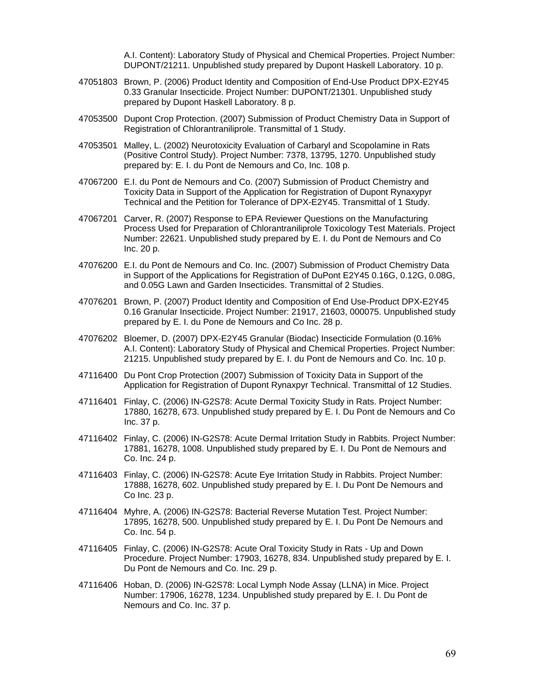A.I. Content): Laboratory Study of Physical and Chemical Properties. Project Number: DUPONT/21211. Unpublished study prepared by Dupont Haskell Laboratory. 10 p.

- 47051803 Brown, P. (2006) Product Identity and Composition of End-Use Product DPX-E2Y45 0.33 Granular Insecticide. Project Number: DUPONT/21301. Unpublished study prepared by Dupont Haskell Laboratory. 8 p.
- 47053500 Dupont Crop Protection. (2007) Submission of Product Chemistry Data in Support of Registration of Chlorantraniliprole. Transmittal of 1 Study.
- 47053501 Malley, L. (2002) Neurotoxicity Evaluation of Carbaryl and Scopolamine in Rats (Positive Control Study). Project Number: 7378, 13795, 1270. Unpublished study prepared by: E. I. du Pont de Nemours and Co, Inc. 108 p.
- 47067200 E.I. du Pont de Nemours and Co. (2007) Submission of Product Chemistry and Toxicity Data in Support of the Application for Registration of Dupont Rynaxypyr Technical and the Petition for Tolerance of DPX-E2Y45. Transmittal of 1 Study.
- 47067201 Carver, R. (2007) Response to EPA Reviewer Questions on the Manufacturing Process Used for Preparation of Chlorantraniliprole Toxicology Test Materials. Project Number: 22621. Unpublished study prepared by E. I. du Pont de Nemours and Co Inc. 20 p.
- 47076200 E.I. du Pont de Nemours and Co. Inc. (2007) Submission of Product Chemistry Data in Support of the Applications for Registration of DuPont E2Y45 0.16G, 0.12G, 0.08G, and 0.05G Lawn and Garden Insecticides. Transmittal of 2 Studies.
- 47076201 Brown, P. (2007) Product Identity and Composition of End Use-Product DPX-E2Y45 0.16 Granular Insecticide. Project Number: 21917, 21603, 000075. Unpublished study prepared by E. I. du Pone de Nemours and Co Inc. 28 p.
- 47076202 Bloemer, D. (2007) DPX-E2Y45 Granular (Biodac) Insecticide Formulation (0.16% A.I. Content): Laboratory Study of Physical and Chemical Properties. Project Number: 21215. Unpublished study prepared by E. I. du Pont de Nemours and Co. Inc. 10 p.
- 47116400 Du Pont Crop Protection (2007) Submission of Toxicity Data in Support of the Application for Registration of Dupont Rynaxpyr Technical. Transmittal of 12 Studies.
- 47116401 Finlay, C. (2006) IN-G2S78: Acute Dermal Toxicity Study in Rats. Project Number: 17880, 16278, 673. Unpublished study prepared by E. I. Du Pont de Nemours and Co Inc. 37 p.
- 47116402 Finlay, C. (2006) IN-G2S78: Acute Dermal Irritation Study in Rabbits. Project Number: 17881, 16278, 1008. Unpublished study prepared by E. I. Du Pont de Nemours and Co. Inc. 24 p.
- 47116403 Finlay, C. (2006) IN-G2S78: Acute Eye Irritation Study in Rabbits. Project Number: 17888, 16278, 602. Unpublished study prepared by E. I. Du Pont De Nemours and Co Inc. 23 p.
- 47116404 Myhre, A. (2006) IN-G2S78: Bacterial Reverse Mutation Test. Project Number: 17895, 16278, 500. Unpublished study prepared by E. I. Du Pont De Nemours and Co. Inc. 54 p.
- 47116405 Finlay, C. (2006) IN-G2S78: Acute Oral Toxicity Study in Rats Up and Down Procedure. Project Number: 17903, 16278, 834. Unpublished study prepared by E. I. Du Pont de Nemours and Co. Inc. 29 p.
- 47116406 Hoban, D. (2006) IN-G2S78: Local Lymph Node Assay (LLNA) in Mice. Project Number: 17906, 16278, 1234. Unpublished study prepared by E. I. Du Pont de Nemours and Co. Inc. 37 p.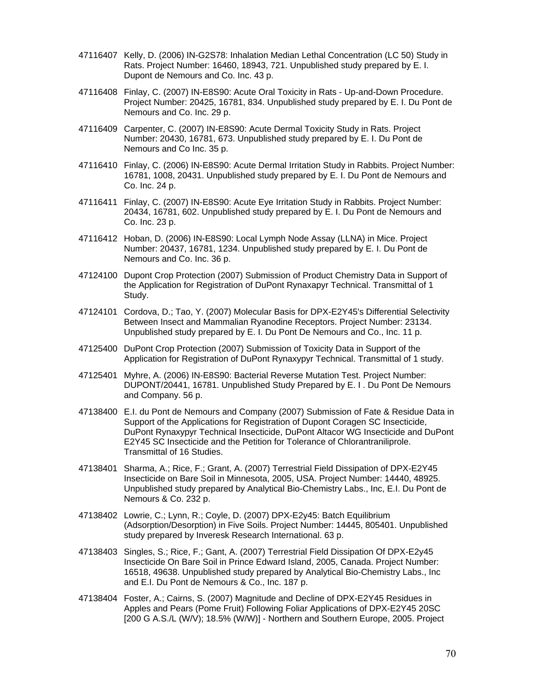- 47116407 Kelly, D. (2006) IN-G2S78: Inhalation Median Lethal Concentration (LC 50) Study in Rats. Project Number: 16460, 18943, 721. Unpublished study prepared by E. I. Dupont de Nemours and Co. Inc. 43 p.
- 47116408 Finlay, C. (2007) IN-E8S90: Acute Oral Toxicity in Rats Up-and-Down Procedure. Project Number: 20425, 16781, 834. Unpublished study prepared by E. I. Du Pont de Nemours and Co. Inc. 29 p.
- 47116409 Carpenter, C. (2007) IN-E8S90: Acute Dermal Toxicity Study in Rats. Project Number: 20430, 16781, 673. Unpublished study prepared by E. I. Du Pont de Nemours and Co Inc. 35 p.
- 47116410 Finlay, C. (2006) IN-E8S90: Acute Dermal Irritation Study in Rabbits. Project Number: 16781, 1008, 20431. Unpublished study prepared by E. I. Du Pont de Nemours and Co. Inc. 24 p.
- 47116411 Finlay, C. (2007) IN-E8S90: Acute Eye Irritation Study in Rabbits. Project Number: 20434, 16781, 602. Unpublished study prepared by E. I. Du Pont de Nemours and Co. Inc. 23 p.
- 47116412 Hoban, D. (2006) IN-E8S90: Local Lymph Node Assay (LLNA) in Mice. Project Number: 20437, 16781, 1234. Unpublished study prepared by E. I. Du Pont de Nemours and Co. Inc. 36 p.
- 47124100 Dupont Crop Protection (2007) Submission of Product Chemistry Data in Support of the Application for Registration of DuPont Rynaxapyr Technical. Transmittal of 1 Study.
- 47124101 Cordova, D.; Tao, Y. (2007) Molecular Basis for DPX-E2Y45's Differential Selectivity Between Insect and Mammalian Ryanodine Receptors. Project Number: 23134. Unpublished study prepared by E. I. Du Pont De Nemours and Co., Inc. 11 p.
- 47125400 DuPont Crop Protection (2007) Submission of Toxicity Data in Support of the Application for Registration of DuPont Rynaxypyr Technical. Transmittal of 1 study.
- 47125401 Myhre, A. (2006) IN-E8S90: Bacterial Reverse Mutation Test. Project Number: DUPONT/20441, 16781. Unpublished Study Prepared by E. I . Du Pont De Nemours and Company. 56 p.
- 47138400 E.I. du Pont de Nemours and Company (2007) Submission of Fate & Residue Data in Support of the Applications for Registration of Dupont Coragen SC Insecticide, DuPont Rynaxypyr Technical Insecticide, DuPont Altacor WG Insecticide and DuPont E2Y45 SC Insecticide and the Petition for Tolerance of Chlorantraniliprole. Transmittal of 16 Studies.
- 47138401 Sharma, A.; Rice, F.; Grant, A. (2007) Terrestrial Field Dissipation of DPX-E2Y45 Insecticide on Bare Soil in Minnesota, 2005, USA. Project Number: 14440, 48925. Unpublished study prepared by Analytical Bio-Chemistry Labs., Inc, E.I. Du Pont de Nemours & Co. 232 p.
- 47138402 Lowrie, C.; Lynn, R.; Coyle, D. (2007) DPX-E2y45: Batch Equilibrium (Adsorption/Desorption) in Five Soils. Project Number: 14445, 805401. Unpublished study prepared by Inveresk Research International. 63 p.
- 47138403 Singles, S.; Rice, F.; Gant, A. (2007) Terrestrial Field Dissipation Of DPX-E2y45 Insecticide On Bare Soil in Prince Edward Island, 2005, Canada. Project Number: 16518, 49638. Unpublished study prepared by Analytical Bio-Chemistry Labs., Inc and E.I. Du Pont de Nemours & Co., Inc. 187 p.
- 47138404 Foster, A.; Cairns, S. (2007) Magnitude and Decline of DPX-E2Y45 Residues in Apples and Pears (Pome Fruit) Following Foliar Applications of DPX-E2Y45 20SC [200 G A.S./L (W/V); 18.5% (W/W)] - Northern and Southern Europe, 2005. Project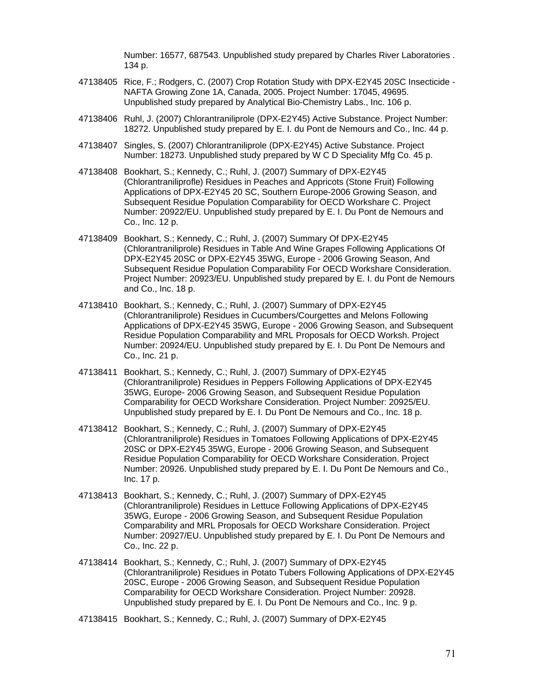Number: 16577, 687543. Unpublished study prepared by Charles River Laboratories . 134 p.

- 47138405 Rice, F.; Rodgers, C. (2007) Crop Rotation Study with DPX-E2Y45 20SC Insecticide NAFTA Growing Zone 1A, Canada, 2005. Project Number: 17045, 49695. Unpublished study prepared by Analytical Bio-Chemistry Labs., Inc. 106 p.
- 47138406 Ruhl, J. (2007) Chlorantraniliprole (DPX-E2Y45) Active Substance. Project Number: 18272. Unpublished study prepared by E. I. du Pont de Nemours and Co., Inc. 44 p.
- 47138407 Singles, S. (2007) Chlorantraniliprole (DPX-E2Y45) Active Substance. Project Number: 18273. Unpublished study prepared by W C D Speciality Mfg Co. 45 p.
- 47138408 Bookhart, S.; Kennedy, C.; Ruhl, J. (2007) Summary of DPX-E2Y45 (Chlorantraniliprofle) Residues in Peaches and Appricots (Stone Fruit) Following Applications of DPX-E2Y45 20 SC, Southern Europe-2006 Growing Season, and Subsequent Residue Population Comparability for OECD Workshare C. Project Number: 20922/EU. Unpublished study prepared by E. I. Du Pont de Nemours and Co., Inc. 12 p.
- 47138409 Bookhart, S.; Kennedy, C.; Ruhl, J. (2007) Summary Of DPX-E2Y45 (Chlorantraniliprole) Residues in Table And Wine Grapes Following Applications Of DPX-E2Y45 20SC or DPX-E2Y45 35WG, Europe - 2006 Growing Season, And Subsequent Residue Population Comparability For OECD Workshare Consideration. Project Number: 20923/EU. Unpublished study prepared by E. I. du Pont de Nemours and Co., Inc. 18 p.
- 47138410 Bookhart, S.; Kennedy, C.; Ruhl, J. (2007) Summary of DPX-E2Y45 (Chlorantraniliprole) Residues in Cucumbers/Courgettes and Melons Following Applications of DPX-E2Y45 35WG, Europe - 2006 Growing Season, and Subsequent Residue Population Comparability and MRL Proposals for OECD Worksh. Project Number: 20924/EU. Unpublished study prepared by E. I. Du Pont De Nemours and Co., Inc. 21 p.
- 47138411 Bookhart, S.; Kennedy, C.; Ruhl, J. (2007) Summary of DPX-E2Y45 (Chlorantraniliprole) Residues in Peppers Following Applications of DPX-E2Y45 35WG, Europe- 2006 Growing Season, and Subsequent Residue Population Comparability for OECD Workshare Consideration. Project Number: 20925/EU. Unpublished study prepared by E. I. Du Pont De Nemours and Co., Inc. 18 p.
- 47138412 Bookhart, S.; Kennedy, C.; Ruhl, J. (2007) Summary of DPX-E2Y45 (Chlorantraniliprole) Residues in Tomatoes Following Applications of DPX-E2Y45 20SC or DPX-E2Y45 35WG, Europe - 2006 Growing Season, and Subsequent Residue Population Comparability for OECD Workshare Consideration. Project Number: 20926. Unpublished study prepared by E. I. Du Pont De Nemours and Co., Inc. 17 p.
- 47138413 Bookhart, S.; Kennedy, C.; Ruhl, J. (2007) Summary of DPX-E2Y45 (Chlorantraniliprole) Residues in Lettuce Following Applications of DPX-E2Y45 35WG, Europe - 2006 Growing Season, and Subsequent Residue Population Comparability and MRL Proposals for OECD Workshare Consideration. Project Number: 20927/EU. Unpublished study prepared by E. I. Du Pont De Nemours and Co., Inc. 22 p.
- 47138414 Bookhart, S.; Kennedy, C.; Ruhl, J. (2007) Summary of DPX-E2Y45 (Chlorantraniliprole) Residues in Potato Tubers Following Applications of DPX-E2Y45 20SC, Europe - 2006 Growing Season, and Subsequent Residue Population Comparability for OECD Workshare Consideration. Project Number: 20928. Unpublished study prepared by E. I. Du Pont De Nemours and Co., Inc. 9 p.
- 47138415 Bookhart, S.; Kennedy, C.; Ruhl, J. (2007) Summary of DPX-E2Y45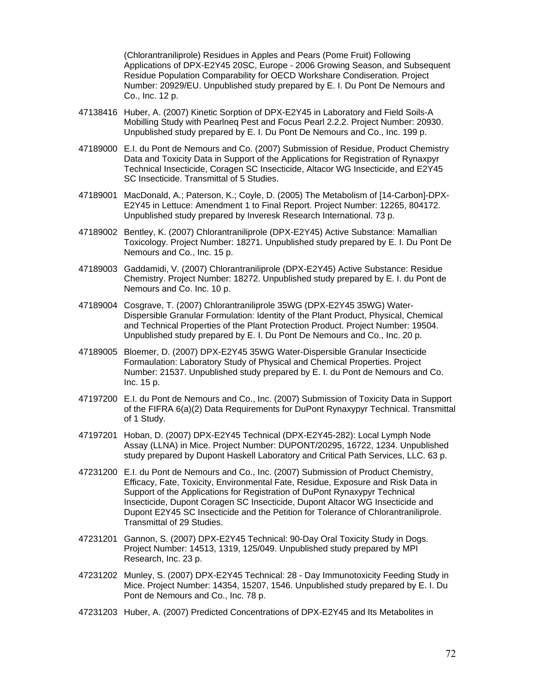(Chlorantraniliprole) Residues in Apples and Pears (Pome Fruit) Following Applications of DPX-E2Y45 20SC, Europe - 2006 Growing Season, and Subsequent Residue Population Comparability for OECD Workshare Condiseration. Project Number: 20929/EU. Unpublished study prepared by E. I. Du Pont De Nemours and Co., Inc. 12 p.

- 47138416 Huber, A. (2007) Kinetic Sorption of DPX-E2Y45 in Laboratory and Field Soils-A Mobilling Study with Pearlneq Pest and Focus Pearl 2.2.2. Project Number: 20930. Unpublished study prepared by E. I. Du Pont De Nemours and Co., Inc. 199 p.
- 47189000 E.I. du Pont de Nemours and Co. (2007) Submission of Residue, Product Chemistry Data and Toxicity Data in Support of the Applications for Registration of Rynaxpyr Technical Insecticide, Coragen SC Insecticide, Altacor WG Insecticide, and E2Y45 SC Insecticide. Transmittal of 5 Studies.
- 47189001 MacDonald, A.; Paterson, K.; Coyle, D. (2005) The Metabolism of [14-Carbon]-DPX-E2Y45 in Lettuce: Amendment 1 to Final Report. Project Number: 12265, 804172. Unpublished study prepared by Inveresk Research International. 73 p.
- 47189002 Bentley, K. (2007) Chlorantraniliprole (DPX-E2Y45) Active Substance: Mamallian Toxicology. Project Number: 18271. Unpublished study prepared by E. I. Du Pont De Nemours and Co., Inc. 15 p.
- 47189003 Gaddamidi, V. (2007) Chlorantraniliprole (DPX-E2Y45) Active Substance: Residue Chemistry. Project Number: 18272. Unpublished study prepared by E. I. du Pont de Nemours and Co. Inc. 10 p.
- 47189004 Cosgrave, T. (2007) Chlorantraniliprole 35WG (DPX-E2Y45 35WG) Water-Dispersible Granular Formulation: Identity of the Plant Product, Physical, Chemical and Technical Properties of the Plant Protection Product. Project Number: 19504. Unpublished study prepared by E. I. Du Pont De Nemours and Co., Inc. 20 p.
- 47189005 Bloemer, D. (2007) DPX-E2Y45 35WG Water-Dispersible Granular Insecticide Formaulation: Laboratory Study of Physical and Chemical Properties. Project Number: 21537. Unpublished study prepared by E. I. du Pont de Nemours and Co. Inc. 15 p.
- 47197200 E.I. du Pont de Nemours and Co., Inc. (2007) Submission of Toxicity Data in Support of the FIFRA 6(a)(2) Data Requirements for DuPont Rynaxypyr Technical. Transmittal of 1 Study.
- 47197201 Hoban, D. (2007) DPX-E2Y45 Technical (DPX-E2Y45-282): Local Lymph Node Assay (LLNA) in Mice. Project Number: DUPONT/20295, 16722, 1234. Unpublished study prepared by Dupont Haskell Laboratory and Critical Path Services, LLC. 63 p.
- 47231200 E.I. du Pont de Nemours and Co., Inc. (2007) Submission of Product Chemistry, Efficacy, Fate, Toxicity, Environmental Fate, Residue, Exposure and Risk Data in Support of the Applications for Registration of DuPont Rynaxypyr Technical Insecticide, Dupont Coragen SC Insecticide, Dupont Altacor WG Insecticide and Dupont E2Y45 SC Insecticide and the Petition for Tolerance of Chlorantraniliprole. Transmittal of 29 Studies.
- 47231201 Gannon, S. (2007) DPX-E2Y45 Technical: 90-Day Oral Toxicity Study in Dogs. Project Number: 14513, 1319, 125/049. Unpublished study prepared by MPI Research, Inc. 23 p.
- 47231202 Munley, S. (2007) DPX-E2Y45 Technical: 28 Day Immunotoxicity Feeding Study in Mice. Project Number: 14354, 15207, 1546. Unpublished study prepared by E. I. Du Pont de Nemours and Co., Inc. 78 p.
- 47231203 Huber, A. (2007) Predicted Concentrations of DPX-E2Y45 and Its Metabolites in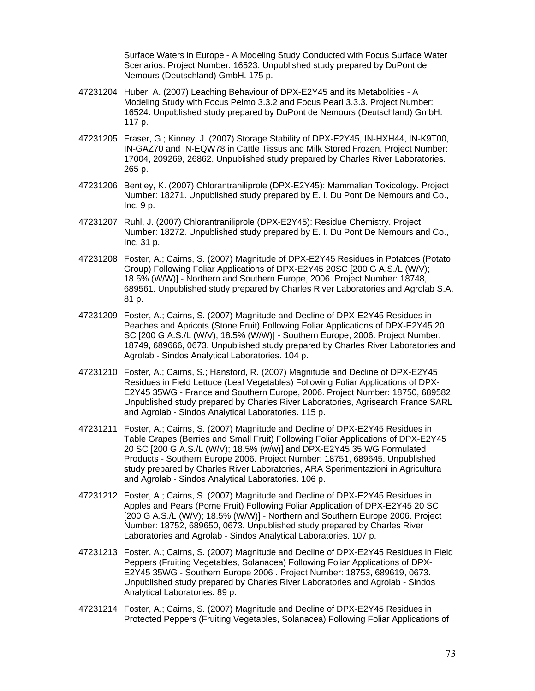Surface Waters in Europe - A Modeling Study Conducted with Focus Surface Water Scenarios. Project Number: 16523. Unpublished study prepared by DuPont de Nemours (Deutschland) GmbH. 175 p.

- 47231204 Huber, A. (2007) Leaching Behaviour of DPX-E2Y45 and its Metabolities A Modeling Study with Focus Pelmo 3.3.2 and Focus Pearl 3.3.3. Project Number: 16524. Unpublished study prepared by DuPont de Nemours (Deutschland) GmbH. 117 p.
- 47231205 Fraser, G.; Kinney, J. (2007) Storage Stability of DPX-E2Y45, IN-HXH44, IN-K9T00, IN-GAZ70 and IN-EQW78 in Cattle Tissus and Milk Stored Frozen. Project Number: 17004, 209269, 26862. Unpublished study prepared by Charles River Laboratories. 265 p.
- 47231206 Bentley, K. (2007) Chlorantraniliprole (DPX-E2Y45): Mammalian Toxicology. Project Number: 18271. Unpublished study prepared by E. I. Du Pont De Nemours and Co., Inc. 9 p.
- 47231207 Ruhl, J. (2007) Chlorantraniliprole (DPX-E2Y45): Residue Chemistry. Project Number: 18272. Unpublished study prepared by E. I. Du Pont De Nemours and Co., Inc. 31 p.
- 47231208 Foster, A.; Cairns, S. (2007) Magnitude of DPX-E2Y45 Residues in Potatoes (Potato Group) Following Foliar Applications of DPX-E2Y45 20SC [200 G A.S./L (W/V); 18.5% (W/W)] - Northern and Southern Europe, 2006. Project Number: 18748, 689561. Unpublished study prepared by Charles River Laboratories and Agrolab S.A. 81 p.
- 47231209 Foster, A.; Cairns, S. (2007) Magnitude and Decline of DPX-E2Y45 Residues in Peaches and Apricots (Stone Fruit) Following Foliar Applications of DPX-E2Y45 20 SC [200 G A.S./L (W/V); 18.5% (W/W)] - Southern Europe, 2006. Project Number: 18749, 689666, 0673. Unpublished study prepared by Charles River Laboratories and Agrolab - Sindos Analytical Laboratories. 104 p.
- 47231210 Foster, A.; Cairns, S.; Hansford, R. (2007) Magnitude and Decline of DPX-E2Y45 Residues in Field Lettuce (Leaf Vegetables) Following Foliar Applications of DPX-E2Y45 35WG - France and Southern Europe, 2006. Project Number: 18750, 689582. Unpublished study prepared by Charles River Laboratories, Agrisearch France SARL and Agrolab - Sindos Analytical Laboratories. 115 p.
- 47231211 Foster, A.; Cairns, S. (2007) Magnitude and Decline of DPX-E2Y45 Residues in Table Grapes (Berries and Small Fruit) Following Foliar Applications of DPX-E2Y45 20 SC [200 G A.S./L (W/V); 18.5% (w/w)] and DPX-E2Y45 35 WG Formulated Products - Southern Europe 2006. Project Number: 18751, 689645. Unpublished study prepared by Charles River Laboratories, ARA Sperimentazioni in Agricultura and Agrolab - Sindos Analytical Laboratories. 106 p.
- 47231212 Foster, A.; Cairns, S. (2007) Magnitude and Decline of DPX-E2Y45 Residues in Apples and Pears (Pome Fruit) Following Foliar Application of DPX-E2Y45 20 SC [200 G A.S./L (W/V); 18.5% (W/W)] - Northern and Southern Europe 2006. Project Number: 18752, 689650, 0673. Unpublished study prepared by Charles River Laboratories and Agrolab - Sindos Analytical Laboratories. 107 p.
- 47231213 Foster, A.; Cairns, S. (2007) Magnitude and Decline of DPX-E2Y45 Residues in Field Peppers (Fruiting Vegetables, Solanacea) Following Foliar Applications of DPX-E2Y45 35WG - Southern Europe 2006 . Project Number: 18753, 689619, 0673. Unpublished study prepared by Charles River Laboratories and Agrolab - Sindos Analytical Laboratories. 89 p.
- 47231214 Foster, A.; Cairns, S. (2007) Magnitude and Decline of DPX-E2Y45 Residues in Protected Peppers (Fruiting Vegetables, Solanacea) Following Foliar Applications of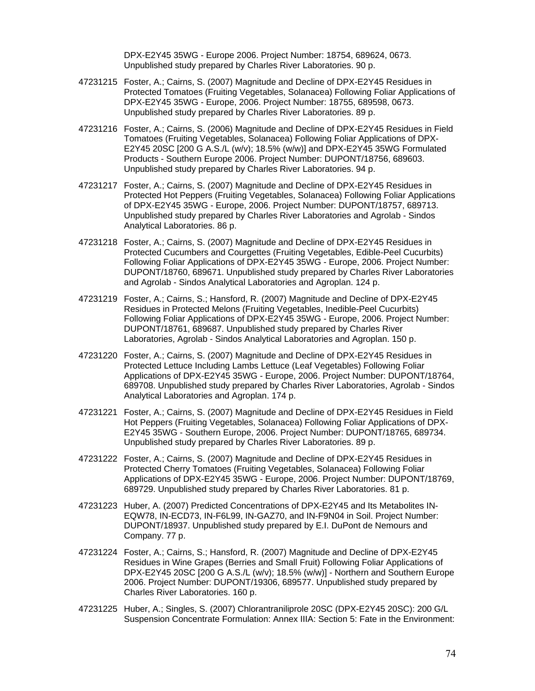DPX-E2Y45 35WG - Europe 2006. Project Number: 18754, 689624, 0673. Unpublished study prepared by Charles River Laboratories. 90 p.

- 47231215 Foster, A.; Cairns, S. (2007) Magnitude and Decline of DPX-E2Y45 Residues in Protected Tomatoes (Fruiting Vegetables, Solanacea) Following Foliar Applications of DPX-E2Y45 35WG - Europe, 2006. Project Number: 18755, 689598, 0673. Unpublished study prepared by Charles River Laboratories. 89 p.
- 47231216 Foster, A.; Cairns, S. (2006) Magnitude and Decline of DPX-E2Y45 Residues in Field Tomatoes (Fruiting Vegetables, Solanacea) Following Foliar Applications of DPX-E2Y45 20SC [200 G A.S./L (w/v); 18.5% (w/w)] and DPX-E2Y45 35WG Formulated Products - Southern Europe 2006. Project Number: DUPONT/18756, 689603. Unpublished study prepared by Charles River Laboratories. 94 p.
- 47231217 Foster, A.; Cairns, S. (2007) Magnitude and Decline of DPX-E2Y45 Residues in Protected Hot Peppers (Fruiting Vegetables, Solanacea) Following Foliar Applications of DPX-E2Y45 35WG - Europe, 2006. Project Number: DUPONT/18757, 689713. Unpublished study prepared by Charles River Laboratories and Agrolab - Sindos Analytical Laboratories. 86 p.
- 47231218 Foster, A.; Cairns, S. (2007) Magnitude and Decline of DPX-E2Y45 Residues in Protected Cucumbers and Courgettes (Fruiting Vegetables, Edible-Peel Cucurbits) Following Foliar Applications of DPX-E2Y45 35WG - Europe, 2006. Project Number: DUPONT/18760, 689671. Unpublished study prepared by Charles River Laboratories and Agrolab - Sindos Analytical Laboratories and Agroplan. 124 p.
- 47231219 Foster, A.; Cairns, S.; Hansford, R. (2007) Magnitude and Decline of DPX-E2Y45 Residues in Protected Melons (Fruiting Vegetables, Inedible-Peel Cucurbits) Following Foliar Applications of DPX-E2Y45 35WG - Europe, 2006. Project Number: DUPONT/18761, 689687. Unpublished study prepared by Charles River Laboratories, Agrolab - Sindos Analytical Laboratories and Agroplan. 150 p.
- 47231220 Foster, A.; Cairns, S. (2007) Magnitude and Decline of DPX-E2Y45 Residues in Protected Lettuce Including Lambs Lettuce (Leaf Vegetables) Following Foliar Applications of DPX-E2Y45 35WG - Europe, 2006. Project Number: DUPONT/18764, 689708. Unpublished study prepared by Charles River Laboratories, Agrolab - Sindos Analytical Laboratories and Agroplan. 174 p.
- 47231221 Foster, A.; Cairns, S. (2007) Magnitude and Decline of DPX-E2Y45 Residues in Field Hot Peppers (Fruiting Vegetables, Solanacea) Following Foliar Applications of DPX-E2Y45 35WG - Southern Europe, 2006. Project Number: DUPONT/18765, 689734. Unpublished study prepared by Charles River Laboratories. 89 p.
- 47231222 Foster, A.; Cairns, S. (2007) Magnitude and Decline of DPX-E2Y45 Residues in Protected Cherry Tomatoes (Fruiting Vegetables, Solanacea) Following Foliar Applications of DPX-E2Y45 35WG - Europe, 2006. Project Number: DUPONT/18769, 689729. Unpublished study prepared by Charles River Laboratories. 81 p.
- 47231223 Huber, A. (2007) Predicted Concentrations of DPX-E2Y45 and Its Metabolites IN-EQW78, IN-ECD73, IN-F6L99, IN-GAZ70, and IN-F9N04 in Soil. Project Number: DUPONT/18937. Unpublished study prepared by E.I. DuPont de Nemours and Company. 77 p.
- 47231224 Foster, A.; Cairns, S.; Hansford, R. (2007) Magnitude and Decline of DPX-E2Y45 Residues in Wine Grapes (Berries and Small Fruit) Following Foliar Applications of DPX-E2Y45 20SC [200 G A.S./L (w/v); 18.5% (w/w)] - Northern and Southern Europe 2006. Project Number: DUPONT/19306, 689577. Unpublished study prepared by Charles River Laboratories. 160 p.
- 47231225 Huber, A.; Singles, S. (2007) Chlorantraniliprole 20SC (DPX-E2Y45 20SC): 200 G/L Suspension Concentrate Formulation: Annex IIIA: Section 5: Fate in the Environment: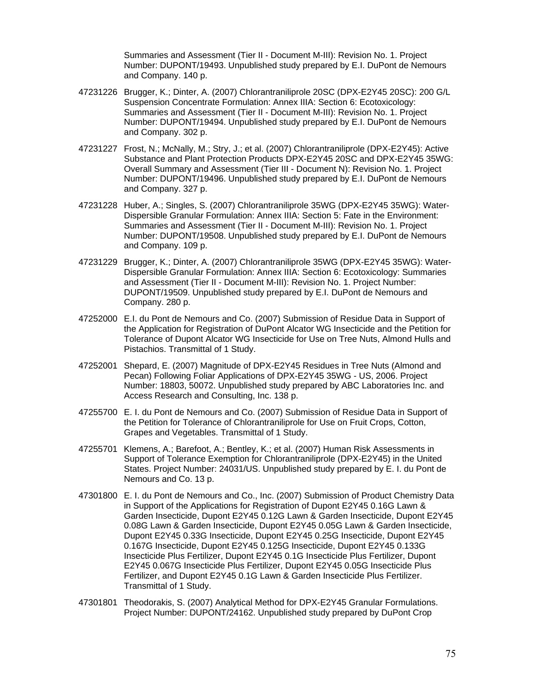Summaries and Assessment (Tier II - Document M-III): Revision No. 1. Project Number: DUPONT/19493. Unpublished study prepared by E.I. DuPont de Nemours and Company. 140 p.

- 47231226 Brugger, K.; Dinter, A. (2007) Chlorantraniliprole 20SC (DPX-E2Y45 20SC): 200 G/L Suspension Concentrate Formulation: Annex IIIA: Section 6: Ecotoxicology: Summaries and Assessment (Tier II - Document M-III): Revision No. 1. Project Number: DUPONT/19494. Unpublished study prepared by E.I. DuPont de Nemours and Company. 302 p.
- 47231227 Frost, N.; McNally, M.; Stry, J.; et al. (2007) Chlorantraniliprole (DPX-E2Y45): Active Substance and Plant Protection Products DPX-E2Y45 20SC and DPX-E2Y45 35WG: Overall Summary and Assessment (Tier III - Document N): Revision No. 1. Project Number: DUPONT/19496. Unpublished study prepared by E.I. DuPont de Nemours and Company. 327 p.
- 47231228 Huber, A.; Singles, S. (2007) Chlorantraniliprole 35WG (DPX-E2Y45 35WG): Water-Dispersible Granular Formulation: Annex IIIA: Section 5: Fate in the Environment: Summaries and Assessment (Tier II - Document M-III): Revision No. 1. Project Number: DUPONT/19508. Unpublished study prepared by E.I. DuPont de Nemours and Company. 109 p.
- 47231229 Brugger, K.; Dinter, A. (2007) Chlorantraniliprole 35WG (DPX-E2Y45 35WG): Water-Dispersible Granular Formulation: Annex IIIA: Section 6: Ecotoxicology: Summaries and Assessment (Tier II - Document M-III): Revision No. 1. Project Number: DUPONT/19509. Unpublished study prepared by E.I. DuPont de Nemours and Company. 280 p.
- 47252000 E.I. du Pont de Nemours and Co. (2007) Submission of Residue Data in Support of the Application for Registration of DuPont Alcator WG Insecticide and the Petition for Tolerance of Dupont Alcator WG Insecticide for Use on Tree Nuts, Almond Hulls and Pistachios. Transmittal of 1 Study.
- 47252001 Shepard, E. (2007) Magnitude of DPX-E2Y45 Residues in Tree Nuts (Almond and Pecan) Following Foliar Applications of DPX-E2Y45 35WG - US, 2006. Project Number: 18803, 50072. Unpublished study prepared by ABC Laboratories Inc. and Access Research and Consulting, Inc. 138 p.
- 47255700 E. I. du Pont de Nemours and Co. (2007) Submission of Residue Data in Support of the Petition for Tolerance of Chlorantraniliprole for Use on Fruit Crops, Cotton, Grapes and Vegetables. Transmittal of 1 Study.
- 47255701 Klemens, A.; Barefoot, A.; Bentley, K.; et al. (2007) Human Risk Assessments in Support of Tolerance Exemption for Chlorantraniliprole (DPX-E2Y45) in the United States. Project Number: 24031/US. Unpublished study prepared by E. I. du Pont de Nemours and Co. 13 p.
- 47301800 E. I. du Pont de Nemours and Co., Inc. (2007) Submission of Product Chemistry Data in Support of the Applications for Registration of Dupont E2Y45 0.16G Lawn & Garden Insecticide, Dupont E2Y45 0.12G Lawn & Garden Insecticide, Dupont E2Y45 0.08G Lawn & Garden Insecticide, Dupont E2Y45 0.05G Lawn & Garden Insecticide, Dupont E2Y45 0.33G Insecticide, Dupont E2Y45 0.25G Insecticide, Dupont E2Y45 0.167G Insecticide, Dupont E2Y45 0.125G Insecticide, Dupont E2Y45 0.133G Insecticide Plus Fertilizer, Dupont E2Y45 0.1G Insecticide Plus Fertilizer, Dupont E2Y45 0.067G Insecticide Plus Fertilizer, Dupont E2Y45 0.05G Insecticide Plus Fertilizer, and Dupont E2Y45 0.1G Lawn & Garden Insecticide Plus Fertilizer. Transmittal of 1 Study.
- 47301801 Theodorakis, S. (2007) Analytical Method for DPX-E2Y45 Granular Formulations. Project Number: DUPONT/24162. Unpublished study prepared by DuPont Crop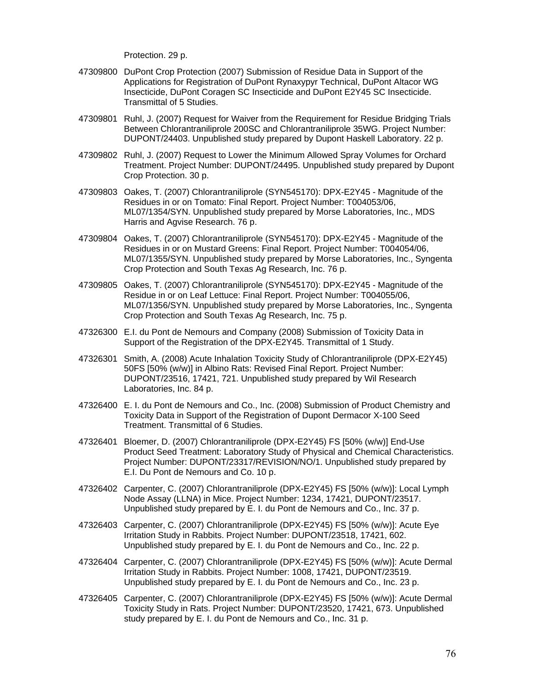Protection. 29 p.

- 47309800 DuPont Crop Protection (2007) Submission of Residue Data in Support of the Applications for Registration of DuPont Rynaxypyr Technical, DuPont Altacor WG Insecticide, DuPont Coragen SC Insecticide and DuPont E2Y45 SC Insecticide. Transmittal of 5 Studies.
- 47309801 Ruhl, J. (2007) Request for Waiver from the Requirement for Residue Bridging Trials Between Chlorantraniliprole 200SC and Chlorantraniliprole 35WG. Project Number: DUPONT/24403. Unpublished study prepared by Dupont Haskell Laboratory. 22 p.
- 47309802 Ruhl, J. (2007) Request to Lower the Minimum Allowed Spray Volumes for Orchard Treatment. Project Number: DUPONT/24495. Unpublished study prepared by Dupont Crop Protection. 30 p.
- 47309803 Oakes, T. (2007) Chlorantraniliprole (SYN545170): DPX-E2Y45 Magnitude of the Residues in or on Tomato: Final Report. Project Number: T004053/06, ML07/1354/SYN. Unpublished study prepared by Morse Laboratories, Inc., MDS Harris and Agvise Research. 76 p.
- 47309804 Oakes, T. (2007) Chlorantraniliprole (SYN545170): DPX-E2Y45 Magnitude of the Residues in or on Mustard Greens: Final Report. Project Number: T004054/06, ML07/1355/SYN. Unpublished study prepared by Morse Laboratories, Inc., Syngenta Crop Protection and South Texas Ag Research, Inc. 76 p.
- 47309805 Oakes, T. (2007) Chlorantraniliprole (SYN545170): DPX-E2Y45 Magnitude of the Residue in or on Leaf Lettuce: Final Report. Project Number: T004055/06, ML07/1356/SYN. Unpublished study prepared by Morse Laboratories, Inc., Syngenta Crop Protection and South Texas Ag Research, Inc. 75 p.
- 47326300 E.I. du Pont de Nemours and Company (2008) Submission of Toxicity Data in Support of the Registration of the DPX-E2Y45. Transmittal of 1 Study.
- 47326301 Smith, A. (2008) Acute Inhalation Toxicity Study of Chlorantraniliprole (DPX-E2Y45) 50FS [50% (w/w)] in Albino Rats: Revised Final Report. Project Number: DUPONT/23516, 17421, 721. Unpublished study prepared by Wil Research Laboratories, Inc. 84 p.
- 47326400 E. I. du Pont de Nemours and Co., Inc. (2008) Submission of Product Chemistry and Toxicity Data in Support of the Registration of Dupont Dermacor X-100 Seed Treatment. Transmittal of 6 Studies.
- 47326401 Bloemer, D. (2007) Chlorantraniliprole (DPX-E2Y45) FS [50% (w/w)] End-Use Product Seed Treatment: Laboratory Study of Physical and Chemical Characteristics. Project Number: DUPONT/23317/REVISION/NO/1. Unpublished study prepared by E.I. Du Pont de Nemours and Co. 10 p.
- 47326402 Carpenter, C. (2007) Chlorantraniliprole (DPX-E2Y45) FS [50% (w/w)]: Local Lymph Node Assay (LLNA) in Mice. Project Number: 1234, 17421, DUPONT/23517. Unpublished study prepared by E. I. du Pont de Nemours and Co., Inc. 37 p.
- 47326403 Carpenter, C. (2007) Chlorantraniliprole (DPX-E2Y45) FS [50% (w/w)]: Acute Eye Irritation Study in Rabbits. Project Number: DUPONT/23518, 17421, 602. Unpublished study prepared by E. I. du Pont de Nemours and Co., Inc. 22 p.
- 47326404 Carpenter, C. (2007) Chlorantraniliprole (DPX-E2Y45) FS [50% (w/w)]: Acute Dermal Irritation Study in Rabbits. Project Number: 1008, 17421, DUPONT/23519. Unpublished study prepared by E. I. du Pont de Nemours and Co., Inc. 23 p.
- 47326405 Carpenter, C. (2007) Chlorantraniliprole (DPX-E2Y45) FS [50% (w/w)]: Acute Dermal Toxicity Study in Rats. Project Number: DUPONT/23520, 17421, 673. Unpublished study prepared by E. I. du Pont de Nemours and Co., Inc. 31 p.